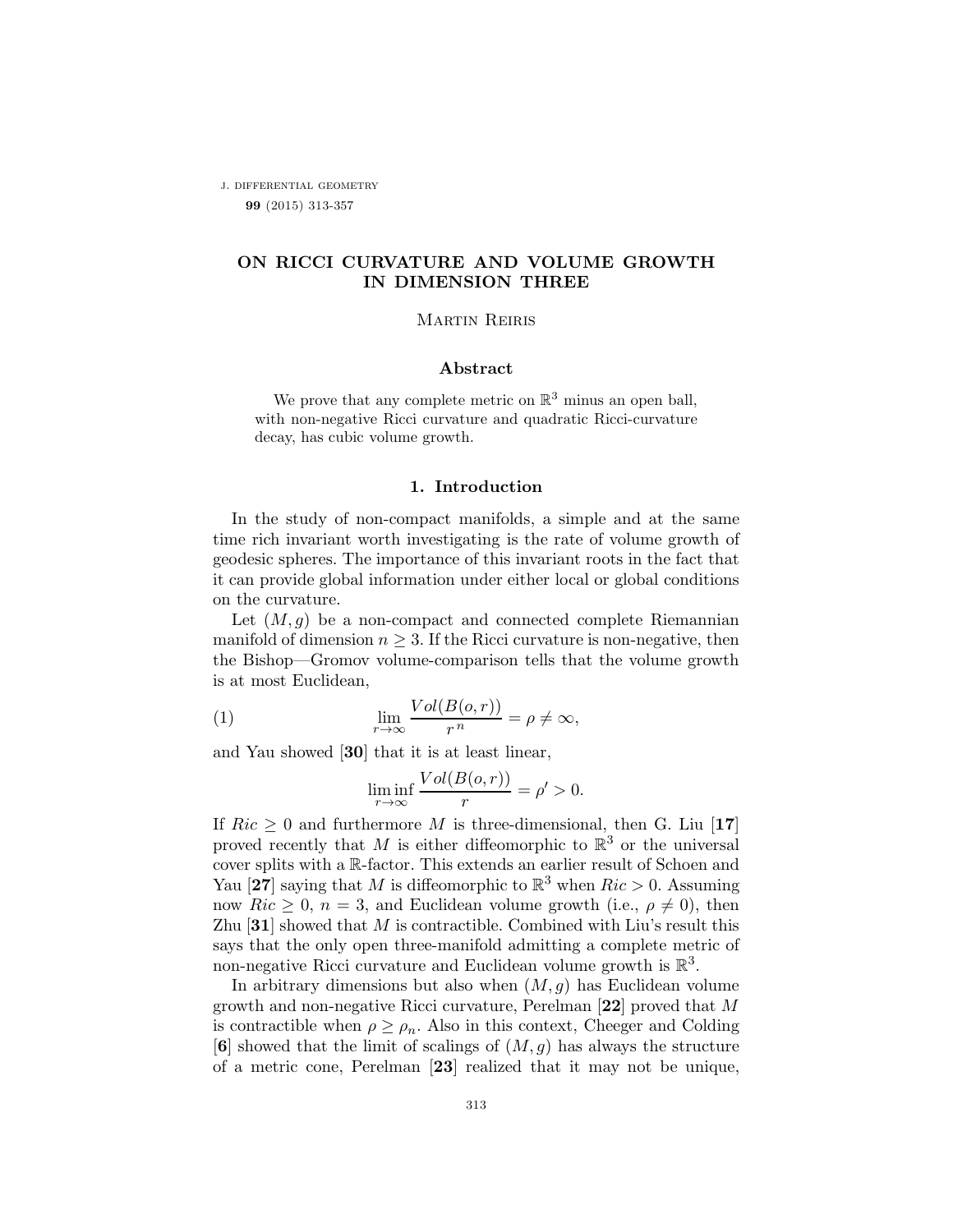j. differential geometry 99 (2015) 313-357

# ON RICCI CURVATURE AND VOLUME GROWTH IN DIMENSION THREE

## Martin Reiris

### Abstract

We prove that any complete metric on  $\mathbb{R}^3$  minus an open ball, with non-negative Ricci curvature and quadratic Ricci-curvature decay, has cubic volume growth.

## 1. Introduction

In the study of non-compact manifolds, a simple and at the same time rich invariant worth investigating is the rate of volume growth of geodesic spheres. The importance of this invariant roots in the fact that it can provide global information under either local or global conditions on the curvature.

Let  $(M, g)$  be a non-compact and connected complete Riemannian manifold of dimension  $n \geq 3$ . If the Ricci curvature is non-negative, then the Bishop—Gromov volume-comparison tells that the volume growth is at most Euclidean,

(1) 
$$
\lim_{r \to \infty} \frac{Vol(B(o, r))}{r^n} = \rho \neq \infty,
$$

and Yau showed [30] that it is at least linear,

$$
\liminf_{r \to \infty} \frac{Vol(B(o, r))}{r} = \rho' > 0.
$$

If  $Ric \geq 0$  and furthermore M is three-dimensional, then G. Liu [17] proved recently that M is either diffeomorphic to  $\mathbb{R}^3$  or the universal cover splits with a R-factor. This extends an earlier result of Schoen and Yau [27] saying that M is diffeomorphic to  $\mathbb{R}^3$  when  $Ric > 0$ . Assuming now  $Ric \geq 0$ ,  $n = 3$ , and Euclidean volume growth (i.e.,  $\rho \neq 0$ ), then Zhu  $[31]$  showed that M is contractible. Combined with Liu's result this says that the only open three-manifold admitting a complete metric of non-negative Ricci curvature and Euclidean volume growth is  $\mathbb{R}^3$ .

In arbitrary dimensions but also when  $(M, g)$  has Euclidean volume growth and non-negative Ricci curvature, Perelman [22] proved that M is contractible when  $\rho \geq \rho_n$ . Also in this context, Cheeger and Colding  $[6]$  showed that the limit of scalings of  $(M,g)$  has always the structure of a metric cone, Perelman [23] realized that it may not be unique,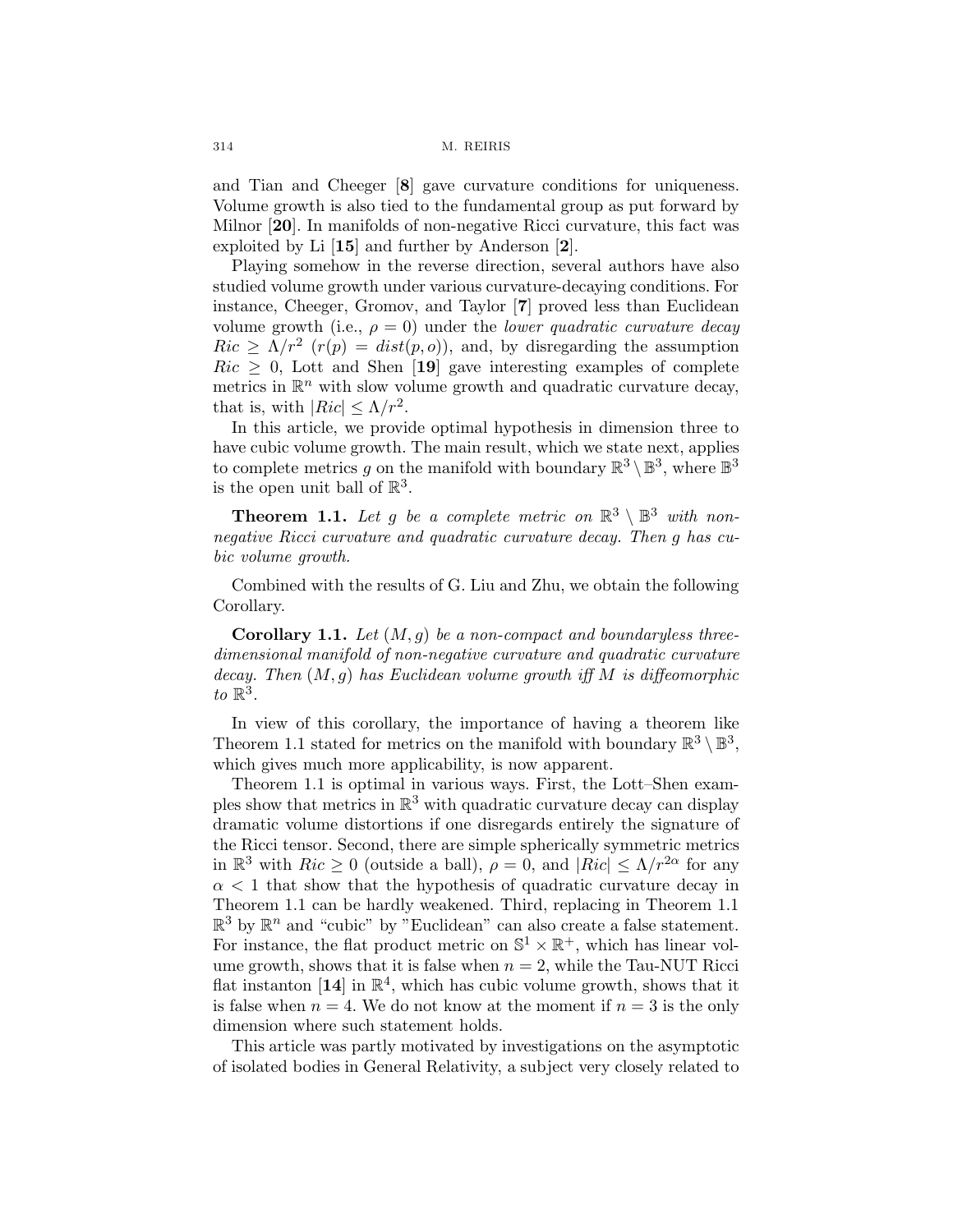and Tian and Cheeger [8] gave curvature conditions for uniqueness. Volume growth is also tied to the fundamental group as put forward by Milnor [20]. In manifolds of non-negative Ricci curvature, this fact was exploited by Li [15] and further by Anderson [2].

Playing somehow in the reverse direction, several authors have also studied volume growth under various curvature-decaying conditions. For instance, Cheeger, Gromov, and Taylor [7] proved less than Euclidean volume growth (i.e.,  $\rho = 0$ ) under the *lower quadratic curvature decay*  $Ric \geq \Lambda/r^2$  ( $r(p) = dist(p, o)$ ), and, by disregarding the assumption  $Ric \geq 0$ , Lott and Shen [19] gave interesting examples of complete metrics in  $\mathbb{R}^n$  with slow volume growth and quadratic curvature decay, that is, with  $|Ric| \leq \Lambda/r^2$ .

In this article, we provide optimal hypothesis in dimension three to have cubic volume growth. The main result, which we state next, applies to complete metrics g on the manifold with boundary  $\mathbb{R}^3 \setminus \mathbb{B}^3$ , where  $\mathbb{B}^3$ is the open unit ball of  $\mathbb{R}^3$ .

**Theorem 1.1.** Let g be a complete metric on  $\mathbb{R}^3 \setminus \mathbb{B}^3$  with nonnegative Ricci curvature and quadratic curvature decay. Then g has cubic volume growth.

Combined with the results of G. Liu and Zhu, we obtain the following Corollary.

**Corollary 1.1.** Let  $(M, q)$  be a non-compact and boundaryless threedimensional manifold of non-negative curvature and quadratic curvature decay. Then  $(M, g)$  has Euclidean volume growth iff M is diffeomorphic to  $\mathbb{R}^3$ .

In view of this corollary, the importance of having a theorem like Theorem 1.1 stated for metrics on the manifold with boundary  $\mathbb{R}^3 \setminus \mathbb{B}^3$ , which gives much more applicability, is now apparent.

Theorem 1.1 is optimal in various ways. First, the Lott–Shen examples show that metrics in  $\mathbb{R}^3$  with quadratic curvature decay can display dramatic volume distortions if one disregards entirely the signature of the Ricci tensor. Second, there are simple spherically symmetric metrics in  $\mathbb{R}^3$  with  $Ric \geq 0$  (outside a ball),  $\rho = 0$ , and  $|Ric| \leq \Lambda/r^{2\alpha}$  for any  $\alpha$  < 1 that show that the hypothesis of quadratic curvature decay in Theorem 1.1 can be hardly weakened. Third, replacing in Theorem 1.1  $\mathbb{R}^3$  by  $\mathbb{R}^n$  and "cubic" by "Euclidean" can also create a false statement. For instance, the flat product metric on  $\mathbb{S}^1 \times \mathbb{R}^+$ , which has linear volume growth, shows that it is false when  $n = 2$ , while the Tau-NUT Ricci flat instanton [14] in  $\mathbb{R}^4$ , which has cubic volume growth, shows that it is false when  $n = 4$ . We do not know at the moment if  $n = 3$  is the only dimension where such statement holds.

This article was partly motivated by investigations on the asymptotic of isolated bodies in General Relativity, a subject very closely related to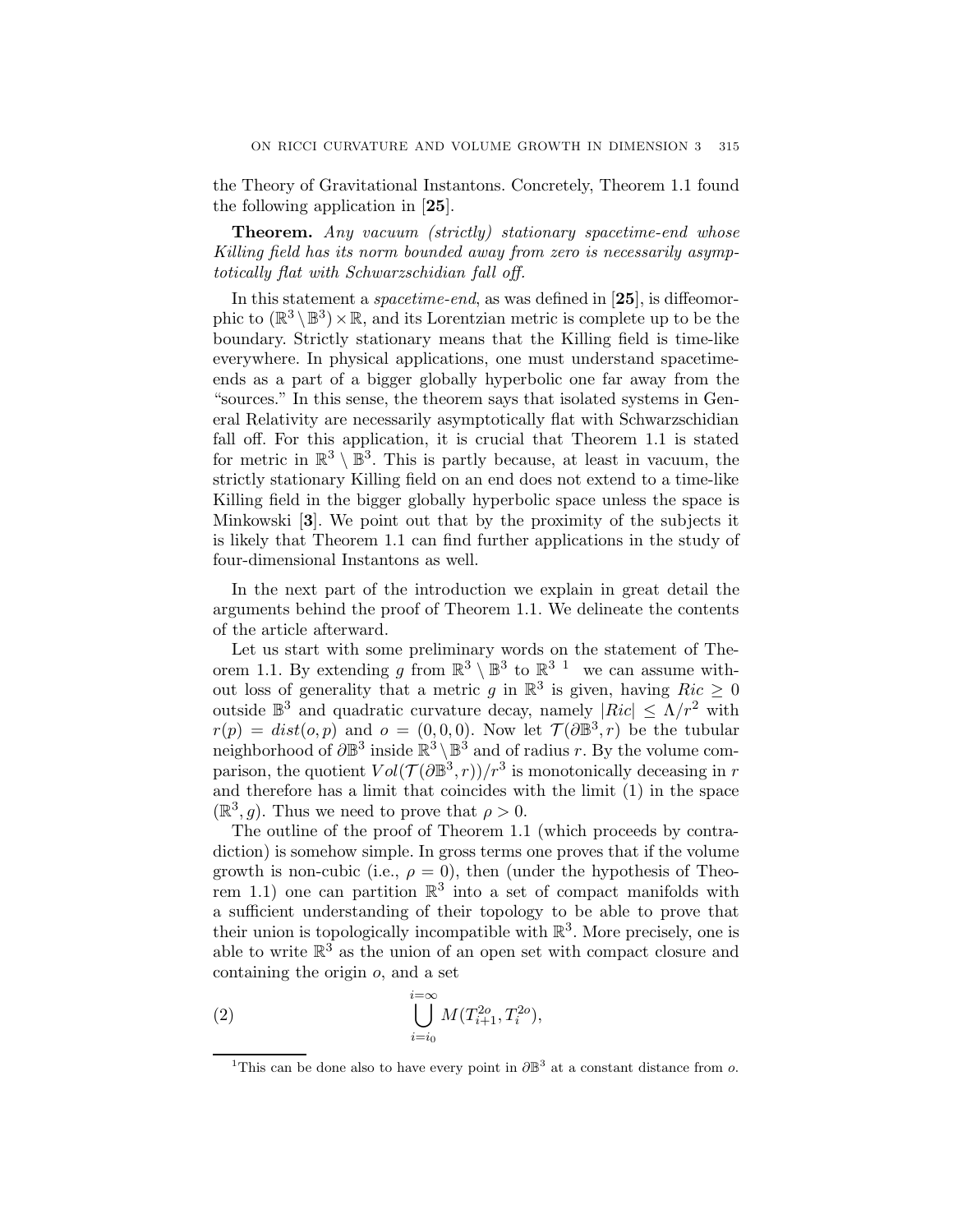the Theory of Gravitational Instantons. Concretely, Theorem 1.1 found the following application in [25].

**Theorem.** Any vacuum (strictly) stationary spacetime-end whose Killing field has its norm bounded away from zero is necessarily asymptotically flat with Schwarzschidian fall off.

In this statement a *spacetime-end*, as was defined in [25], is diffeomorphic to  $(\mathbb{R}^3 \setminus \mathbb{B}^3) \times \mathbb{R}$ , and its Lorentzian metric is complete up to be the boundary. Strictly stationary means that the Killing field is time-like everywhere. In physical applications, one must understand spacetimeends as a part of a bigger globally hyperbolic one far away from the "sources." In this sense, the theorem says that isolated systems in General Relativity are necessarily asymptotically flat with Schwarzschidian fall off. For this application, it is crucial that Theorem 1.1 is stated for metric in  $\mathbb{R}^3 \setminus \mathbb{B}^3$ . This is partly because, at least in vacuum, the strictly stationary Killing field on an end does not extend to a time-like Killing field in the bigger globally hyperbolic space unless the space is Minkowski [3]. We point out that by the proximity of the subjects it is likely that Theorem 1.1 can find further applications in the study of four-dimensional Instantons as well.

In the next part of the introduction we explain in great detail the arguments behind the proof of Theorem 1.1. We delineate the contents of the article afterward.

Let us start with some preliminary words on the statement of Theorem 1.1. By extending q from  $\mathbb{R}^3 \setminus \mathbb{B}^3$  to  $\mathbb{R}^3$ <sup>1</sup> we can assume without loss of generality that a metric g in  $\mathbb{R}^3$  is given, having  $Ric \geq 0$ outside  $\mathbb{B}^3$  and quadratic curvature decay, namely  $|Ric| \leq \Lambda/r^2$  with  $r(p) = dist(o, p)$  and  $o = (0, 0, 0)$ . Now let  $\mathcal{T}(\partial \mathbb{B}^3, r)$  be the tubular neighborhood of  $\partial \mathbb{B}^3$  inside  $\mathbb{R}^3 \setminus \mathbb{B}^3$  and of radius r. By the volume comparison, the quotient  $Vol(\mathcal{T}(\partial \mathbb{B}^3,r))/r^3$  is monotonically deceasing in r and therefore has a limit that coincides with the limit (1) in the space  $(\mathbb{R}^3, g)$ . Thus we need to prove that  $\rho > 0$ .

The outline of the proof of Theorem 1.1 (which proceeds by contradiction) is somehow simple. In gross terms one proves that if the volume growth is non-cubic (i.e.,  $\rho = 0$ ), then (under the hypothesis of Theorem 1.1) one can partition  $\mathbb{R}^3$  into a set of compact manifolds with a sufficient understanding of their topology to be able to prove that their union is topologically incompatible with  $\mathbb{R}^3$ . More precisely, one is able to write  $\mathbb{R}^3$  as the union of an open set with compact closure and containing the origin o, and a set

(2) 
$$
\bigcup_{i=i_0}^{i=\infty} M(T_{i+1}^{2o}, T_i^{2o}),
$$

<sup>&</sup>lt;sup>1</sup>This can be done also to have every point in  $\partial \mathbb{B}^3$  at a constant distance from o.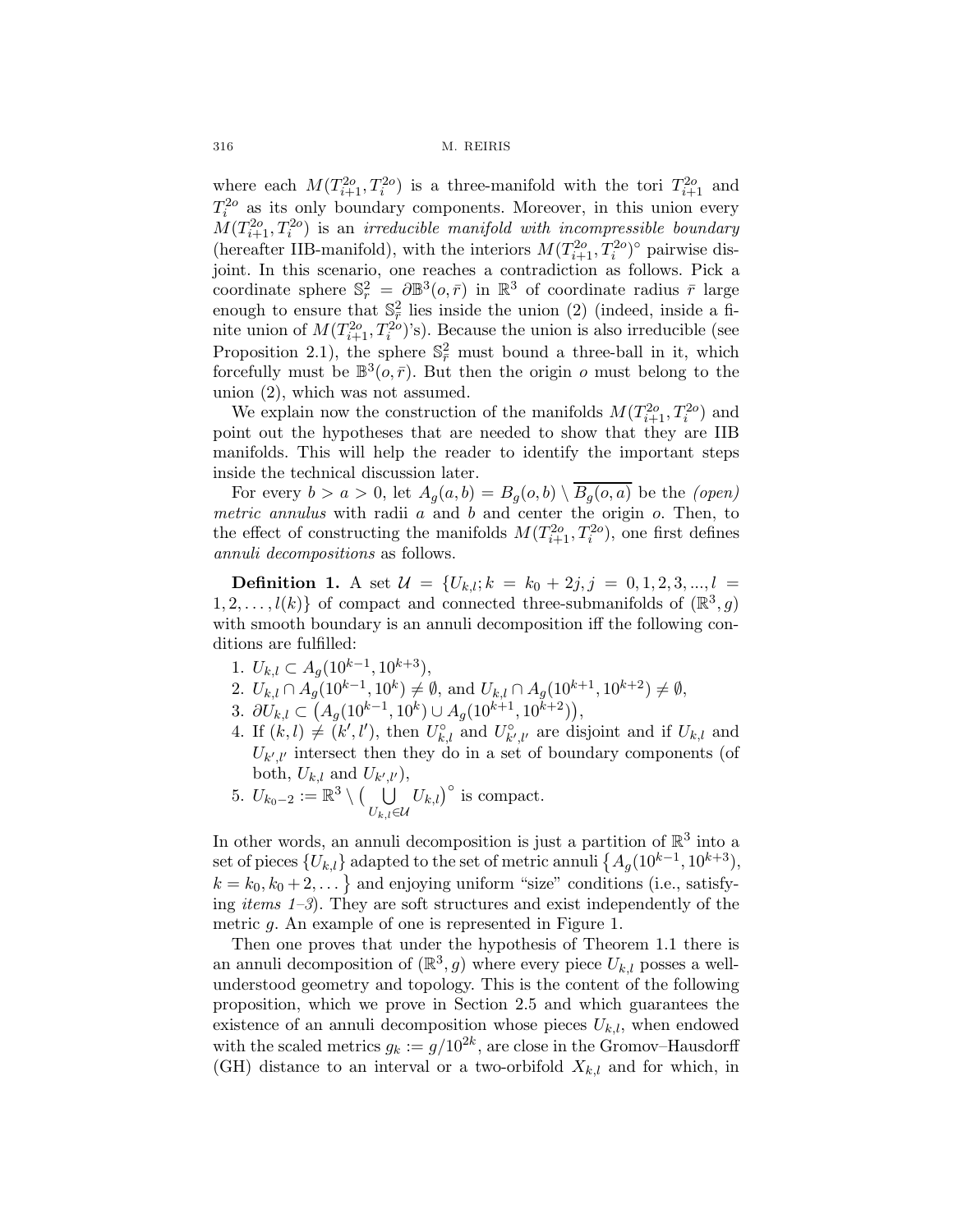where each  $M(T_{i+1}^{2o}, T_i^{2o})$  is a three-manifold with the tori  $T_{i+1}^{2o}$  and  $T_i^{2o}$  as its only boundary components. Moreover, in this union every  $M(T_{i+1}^{2o}, T_i^{2o})$  is an *irreducible manifold with incompressible boundary* (hereafter IIB-manifold), with the interiors  $M(T_{i+1}^{2o}, T_i^{2o})^{\circ}$  pairwise disjoint. In this scenario, one reaches a contradiction as follows. Pick a coordinate sphere  $\mathbb{S}_r^2 = \partial \mathbb{B}^3(o, \bar{r})$  in  $\mathbb{R}^3$  of coordinate radius  $\bar{r}$  large enough to ensure that  $\mathbb{S}^2_{\bar{r}}$  lies inside the union (2) (indeed, inside a finite union of  $M(T_{i+1}^{2o}, T_i^{2o})$ 's). Because the union is also irreducible (see Proposition 2.1), the sphere  $\mathbb{S}^2_{\overline{r}}$  must bound a three-ball in it, which forcefully must be  $\mathbb{B}^3$ ( $\varphi$ ,  $\bar{r}$ ). But then the origin  $\varphi$  must belong to the union (2), which was not assumed.

We explain now the construction of the manifolds  $M(T_{i+1}^{2o}, T_i^{2o})$  and point out the hypotheses that are needed to show that they are IIB manifolds. This will help the reader to identify the important steps inside the technical discussion later.

For every  $b>a>0$ , let  $A_g(a,b) = B_g(o,b) \setminus \overline{B_g(o,a)}$  be the *(open)* metric annulus with radii  $a$  and  $b$  and center the origin  $o$ . Then, to the effect of constructing the manifolds  $M(T_{i+1}^{2o}, T_i^{2o})$ , one first defines annuli decompositions as follows.

**Definition 1.** A set  $\mathcal{U} = \{U_{k,l}; k = k_0 + 2j, j = 0, 1, 2, 3, ..., l =$  $1, 2, \ldots, l(k)$  of compact and connected three-submanifolds of  $(\mathbb{R}^3, g)$ with smooth boundary is an annuli decomposition iff the following conditions are fulfilled:

- 1.  $U_{k,l} \subset A_q(10^{k-1}, 10^{k+3}),$
- 2.  $U_{k,l} \cap A_{g}(10^{k-1}, 10^k) \neq \emptyset$ , and  $U_{k,l} \cap A_{g}(10^{k+1}, 10^{k+2}) \neq \emptyset$ ,
- 3.  $\partial U_{k,l} \subset (A_g(10^{k-1}, 10^k) \cup A_g(10^{k+1}, 10^{k+2})),$
- 4. If  $(k, l) \neq (k', l')$ , then  $U_{k, l}^{\circ}$  and  $U_{k', l'}^{\circ}$  are disjoint and if  $U_{k, l}$  and  $U_{k',l'}$  intersect then they do in a set of boundary components (of both,  $U_{k,l}$  and  $U_{k',l'}$ ),
- 5.  $U_{k_0-2} := \mathbb{R}^3 \setminus \left(\bigcup_{\tau}$  $U_{k,l}$ ∈U  $(U_{k,l})^{\circ}$  is compact.

In other words, an annuli decomposition is just a partition of  $\mathbb{R}^3$  into a set of pieces  $\{U_{k,l}\}$  adapted to the set of metric annuli  $\{A_g(10^{k-1}, 10^{k+3}),\}$  $k = k_0, k_0 + 2, \ldots$  and enjoying uniform "size" conditions (i.e., satisfying *items*  $1-3$ ). They are soft structures and exist independently of the metric g. An example of one is represented in Figure 1.

Then one proves that under the hypothesis of Theorem 1.1 there is an annuli decomposition of  $(\mathbb{R}^3, g)$  where every piece  $U_{k,l}$  posses a wellunderstood geometry and topology. This is the content of the following proposition, which we prove in Section 2.5 and which guarantees the existence of an annuli decomposition whose pieces  $U_{k,l}$ , when endowed with the scaled metrics  $g_k := g/10^{2k}$ , are close in the Gromov–Hausdorff (GH) distance to an interval or a two-orbifold  $X_{k,l}$  and for which, in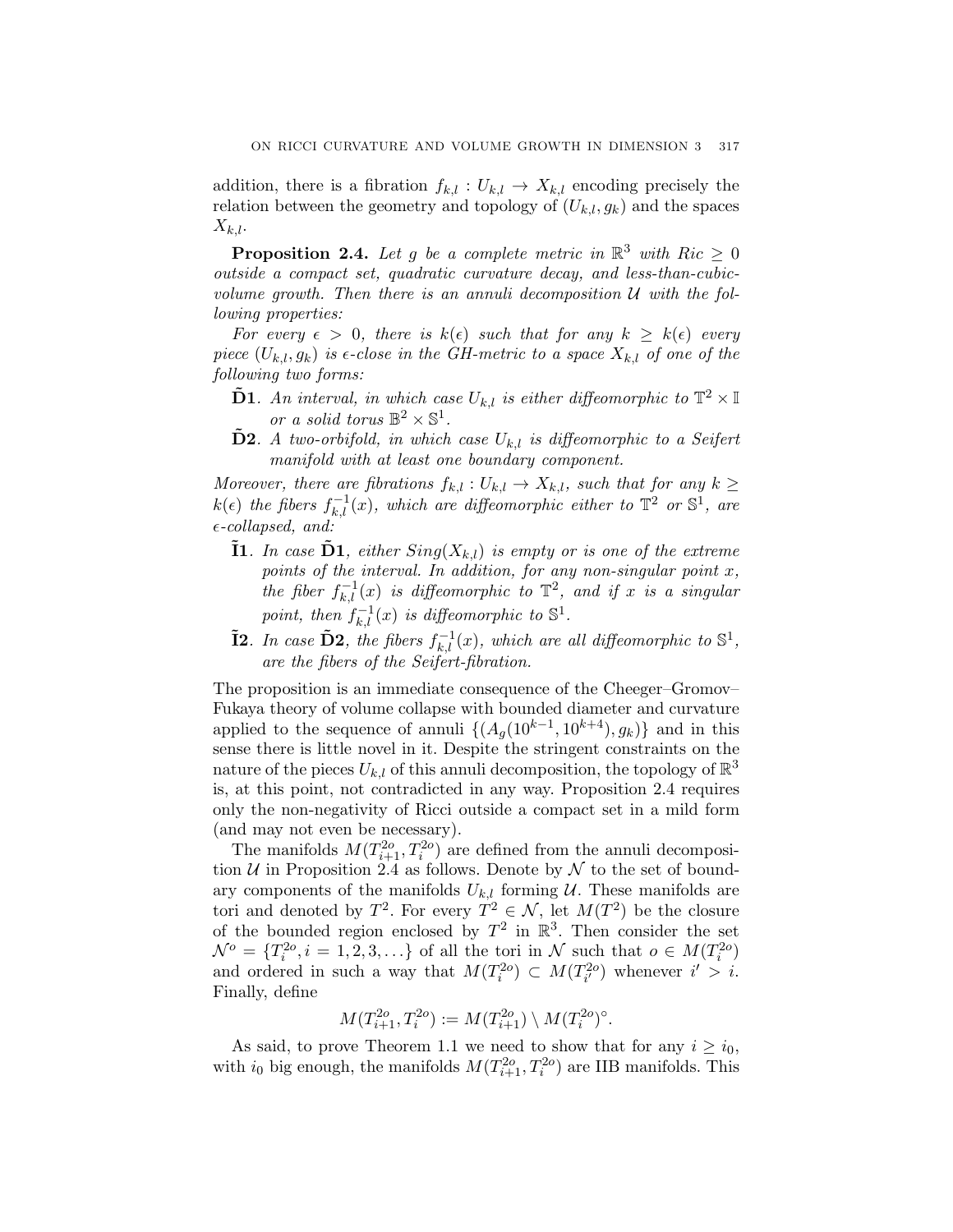addition, there is a fibration  $f_{k,l}: U_{k,l} \to X_{k,l}$  encoding precisely the relation between the geometry and topology of  $(U_{k,l}, g_k)$  and the spaces  $X_{k,l}$ .

**Proposition 2.4.** Let g be a complete metric in  $\mathbb{R}^3$  with  $Ric \geq 0$ outside a compact set, quadratic curvature decay, and less-than-cubicvolume growth. Then there is an annuli decomposition  $U$  with the following properties:

For every  $\epsilon > 0$ , there is  $k(\epsilon)$  such that for any  $k \geq k(\epsilon)$  every piece  $(U_{k,l}, g_k)$  is  $\epsilon$ -close in the GH-metric to a space  $X_{k,l}$  of one of the following two forms:

- **D1**. An interval, in which case  $U_{k,l}$  is either diffeomorphic to  $\mathbb{T}^2 \times \mathbb{I}$ or a solid torus  $\mathbb{B}^2 \times \mathbb{S}^1$ .
- **D2.** A two-orbifold, in which case  $U_{k,l}$  is diffeomorphic to a Seifert manifold with at least one boundary component.

Moreover, there are fibrations  $f_{k,l}: U_{k,l} \to X_{k,l}$ , such that for any  $k \geq$  $k(\epsilon)$  the fibers  $f_{k,l}^{-1}(x)$ , which are diffeomorphic either to  $\mathbb{T}^2$  or  $\mathbb{S}^1$ , are  $\epsilon$ -collapsed, and:

- **I1**. In case  $\mathbf{D1}$ , either  $Sing(X_{k,l})$  is empty or is one of the extreme points of the interval. In addition, for any non-singular point  $x$ , the fiber  $f_{k,l}^{-1}(x)$  is diffeomorphic to  $\mathbb{T}^2$ , and if x is a singular point, then  $f_{k,l}^{-1}(x)$  is diffeomorphic to  $\mathbb{S}^1$ .
- **I2**. In case  $\tilde{D}2$ , the fibers  $f_{k,l}^{-1}(x)$ , which are all diffeomorphic to  $\mathbb{S}^1$ , are the fibers of the Seifert-fibration.

The proposition is an immediate consequence of the Cheeger–Gromov– Fukaya theory of volume collapse with bounded diameter and curvature applied to the sequence of annuli  $\{(A_g(10^{k-1}, 10^{k+4}), g_k)\}\)$  and in this sense there is little novel in it. Despite the stringent constraints on the nature of the pieces  $U_{k,l}$  of this annuli decomposition, the topology of  $\mathbb{R}^3$ is, at this point, not contradicted in any way. Proposition 2.4 requires only the non-negativity of Ricci outside a compact set in a mild form (and may not even be necessary).

The manifolds  $M(T_{i+1}^{2o}, T_i^{2o})$  are defined from the annuli decomposition  $U$  in Proposition 2.4 as follows. Denote by  $\mathcal N$  to the set of boundary components of the manifolds  $U_{k,l}$  forming  $\mathcal U$ . These manifolds are tori and denoted by  $T^2$ . For every  $T^2 \in \mathcal{N}$ , let  $M(T^2)$  be the closure of the bounded region enclosed by  $T^2$  in  $\mathbb{R}^3$ . Then consider the set  $\mathcal{N}^o = \{T_i^{2o}, i = 1, 2, 3, \ldots\}$  of all the tori in  $\mathcal{N}$  such that  $o \in M(T_i^{2o})$ and ordered in such a way that  $M(T_i^{2o}) \subset M(T_{i'}^{2o})$  whenever  $i' > i$ . Finally, define

$$
M(T_{i+1}^{2o}, T_i^{2o}) := M(T_{i+1}^{2o}) \setminus M(T_i^{2o})^{\circ}.
$$

As said, to prove Theorem 1.1 we need to show that for any  $i \geq i_0$ , with  $i_0$  big enough, the manifolds  $M(T_{i+1}^{2o}, T_i^{2o})$  are IIB manifolds. This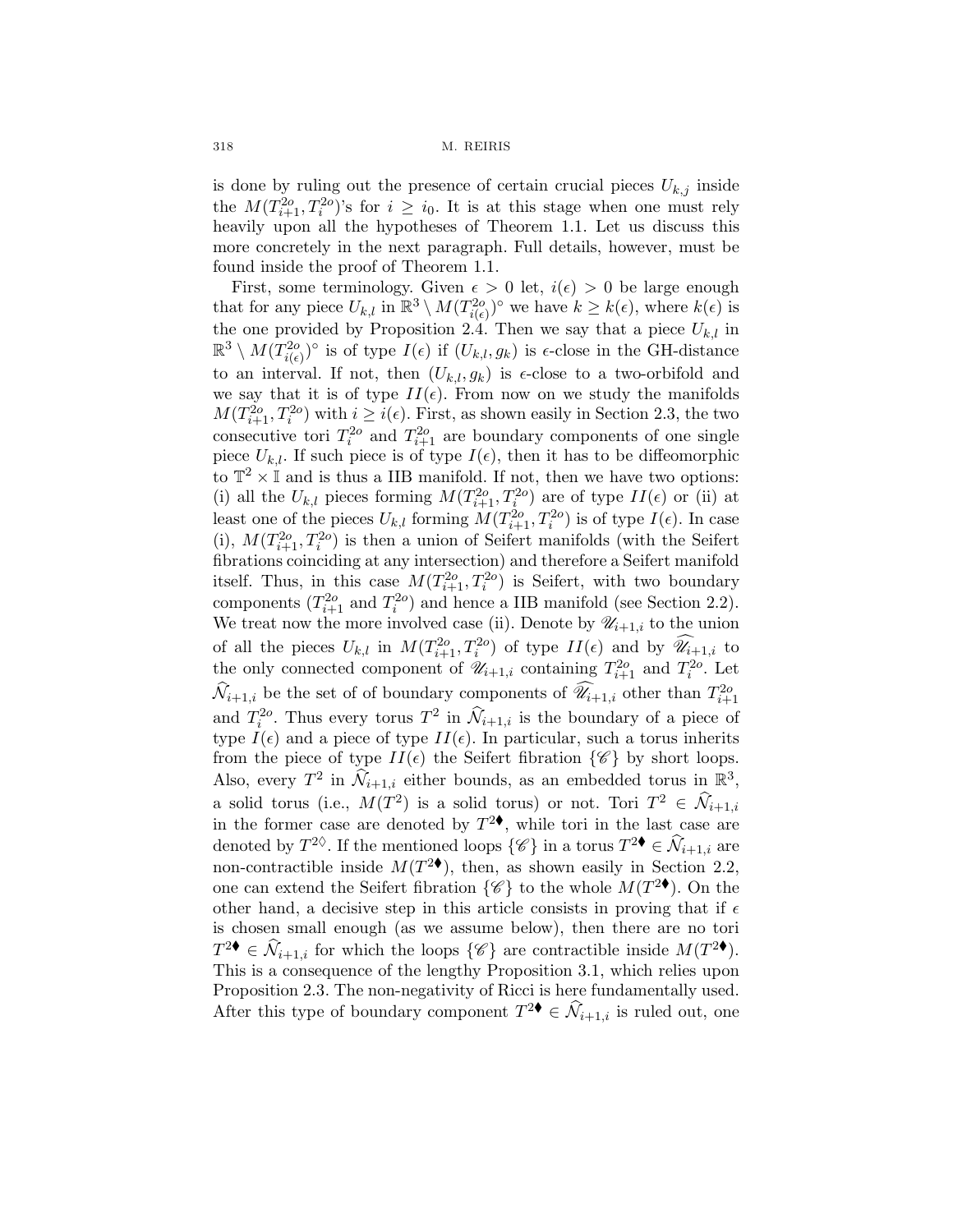is done by ruling out the presence of certain crucial pieces  $U_{k,j}$  inside the  $M(T_{i+1}^{2o}, T_i^{2o})$ 's for  $i \geq i_0$ . It is at this stage when one must rely heavily upon all the hypotheses of Theorem 1.1. Let us discuss this more concretely in the next paragraph. Full details, however, must be found inside the proof of Theorem 1.1.

First, some terminology. Given  $\epsilon > 0$  let,  $i(\epsilon) > 0$  be large enough that for any piece  $U_{k,l}$  in  $\mathbb{R}^3 \setminus M(T_{i(\epsilon)}^{2o})^{\circ}$  we have  $k \geq k(\epsilon)$ , where  $k(\epsilon)$  is the one provided by Proposition 2.4. Then we say that a piece  $U_{k,l}$  in  $\mathbb{R}^3 \setminus M(T_{i(\epsilon)}^{2o})^{\circ}$  is of type  $I(\epsilon)$  if  $(U_{k,l}, g_k)$  is  $\epsilon$ -close in the GH-distance to an interval. If not, then  $(U_{k,l}, g_k)$  is  $\epsilon$ -close to a two-orbifold and we say that it is of type  $II(\epsilon)$ . From now on we study the manifolds  $M(T_{i+1}^{2o}, T_i^{2o})$  with  $i \geq i(\epsilon)$ . First, as shown easily in Section 2.3, the two consecutive tori  $T_i^{2o}$  and  $T_{i+1}^{2o}$  are boundary components of one single piece  $U_{k,l}$ . If such piece is of type  $I(\epsilon)$ , then it has to be diffeomorphic to  $\mathbb{T}^2 \times \mathbb{I}$  and is thus a IIB manifold. If not, then we have two options: (i) all the  $U_{k,l}$  pieces forming  $M(T_{i+1}^{2o}, T_i^{2o})$  are of type  $II(\epsilon)$  or (ii) at least one of the pieces  $U_{k,l}$  forming  $M(T_{i+1}^{2o}, T_i^{2o})$  is of type  $I(\epsilon)$ . In case (i),  $M(T_{i+1}^{2o}, T_i^{2o})$  is then a union of Seifert manifolds (with the Seifert fibrations coinciding at any intersection) and therefore a Seifert manifold itself. Thus, in this case  $M(T_{i+1}^{2o}, T_i^{2o})$  is Seifert, with two boundary components  $(T_{i+1}^{2o} \text{ and } T_i^{2o})$  and hence a IIB manifold (see Section 2.2). We treat now the more involved case (ii). Denote by  $\mathscr{U}_{i+1,i}$  to the union of all the pieces  $U_{k,l}$  in  $M(T_{i+1}^{2o}, T_i^{2o})$  of type  $II(\epsilon)$  and by  $\widehat{\mathscr{U}}_{i+1,i}$  to the only connected component of  $\mathscr{U}_{i+1,i}$  containing  $T_{i+1}^{2o}$  and  $T_i^{2o}$ . Let  $\widehat{\mathcal{N}}_{i+1,i}$  be the set of of boundary components of  $\widehat{\mathscr{U}}_{i+1,i}$  other than  $T_{i+1}^{2o}$ and  $T_i^{2o}$ . Thus every torus  $T^2$  in  $\hat{\mathcal{N}}_{i+1,i}$  is the boundary of a piece of type  $I(\epsilon)$  and a piece of type  $II(\epsilon)$ . In particular, such a torus inherits from the piece of type  $II(\epsilon)$  the Seifert fibration  $\{\mathscr{C}\}\$  by short loops. Also, every  $T^2$  in  $\widehat{\mathcal{N}}_{i+1,i}$  either bounds, as an embedded torus in  $\mathbb{R}^3$ , a solid torus (i.e.,  $M(T^2)$  is a solid torus) or not. Tori  $T^2 \in \mathcal{N}_{i+1,i}$ in the former case are denoted by  $T^2$ , while tori in the last case are denoted by  $T^{2\Diamond}$ . If the mentioned loops  $\{\mathscr{C}\}\$ in a torus  $T^{2\blacklozenge} \in \widehat{\mathcal{N}}_{i+1,i}$  are non-contractible inside  $M(T^{2\blacklozenge})$ , then, as shown easily in Section 2.2, one can extend the Seifert fibration  $\{\mathscr{C}\}\$  to the whole  $M(T^{2\blacklozenge})$ . On the other hand, a decisive step in this article consists in proving that if  $\epsilon$ is chosen small enough (as we assume below), then there are no tori  $T^{2\bullet} \in \widehat{\mathcal{N}}_{i+1,i}$  for which the loops  $\{\mathscr{C}\}\$  are contractible inside  $M(T^{2\bullet})$ . This is a consequence of the lengthy Proposition 3.1, which relies upon Proposition 2.3. The non-negativity of Ricci is here fundamentally used. After this type of boundary component  $T^{2\bullet} \in \mathcal{N}_{i+1,i}$  is ruled out, one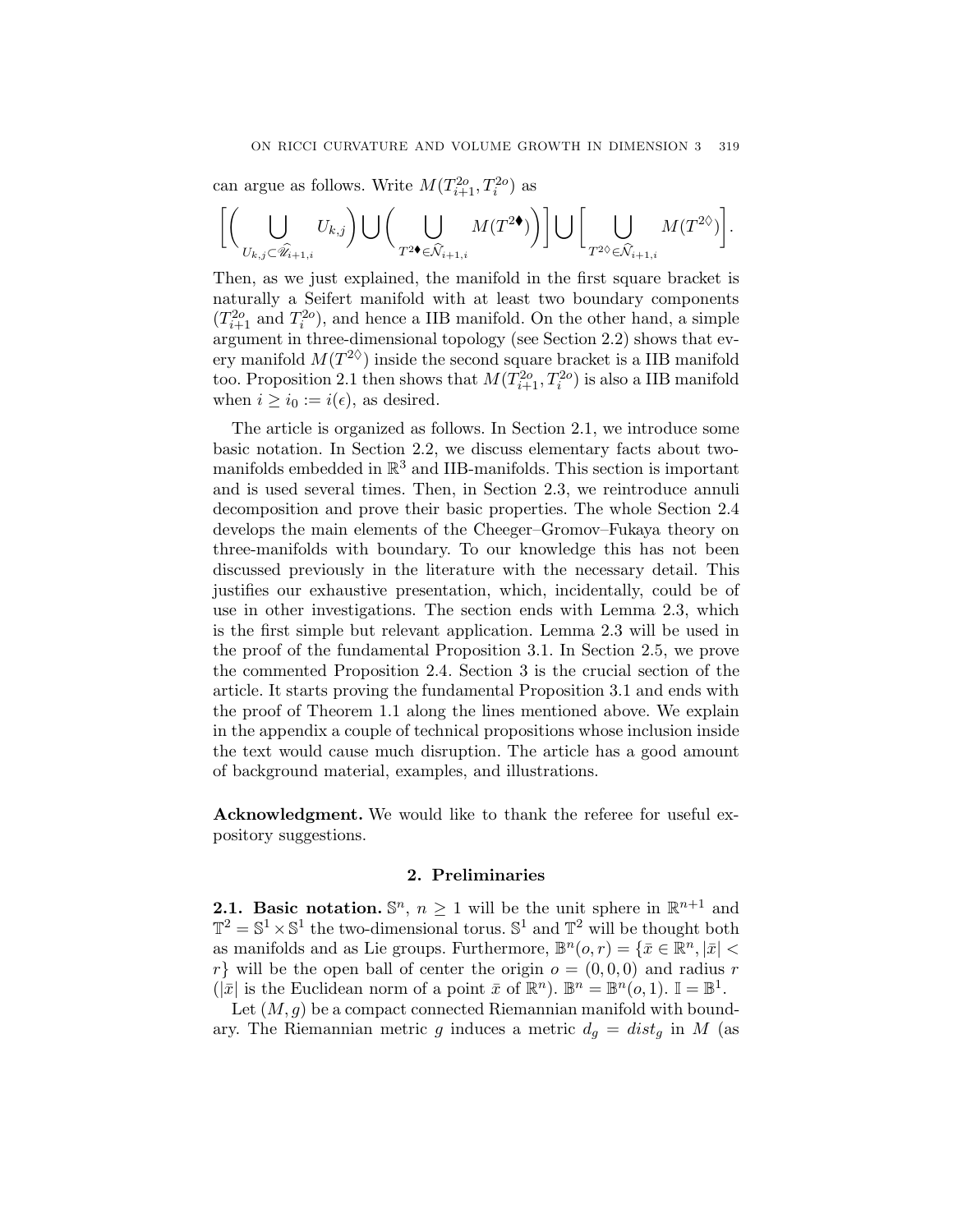can argue as follows. Write  $M(T_{i+1}^{2o}, T_i^{2o})$  as

$$
\bigg[\bigg(\bigcup_{U_{k,j}\subset \widehat{\mathscr{U}}_{i+1,i}}U_{k,j}\bigg)\bigcup\bigg(\bigcup_{T^{2\blacklozenge}\in \widehat{\mathcal{N}}_{i+1,i}}M(T^{2\blacklozenge})\bigg)\bigg]\bigcup\bigg[\bigcup_{T^{2\lozenge}\in \widehat{\mathcal{N}}_{i+1,i}}M(T^{2\lozenge})\bigg].
$$

Then, as we just explained, the manifold in the first square bracket is naturally a Seifert manifold with at least two boundary components  $(T_{i+1}^{2o}$  and  $T_i^{2o}$ ), and hence a IIB manifold. On the other hand, a simple argument in three-dimensional topology (see Section 2.2) shows that every manifold  $M(T^{2\diamond})$  inside the second square bracket is a IIB manifold too. Proposition 2.1 then shows that  $M(T_{i+1}^{2o}, T_i^{2o})$  is also a IIB manifold when  $i \geq i_0 := i(\epsilon)$ , as desired.

The article is organized as follows. In Section 2.1, we introduce some basic notation. In Section 2.2, we discuss elementary facts about twomanifolds embedded in  $\mathbb{R}^3$  and IIB-manifolds. This section is important and is used several times. Then, in Section 2.3, we reintroduce annuli decomposition and prove their basic properties. The whole Section 2.4 develops the main elements of the Cheeger–Gromov–Fukaya theory on three-manifolds with boundary. To our knowledge this has not been discussed previously in the literature with the necessary detail. This justifies our exhaustive presentation, which, incidentally, could be of use in other investigations. The section ends with Lemma 2.3, which is the first simple but relevant application. Lemma 2.3 will be used in the proof of the fundamental Proposition 3.1. In Section 2.5, we prove the commented Proposition 2.4. Section 3 is the crucial section of the article. It starts proving the fundamental Proposition 3.1 and ends with the proof of Theorem 1.1 along the lines mentioned above. We explain in the appendix a couple of technical propositions whose inclusion inside the text would cause much disruption. The article has a good amount of background material, examples, and illustrations.

Acknowledgment. We would like to thank the referee for useful expository suggestions.

### 2. Preliminaries

**2.1. Basic notation.**  $\mathbb{S}^n$ ,  $n \geq 1$  will be the unit sphere in  $\mathbb{R}^{n+1}$  and  $\mathbb{T}^2 = \mathbb{S}^1 \times \mathbb{S}^1$  the two-dimensional torus.  $\mathbb{S}^1$  and  $\mathbb{T}^2$  will be thought both as manifolds and as Lie groups. Furthermore,  $\mathbb{B}^n(o, r) = \{\bar{x} \in \mathbb{R}^n, |\bar{x}| <$  $r$  will be the open ball of center the origin  $o = (0, 0, 0)$  and radius r  $(|\bar{x}|$  is the Euclidean norm of a point  $\bar{x}$  of  $\mathbb{R}^n$ ).  $\mathbb{B}^n = \mathbb{B}^n(o, 1)$ .  $\mathbb{I} = \mathbb{B}^1$ .

Let  $(M, g)$  be a compact connected Riemannian manifold with boundary. The Riemannian metric g induces a metric  $d_g = dist_g$  in M (as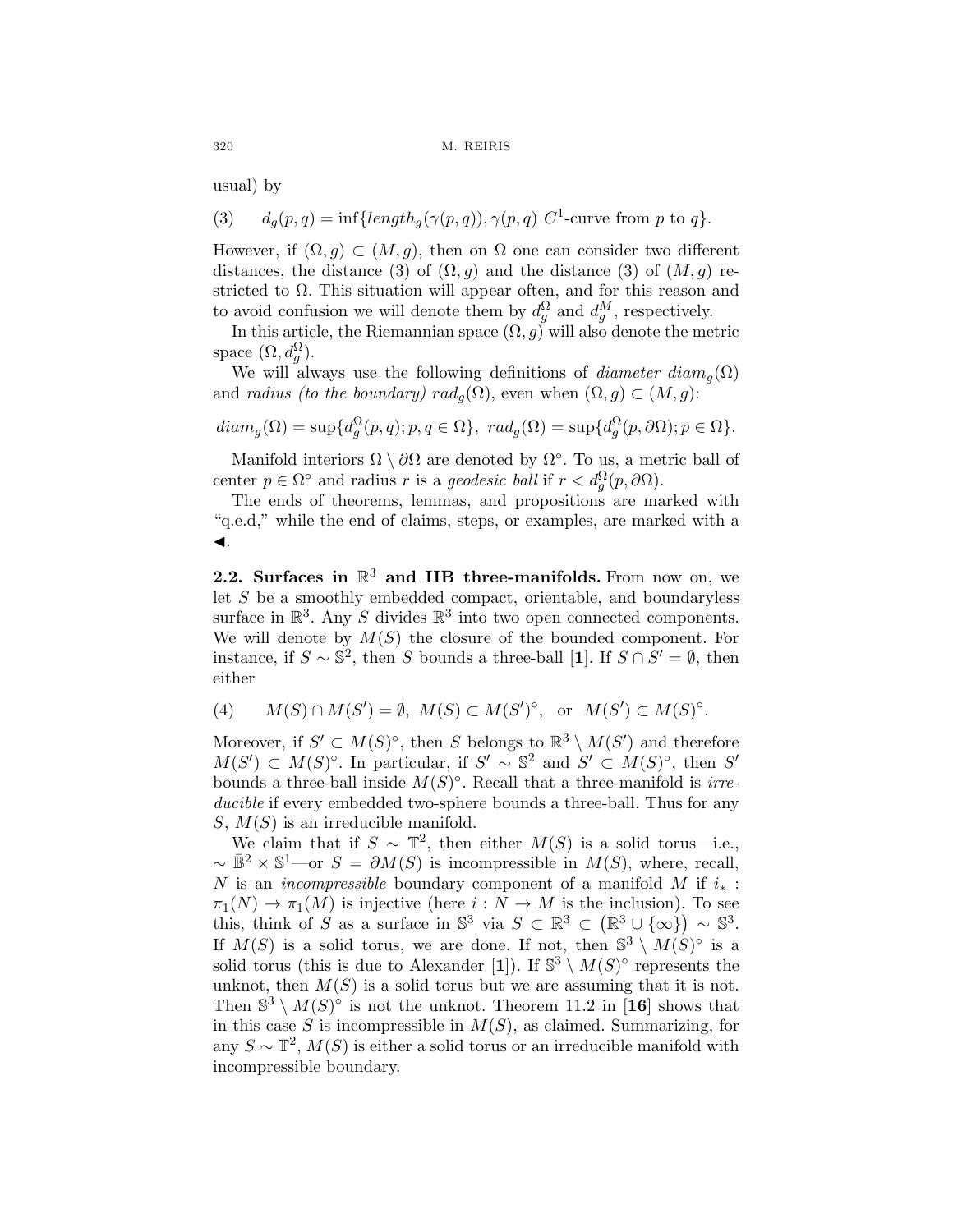usual) by

(3) 
$$
d_g(p,q) = \inf\{length_g(\gamma(p,q)), \gamma(p,q) \ C^1\text{-curve from } p \text{ to } q\}.
$$

However, if  $(\Omega, q) \subset (M, q)$ , then on  $\Omega$  one can consider two different distances, the distance (3) of  $(\Omega, g)$  and the distance (3) of  $(M, g)$  restricted to  $\Omega$ . This situation will appear often, and for this reason and to avoid confusion we will denote them by  $d_g^{\Omega}$  and  $d_g^M$ , respectively.

In this article, the Riemannian space  $(\Omega, g)$  will also denote the metric space  $(\Omega, d_g^{\Omega})$ .

We will always use the following definitions of *diameter diam<sub>q</sub>*( $\Omega$ ) and *radius (to the boundary)*  $rad_q(\Omega)$ , even when  $(\Omega, g) \subset (M, g)$ :

$$
diam_g(\Omega) = \sup \{d_g^{\Omega}(p,q); p,q \in \Omega\}, rad_g(\Omega) = \sup \{d_g^{\Omega}(p,\partial\Omega); p \in \Omega\}.
$$

Manifold interiors  $\Omega \setminus \partial\Omega$  are denoted by  $\Omega$ °. To us, a metric ball of center  $p \in \Omega^{\circ}$  and radius r is a geodesic ball if  $r < d_g^{\Omega}(p, \partial \Omega)$ .

The ends of theorems, lemmas, and propositions are marked with "q.e.d," while the end of claims, steps, or examples, are marked with a  $\blacktriangleleft$ .

2.2. Surfaces in  $\mathbb{R}^3$  and IIB three-manifolds. From now on, we let S be a smoothly embedded compact, orientable, and boundaryless surface in  $\mathbb{R}^3$ . Any S divides  $\mathbb{R}^3$  into two open connected components. We will denote by  $M(S)$  the closure of the bounded component. For instance, if  $S \sim \mathbb{S}^2$ , then S bounds a three-ball [1]. If  $S \cap S' = \emptyset$ , then either

(4) 
$$
M(S) \cap M(S') = \emptyset
$$
,  $M(S) \subset M(S')^{\circ}$ , or  $M(S') \subset M(S)^{\circ}$ .

Moreover, if  $S' \subset M(S)^\circ$ , then S belongs to  $\mathbb{R}^3 \setminus M(S')$  and therefore  $M(S') \subset M(S)$ °. In particular, if  $S' \sim \mathbb{S}^2$  and  $S' \subset M(S)$ °, then  $S'$ bounds a three-ball inside  $M(S)^\circ$ . Recall that a three-manifold is *irre*ducible if every embedded two-sphere bounds a three-ball. Thus for any  $S, M(S)$  is an irreducible manifold.

We claim that if  $S \sim \mathbb{T}^2$ , then either  $M(S)$  is a solid torus—i.e.,  $\sim \bar{\mathbb{B}}^2 \times \mathbb{S}^1$ —or  $S = \partial M(S)$  is incompressible in  $M(S)$ , where, recall, N is an *incompressible* boundary component of a manifold M if  $i_*$ :  $\pi_1(N) \to \pi_1(M)$  is injective (here  $i : N \to M$  is the inclusion). To see this, think of S as a surface in  $\mathbb{S}^3$  via  $S \subset \mathbb{R}^3 \subset (\mathbb{R}^3 \cup {\infty}) \sim \mathbb{S}^3$ . If  $M(S)$  is a solid torus, we are done. If not, then  $S^3 \setminus M(S)^\circ$  is a solid torus (this is due to Alexander [1]). If  $\mathbb{S}^3 \setminus M(S)^\circ$  represents the unknot, then  $M(S)$  is a solid torus but we are assuming that it is not. Then  $\mathbb{S}^3 \setminus M(S)^\circ$  is not the unknot. Theorem 11.2 in [16] shows that in this case S is incompressible in  $M(S)$ , as claimed. Summarizing, for any  $S \sim \mathbb{T}^2$ ,  $M(S)$  is either a solid torus or an irreducible manifold with incompressible boundary.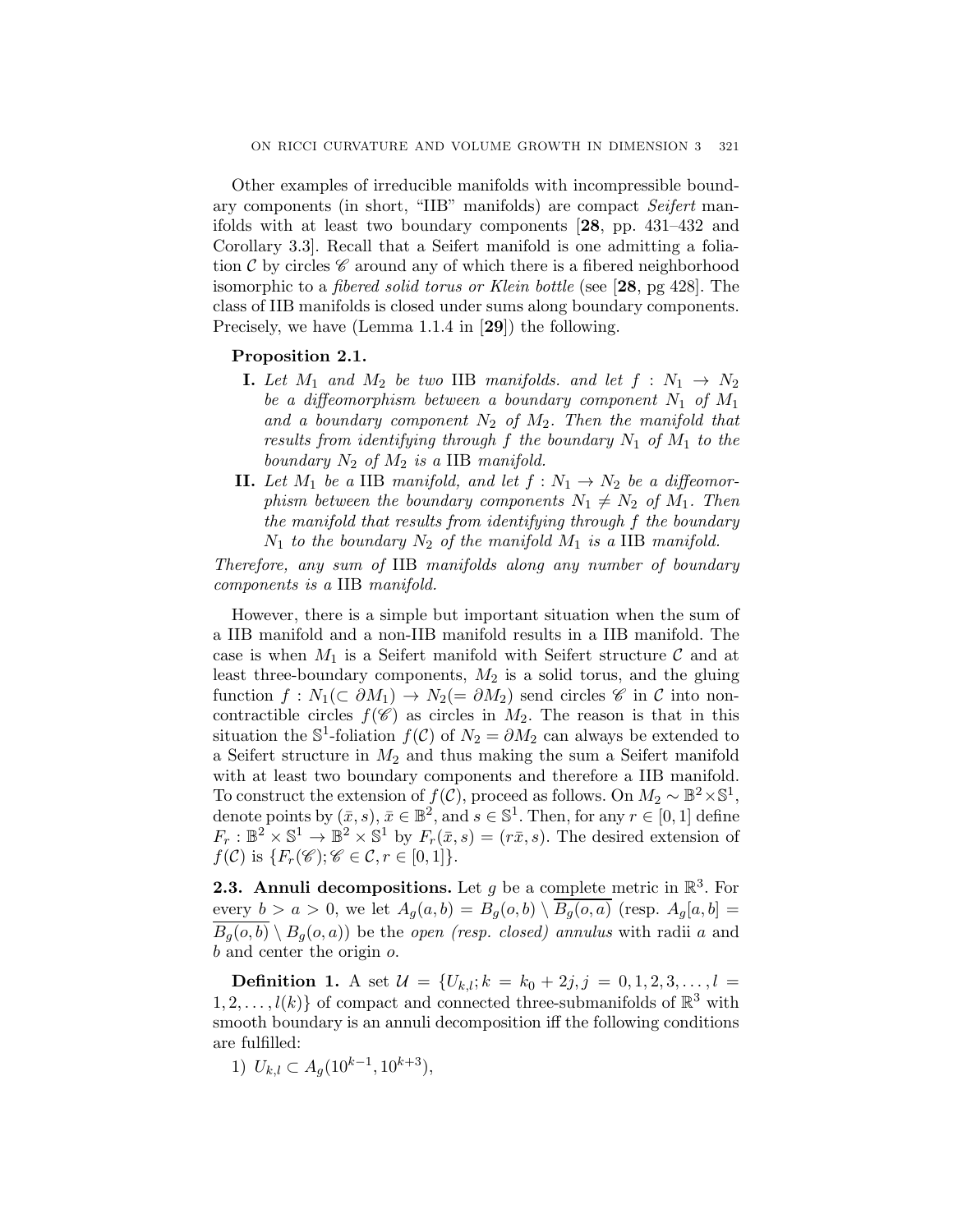Other examples of irreducible manifolds with incompressible boundary components (in short, "IIB" manifolds) are compact Seifert manifolds with at least two boundary components [28, pp. 431–432 and Corollary 3.3]. Recall that a Seifert manifold is one admitting a foliation C by circles  $\mathscr C$  around any of which there is a fibered neighborhood isomorphic to a fibered solid torus or Klein bottle (see [28, pg 428]. The class of IIB manifolds is closed under sums along boundary components. Precisely, we have (Lemma 1.1.4 in [29]) the following.

### Proposition 2.1.

- **I.** Let  $M_1$  and  $M_2$  be two IIB manifolds. and let  $f : N_1 \rightarrow N_2$ be a diffeomorphism between a boundary component  $N_1$  of  $M_1$ and a boundary component  $N_2$  of  $M_2$ . Then the manifold that results from identifying through f the boundary  $N_1$  of  $M_1$  to the boundary  $N_2$  of  $M_2$  is a IIB manifold.
- **II.** Let  $M_1$  be a IIB manifold, and let  $f : N_1 \to N_2$  be a diffeomorphism between the boundary components  $N_1 \neq N_2$  of  $M_1$ . Then the manifold that results from identifying through f the boundary  $N_1$  to the boundary  $N_2$  of the manifold  $M_1$  is a IIB manifold.

Therefore, any sum of IIB manifolds along any number of boundary components is a IIB manifold.

However, there is a simple but important situation when the sum of a IIB manifold and a non-IIB manifold results in a IIB manifold. The case is when  $M_1$  is a Seifert manifold with Seifert structure C and at least three-boundary components,  $M_2$  is a solid torus, and the gluing function  $f: N_1(\subset \partial M_1) \to N_2(=\partial M_2)$  send circles  $\mathscr C$  in  $\mathcal C$  into noncontractible circles  $f(\mathscr{C})$  as circles in  $M_2$ . The reason is that in this situation the S<sup>1</sup>-foliation  $f(\mathcal{C})$  of  $N_2 = \partial M_2$  can always be extended to a Seifert structure in  $M_2$  and thus making the sum a Seifert manifold with at least two boundary components and therefore a IIB manifold. To construct the extension of  $f(\mathcal{C})$ , proceed as follows. On  $M_2 \sim \mathbb{B}^2 \times \mathbb{S}^1$ , denote points by  $(\bar{x}, s), \bar{x} \in \mathbb{B}^2$ , and  $s \in \mathbb{S}^1$ . Then, for any  $r \in [0, 1]$  define  $F_r : \mathbb{B}^2 \times \mathbb{S}^1 \to \mathbb{B}^2 \times \mathbb{S}^1$  by  $F_r(\bar{x}, s) = (r\bar{x}, s)$ . The desired extension of  $f(\mathcal{C})$  is  $\{F_r(\mathscr{C}); \mathscr{C} \in \mathcal{C}, r \in [0,1]\}.$ 

**2.3.** Annuli decompositions. Let g be a complete metric in  $\mathbb{R}^3$ . For every  $b>a>0$ , we let  $A_g(a, b) = B_g(o, b) \setminus \overline{B_g(o, a)}$  (resp.  $A_g[a, b] =$  $B_q(o, b) \setminus B_q(o, a)$  be the *open (resp. closed)* annulus with radii a and b and center the origin o.

**Definition 1.** A set  $\mathcal{U} = \{U_{k,l}; k = k_0 + 2j, j = 0, 1, 2, 3, \ldots, l =$  $1, 2, \ldots, l(k)$  of compact and connected three-submanifolds of  $\mathbb{R}^3$  with smooth boundary is an annuli decomposition iff the following conditions are fulfilled:

1)  $U_{k,l} \subset A_q(10^{k-1}, 10^{k+3}),$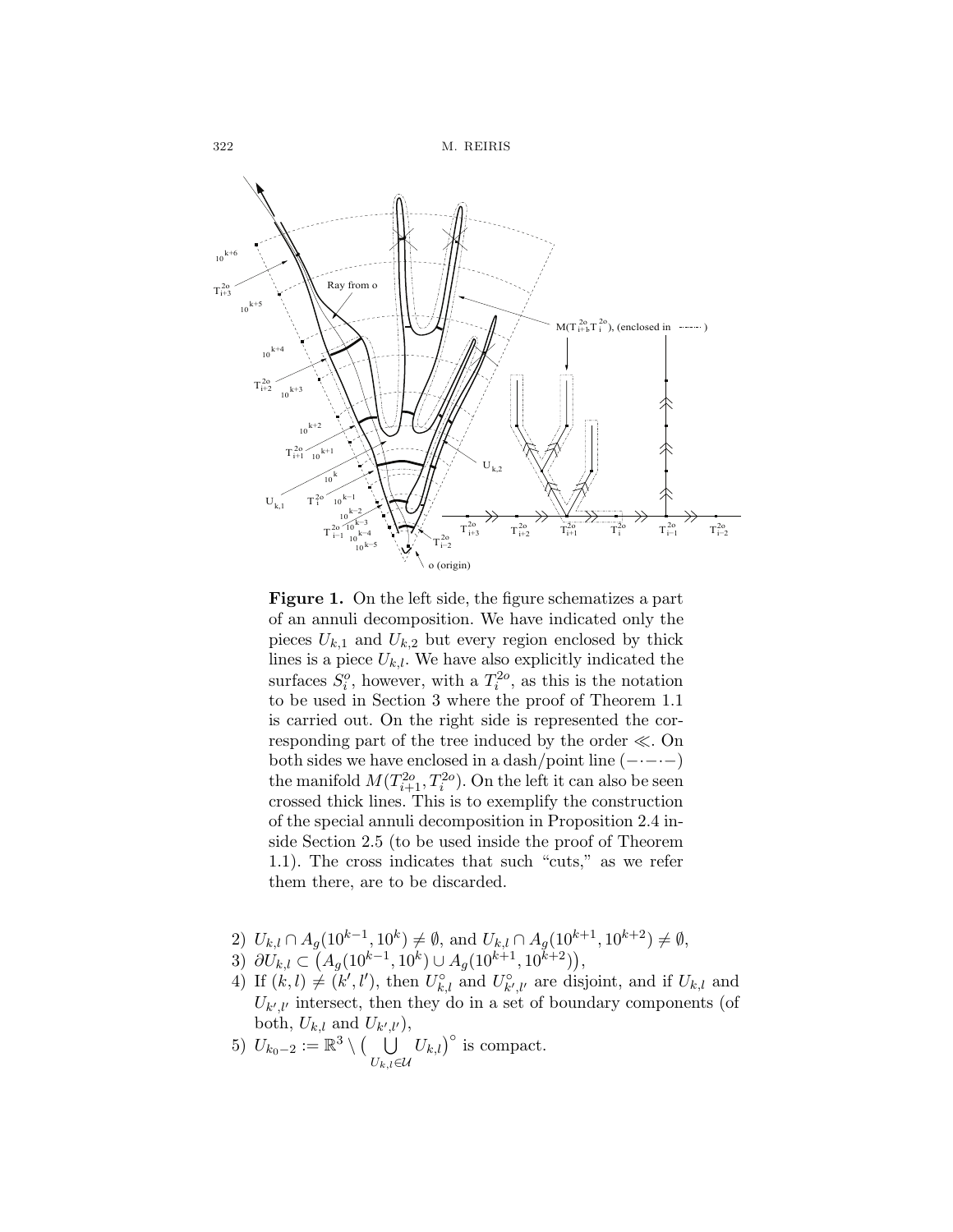

Figure 1. On the left side, the figure schematizes a part of an annuli decomposition. We have indicated only the pieces  $U_{k,1}$  and  $U_{k,2}$  but every region enclosed by thick lines is a piece  $U_{k,l}$ . We have also explicitly indicated the surfaces  $S_i^o$ , however, with a  $T_i^{2o}$ , as this is the notation to be used in Section 3 where the proof of Theorem 1.1 is carried out. On the right side is represented the corresponding part of the tree induced by the order ≪. On both sides we have enclosed in a dash/point line  $(- \cdot - \cdot -)$ the manifold  $M(T_{i+1}^{2o}, T_i^{2o})$ . On the left it can also be seen crossed thick lines. This is to exemplify the construction of the special annuli decomposition in Proposition 2.4 inside Section 2.5 (to be used inside the proof of Theorem 1.1). The cross indicates that such "cuts," as we refer them there, are to be discarded.

- 2)  $U_{k,l} \cap A_g(10^{k-1}, 10^k) \neq \emptyset$ , and  $U_{k,l} \cap A_g(10^{k+1}, 10^{k+2}) \neq \emptyset$ ,
- 3)  $\partial U_{k,l} \subset (A_g(10^{k-1}, 10^k) \cup A_g(10^{k+1}, 10^{k+2})),$
- 4) If  $(k, l) \neq (k', l')$ , then  $U_{k, l}^{\circ}$  and  $U_{k', l'}^{\circ}$  are disjoint, and if  $U_{k, l}$  and  $U_{k',l'}$  intersect, then they do in a set of boundary components (of both,  $U_{k,l}$  and  $U_{k',l'}$ ,
- 5)  $U_{k_0-2} := \mathbb{R}^3 \setminus \left(\bigcup_{\mathcal{I}}$  $U_{k,l}$ ∈U  $(U_{k,l})^{\circ}$  is compact.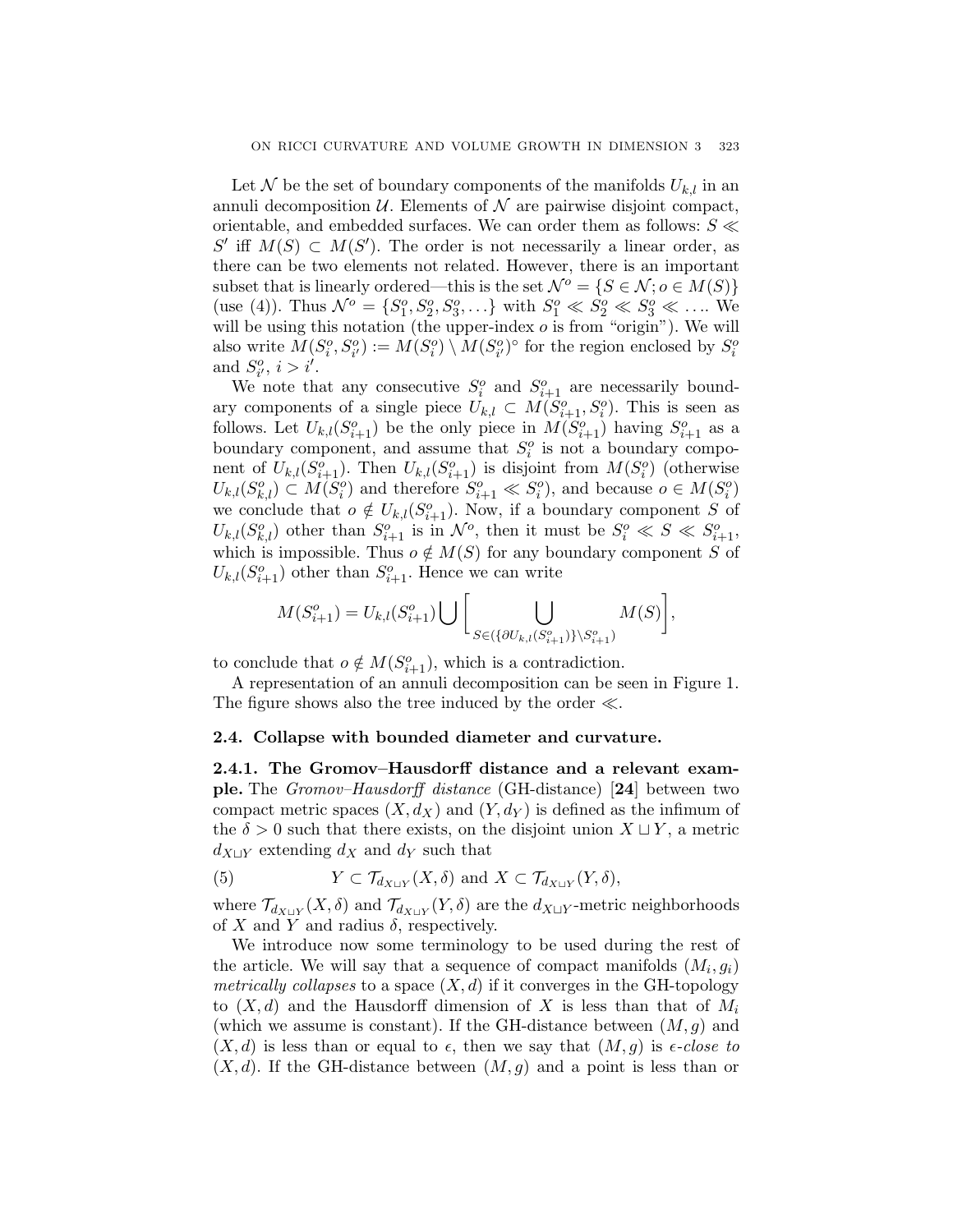Let N be the set of boundary components of the manifolds  $U_{k,l}$  in an annuli decomposition  $U$ . Elements of  $\mathcal N$  are pairwise disjoint compact, orientable, and embedded surfaces. We can order them as follows:  $S \ll$ S' iff  $M(S) \subset M(S')$ . The order is not necessarily a linear order, as there can be two elements not related. However, there is an important subset that is linearly ordered—this is the set  $\mathcal{N}^o = \{S \in \mathcal{N}; o \in M(S)\}\$ (use (4)). Thus  $\mathcal{N}^o = \{S_1^o, S_2^o, S_3^o, \ldots\}$  with  $S_1^o \ll S_2^o \ll S_3^o \ll \ldots$  We will be using this notation (the upper-index  $o$  is from "origin"). We will also write  $M(S_i^o, S_{i'}^o) := M(S_i^o) \setminus M(S_{i'}^o)$ <sup>°</sup> for the region enclosed by  $S_i^o$ and  $S_{i'}^o$ ,  $i>i'$ .

We note that any consecutive  $S_i^o$  and  $S_{i+1}^o$  are necessarily boundary components of a single piece  $U_{k,l} \subset M(S_{i+1}^o, S_i^o)$ . This is seen as follows. Let  $U_{k,l}(S_{i+1}^o)$  be the only piece in  $M(S_{i+1}^o)$  having  $S_{i+1}^o$  as a boundary component, and assume that  $S_i^o$  is not a boundary component of  $U_{k,l}(S_{i+1}^o)$ . Then  $U_{k,l}(S_{i+1}^o)$  is disjoint from  $M(S_i^o)$  (otherwise  $U_{k,l}(S_{k,l}^o) \subset M(S_i^o)$  and therefore  $S_{i+1}^o \ll S_i^o$ , and because  $o \in M(S_i^o)$ we conclude that  $o \notin U_{k,l}(S_{i+1}^o)$ . Now, if a boundary component S of  $U_{k,l}(S_{k,l}^o)$  other than  $S_{i+1}^o$  is in  $\mathcal{N}^o$ , then it must be  $S_i^o \ll S \ll S_{i+1}^o$ , which is impossible. Thus  $o \notin M(S)$  for any boundary component S of  $U_{k,l}(S_{i+1}^o)$  other than  $S_{i+1}^o$ . Hence we can write

$$
M(S_{i+1}^o) = U_{k,l}(S_{i+1}^o) \bigcup \bigg[ \bigcup_{S \in (\{\partial U_{k,l}(S_{i+1}^o)\} \setminus S_{i+1}^o)} M(S) \bigg],
$$

to conclude that  $o \notin M(S_{i+1}^o)$ , which is a contradiction.

A representation of an annuli decomposition can be seen in Figure 1. The figure shows also the tree induced by the order  $\ll$ .

### 2.4. Collapse with bounded diameter and curvature.

2.4.1. The Gromov–Hausdorff distance and a relevant example. The Gromov–Hausdorff distance (GH-distance) [24] between two compact metric spaces  $(X, d_X)$  and  $(Y, d_Y)$  is defined as the infimum of the  $\delta > 0$  such that there exists, on the disjoint union  $X \sqcup Y$ , a metric  $d_{X \sqcup Y}$  extending  $d_X$  and  $d_Y$  such that

(5) 
$$
Y \subset \mathcal{T}_{d_{X \sqcup Y}}(X, \delta)
$$
 and  $X \subset \mathcal{T}_{d_{X \sqcup Y}}(Y, \delta)$ ,

where  $\mathcal{T}_{d_{X\sqcup Y}}(X,\delta)$  and  $\mathcal{T}_{d_{X\sqcup Y}}(Y,\delta)$  are the  $d_{X\sqcup Y}$ -metric neighborhoods of X and Y and radius  $\delta$ , respectively.

We introduce now some terminology to be used during the rest of the article. We will say that a sequence of compact manifolds  $(M_i, g_i)$ metrically collapses to a space  $(X, d)$  if it converges in the GH-topology to  $(X, d)$  and the Hausdorff dimension of X is less than that of  $M_i$ (which we assume is constant). If the GH-distance between  $(M, g)$  and  $(X, d)$  is less than or equal to  $\epsilon$ , then we say that  $(M, g)$  is  $\epsilon$ -close to  $(X, d)$ . If the GH-distance between  $(M, g)$  and a point is less than or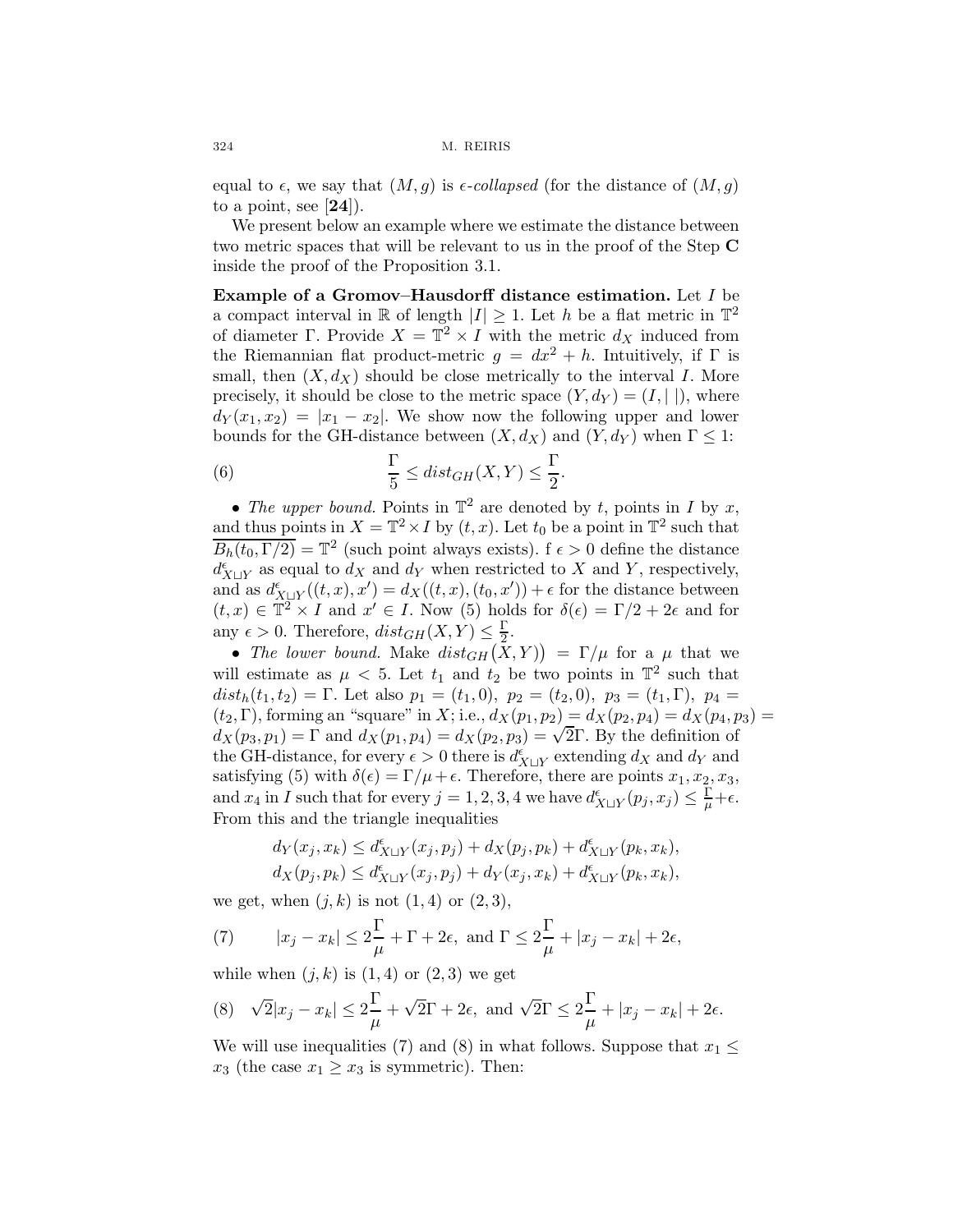equal to  $\epsilon$ , we say that  $(M,g)$  is  $\epsilon$ -collapsed (for the distance of  $(M,g)$ ) to a point, see  $[24]$ ).

We present below an example where we estimate the distance between two metric spaces that will be relevant to us in the proof of the Step C inside the proof of the Proposition 3.1.

Example of a Gromov–Hausdorff distance estimation. Let I be a compact interval in R of length  $|I| \geq 1$ . Let h be a flat metric in  $\mathbb{T}^2$ of diameter Γ. Provide  $X = \mathbb{T}^2 \times I$  with the metric  $d_X$  induced from the Riemannian flat product-metric  $g = dx^2 + h$ . Intuitively, if  $\Gamma$  is small, then  $(X, d_X)$  should be close metrically to the interval I. More precisely, it should be close to the metric space  $(Y, d_Y) = (I, ||)$ , where  $d_Y(x_1, x_2) = |x_1 - x_2|$ . We show now the following upper and lower bounds for the GH-distance between  $(X, d_X)$  and  $(Y, d_Y)$  when  $\Gamma \leq 1$ :

(6) 
$$
\frac{\Gamma}{5} \leq dist_{GH}(X,Y) \leq \frac{\Gamma}{2}.
$$

• The upper bound. Points in  $\mathbb{T}^2$  are denoted by t, points in I by x, and thus points in  $X = \mathbb{T}^2 \times I$  by  $(t, x)$ . Let  $t_0$  be a point in  $\mathbb{T}^2$  such that  $\overline{B_h(t_0, \Gamma/2)} = \mathbb{T}^2$  (such point always exists).  $f \epsilon > 0$  define the distance  $d_{X \sqcup Y}^{\epsilon}$  as equal to  $d_X$  and  $d_Y$  when restricted to X and Y, respectively, and as  $d_{X\sqcup Y}^{\epsilon}((t,x),x') = d_X((t,x),(t_0,x')) + \epsilon$  for the distance between  $(t, x) \in \mathbb{T}^2 \times I$  and  $x' \in I$ . Now (5) holds for  $\delta(\epsilon) = \Gamma/2 + 2\epsilon$  and for any  $\epsilon > 0$ . Therefore,  $dist_{GH}(X, Y) \leq \frac{\Gamma}{2}$ .

• The lower bound. Make  $dist_{GH}(\tilde{X}, Y)$  =  $\Gamma/\mu$  for a  $\mu$  that we will estimate as  $\mu < 5$ . Let  $t_1$  and  $t_2$  be two points in  $\mathbb{T}^2$  such that  $dist_h(t_1, t_2) = \Gamma$ . Let also  $p_1 = (t_1, 0), p_2 = (t_2, 0), p_3 = (t_1, \Gamma), p_4 =$  $(t_2, \Gamma)$ , forming an "square" in X; i.e.,  $d_X(p_1, p_2) = d_X(p_2, p_4) = d_X(p_4, p_3) =$  $d_X(p_3, p_1) = \Gamma$  and  $d_X(p_1, p_4) = d_X(p_2, p_3) = \sqrt{2}\Gamma$ . By the definition of the GH-distance, for every  $\epsilon > 0$  there is  $d_{X \sqcup Y}^{\epsilon}$  extending  $d_X$  and  $d_Y$  and satisfying (5) with  $\delta(\epsilon) = \Gamma/\mu + \epsilon$ . Therefore, there are points  $x_1, x_2, x_3$ , and  $x_4$  in I such that for every  $j = 1, 2, 3, 4$  we have  $d_{X \sqcup Y}^{\epsilon}(p_j, x_j) \leq \frac{\Gamma}{\mu} + \epsilon$ . From this and the triangle inequalities

$$
d_Y(x_j, x_k) \le d_{X \sqcup Y}^{\epsilon}(x_j, p_j) + d_X(p_j, p_k) + d_{X \sqcup Y}^{\epsilon}(p_k, x_k),
$$
  

$$
d_X(p_j, p_k) \le d_{X \sqcup Y}^{\epsilon}(x_j, p_j) + d_Y(x_j, x_k) + d_{X \sqcup Y}^{\epsilon}(p_k, x_k),
$$

we get, when  $(j, k)$  is not  $(1, 4)$  or  $(2, 3)$ ,

(7) 
$$
|x_j - x_k| \le 2\frac{\Gamma}{\mu} + \Gamma + 2\epsilon
$$
, and  $\Gamma \le 2\frac{\Gamma}{\mu} + |x_j - x_k| + 2\epsilon$ ,

while when  $(j, k)$  is  $(1, 4)$  or  $(2, 3)$  we get

(8) 
$$
\sqrt{2}|x_j - x_k| \le 2\frac{\Gamma}{\mu} + \sqrt{2}\Gamma + 2\epsilon
$$
, and  $\sqrt{2}\Gamma \le 2\frac{\Gamma}{\mu} + |x_j - x_k| + 2\epsilon$ .

We will use inequalities (7) and (8) in what follows. Suppose that  $x_1 \leq$  $x_3$  (the case  $x_1 \ge x_3$  is symmetric). Then: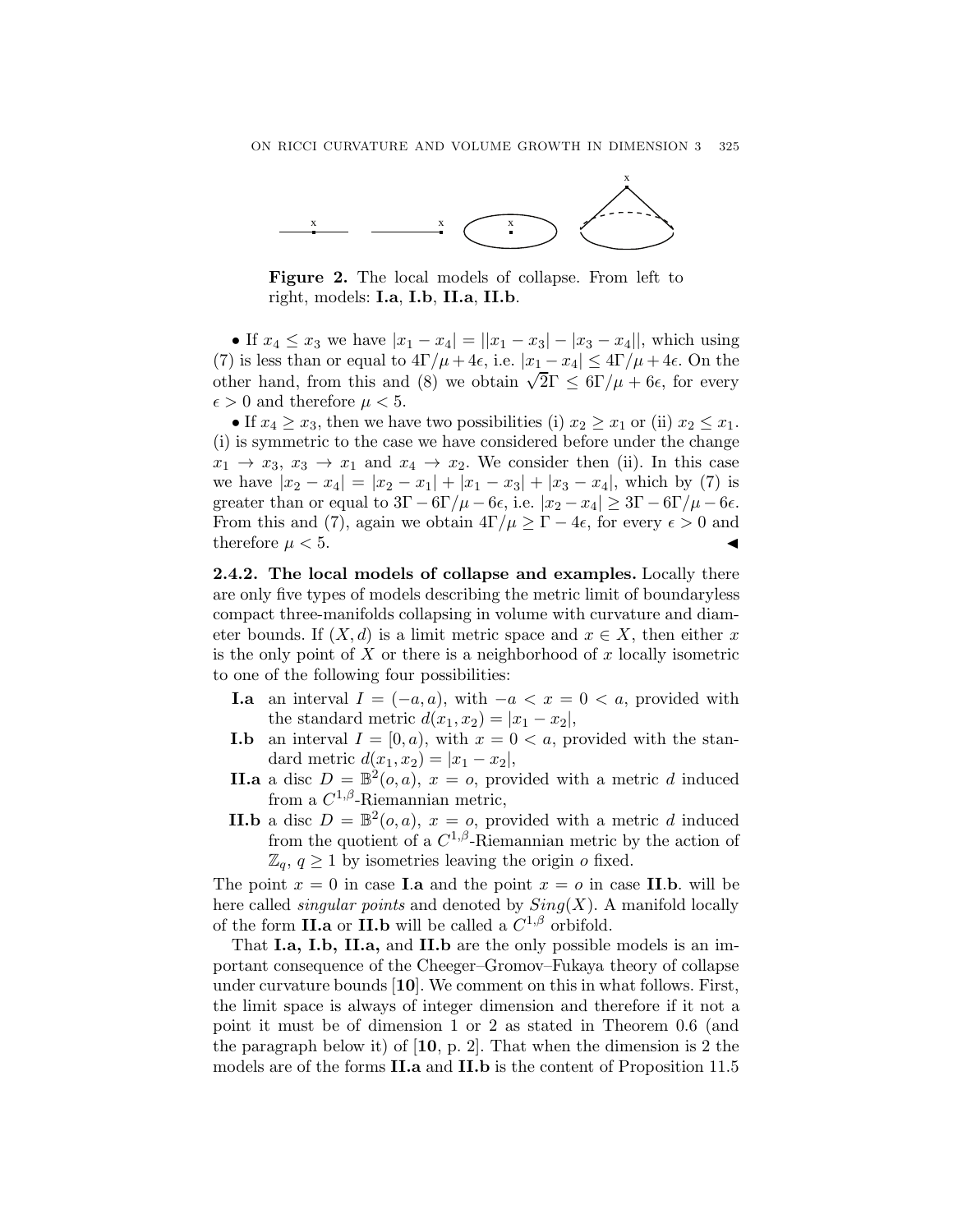

Figure 2. The local models of collapse. From left to right, models: I.a, I.b, II.a, II.b.

• If  $x_4 \leq x_3$  we have  $|x_1 - x_4| = ||x_1 - x_3| - |x_3 - x_4||$ , which using (7) is less than or equal to  $4\Gamma/\mu + 4\epsilon$ , i.e.  $|x_1 - x_4| \leq 4\Gamma/\mu + 4\epsilon$ . On the other hand, from this and (8) we obtain  $\sqrt{2\Gamma} \leq 6\Gamma/\mu + 6\epsilon$ , for every  $\epsilon > 0$  and therefore  $\mu < 5$ .

• If  $x_4 \ge x_3$ , then we have two possibilities (i)  $x_2 \ge x_1$  or (ii)  $x_2 \le x_1$ . (i) is symmetric to the case we have considered before under the change  $x_1 \rightarrow x_3, x_3 \rightarrow x_1$  and  $x_4 \rightarrow x_2$ . We consider then (ii). In this case we have  $|x_2 - x_4| = |x_2 - x_1| + |x_1 - x_3| + |x_3 - x_4|$ , which by (7) is greater than or equal to  $3\Gamma - 6\Gamma/\mu - 6\epsilon$ , i.e.  $|x_2 - x_4| \geq 3\Gamma - 6\Gamma/\mu - 6\epsilon$ . From this and (7), again we obtain  $4\Gamma/\mu \geq \Gamma - 4\epsilon$ , for every  $\epsilon > 0$  and therefore  $\mu < 5$ .

2.4.2. The local models of collapse and examples. Locally there are only five types of models describing the metric limit of boundaryless compact three-manifolds collapsing in volume with curvature and diameter bounds. If  $(X, d)$  is a limit metric space and  $x \in X$ , then either x is the only point of  $X$  or there is a neighborhood of x locally isometric to one of the following four possibilities:

- **I.a** an interval  $I = (-a, a)$ , with  $-a < x = 0 < a$ , provided with the standard metric  $d(x_1, x_2) = |x_1 - x_2|$ ,
- **I.b** an interval  $I = [0, a)$ , with  $x = 0 < a$ , provided with the standard metric  $d(x_1, x_2) = |x_1 - x_2|$ ,
- **II.a** a disc  $D = \mathbb{B}^2(o, a)$ ,  $x = o$ , provided with a metric d induced from a  $C^{1,\beta}$ -Riemannian metric,
- **II.b** a disc  $D = \mathbb{B}^2(o, a)$ ,  $x = o$ , provided with a metric d induced from the quotient of a  $C^{1,\beta}$ -Riemannian metric by the action of  $\mathbb{Z}_q$ ,  $q \geq 1$  by isometries leaving the origin o fixed.

The point  $x = 0$  in case **I.a** and the point  $x = 0$  in case **II.b.** will be here called *singular points* and denoted by  $Sing(X)$ . A manifold locally of the form II.a or II.b will be called a  $C^{1,\beta}$  orbifold.

That I.a, I.b, II.a, and II.b are the only possible models is an important consequence of the Cheeger–Gromov–Fukaya theory of collapse under curvature bounds [10]. We comment on this in what follows. First, the limit space is always of integer dimension and therefore if it not a point it must be of dimension 1 or 2 as stated in Theorem 0.6 (and the paragraph below it) of  $[10, p, 2]$ . That when the dimension is 2 the models are of the forms II.a and II.b is the content of Proposition 11.5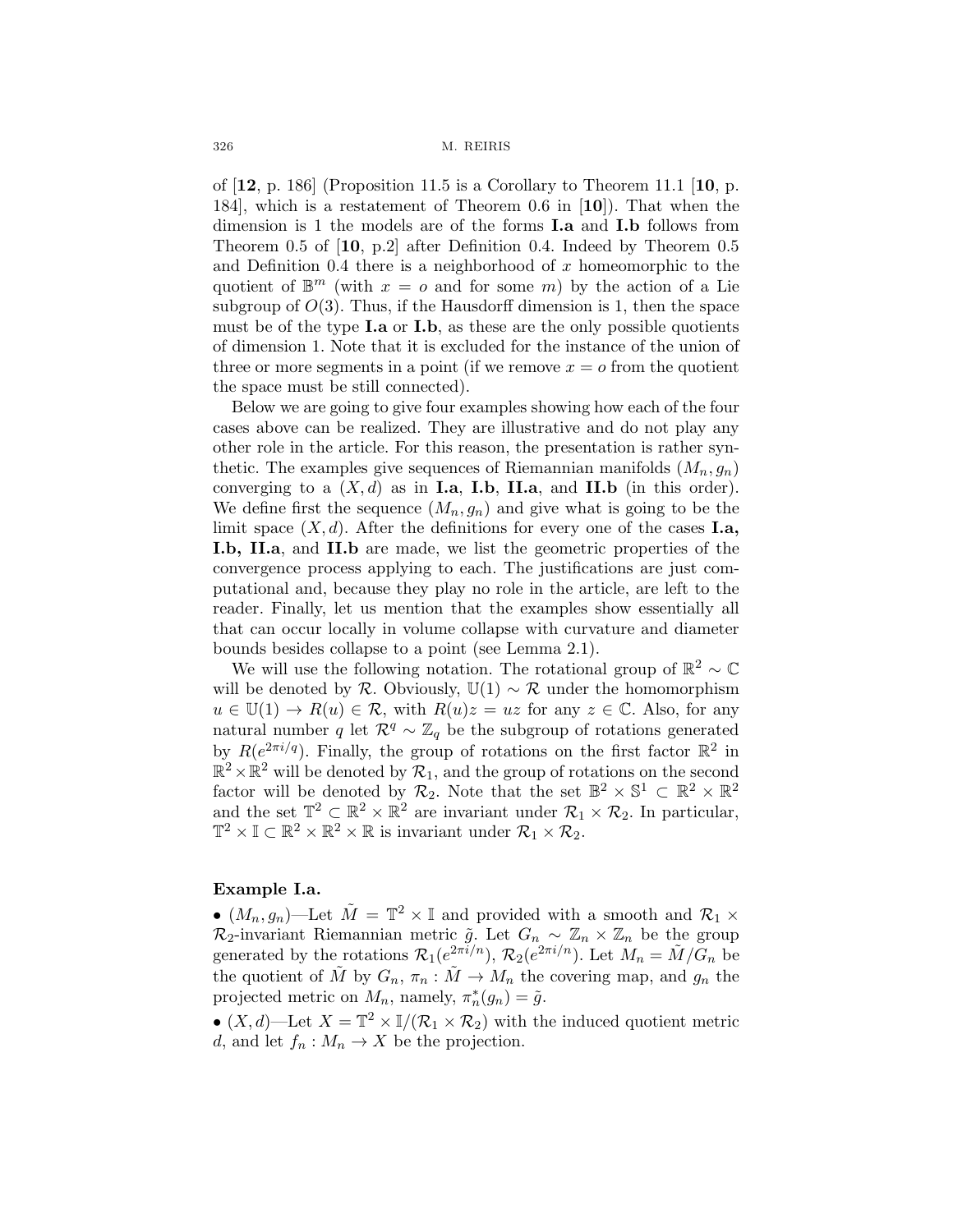of  $[12, p. 186]$  (Proposition 11.5 is a Corollary to Theorem 11.1 [10, p. 184], which is a restatement of Theorem 0.6 in [10]). That when the dimension is 1 the models are of the forms **I.a** and **I.b** follows from Theorem 0.5 of [10, p.2] after Definition 0.4. Indeed by Theorem 0.5 and Definition 0.4 there is a neighborhood of x homeomorphic to the quotient of  $\mathbb{B}^m$  (with  $x = o$  and for some m) by the action of a Lie subgroup of  $O(3)$ . Thus, if the Hausdorff dimension is 1, then the space must be of the type  $I.a$  or  $I.b$ , as these are the only possible quotients of dimension 1. Note that it is excluded for the instance of the union of three or more segments in a point (if we remove  $x = o$  from the quotient the space must be still connected).

Below we are going to give four examples showing how each of the four cases above can be realized. They are illustrative and do not play any other role in the article. For this reason, the presentation is rather synthetic. The examples give sequences of Riemannian manifolds  $(M_n, g_n)$ converging to a  $(X, d)$  as in **I.a, I.b, II.a,** and **II.b** (in this order). We define first the sequence  $(M_n, g_n)$  and give what is going to be the limit space  $(X, d)$ . After the definitions for every one of the cases **I.a**, I.b, II.a, and II.b are made, we list the geometric properties of the convergence process applying to each. The justifications are just computational and, because they play no role in the article, are left to the reader. Finally, let us mention that the examples show essentially all that can occur locally in volume collapse with curvature and diameter bounds besides collapse to a point (see Lemma 2.1).

We will use the following notation. The rotational group of  $\mathbb{R}^2 \sim \mathbb{C}$ will be denoted by R. Obviously,  $\mathbb{U}(1) \sim \mathcal{R}$  under the homomorphism  $u \in \mathbb{U}(1) \to R(u) \in \mathcal{R}$ , with  $R(u)z = uz$  for any  $z \in \mathbb{C}$ . Also, for any natural number q let  $\mathcal{R}^q$  ∼  $\mathbb{Z}_q$  be the subgroup of rotations generated by  $R(e^{2\pi i/q})$ . Finally, the group of rotations on the first factor  $\mathbb{R}^2$  in  $\mathbb{R}^2 \times \mathbb{R}^2$  will be denoted by  $\mathcal{R}_1$ , and the group of rotations on the second factor will be denoted by  $\mathcal{R}_2$ . Note that the set  $\mathbb{B}^2 \times \mathbb{S}^1 \subset \mathbb{R}^2 \times \mathbb{R}^2$ and the set  $\mathbb{T}^2 \subset \mathbb{R}^2 \times \mathbb{R}^2$  are invariant under  $\mathcal{R}_1 \times \mathcal{R}_2$ . In particular,  $\mathbb{T}^2 \times \mathbb{I} \subset \mathbb{R}^2 \times \mathbb{R}^2 \times \mathbb{R}$  is invariant under  $\mathcal{R}_1 \times \mathcal{R}_2$ .

## Example I.a.

•  $(M_n, g_n)$ —Let  $\tilde{M} = \mathbb{T}^2 \times \mathbb{I}$  and provided with a smooth and  $\mathcal{R}_1 \times$  $\mathcal{R}_2$ -invariant Riemannian metric  $\tilde{g}$ . Let  $G_n \sim \mathbb{Z}_n \times \mathbb{Z}_n$  be the group generated by the rotations  $\mathcal{R}_1(e^{2\pi i/n})$ ,  $\mathcal{R}_2(e^{2\pi i/n})$ . Let  $M_n = \tilde{M}/\tilde{G}_n$  be the quotient of  $\tilde{M}$  by  $G_n$ ,  $\pi_n : \tilde{M} \to M_n$  the covering map, and  $g_n$  the projected metric on  $M_n$ , namely,  $\pi_n^*(g_n) = \tilde{g}$ .

•  $(X, d)$ —Let  $X = \mathbb{T}^2 \times \mathbb{I}/(\mathcal{R}_1 \times \mathcal{R}_2)$  with the induced quotient metric d, and let  $f_n: M_n \to X$  be the projection.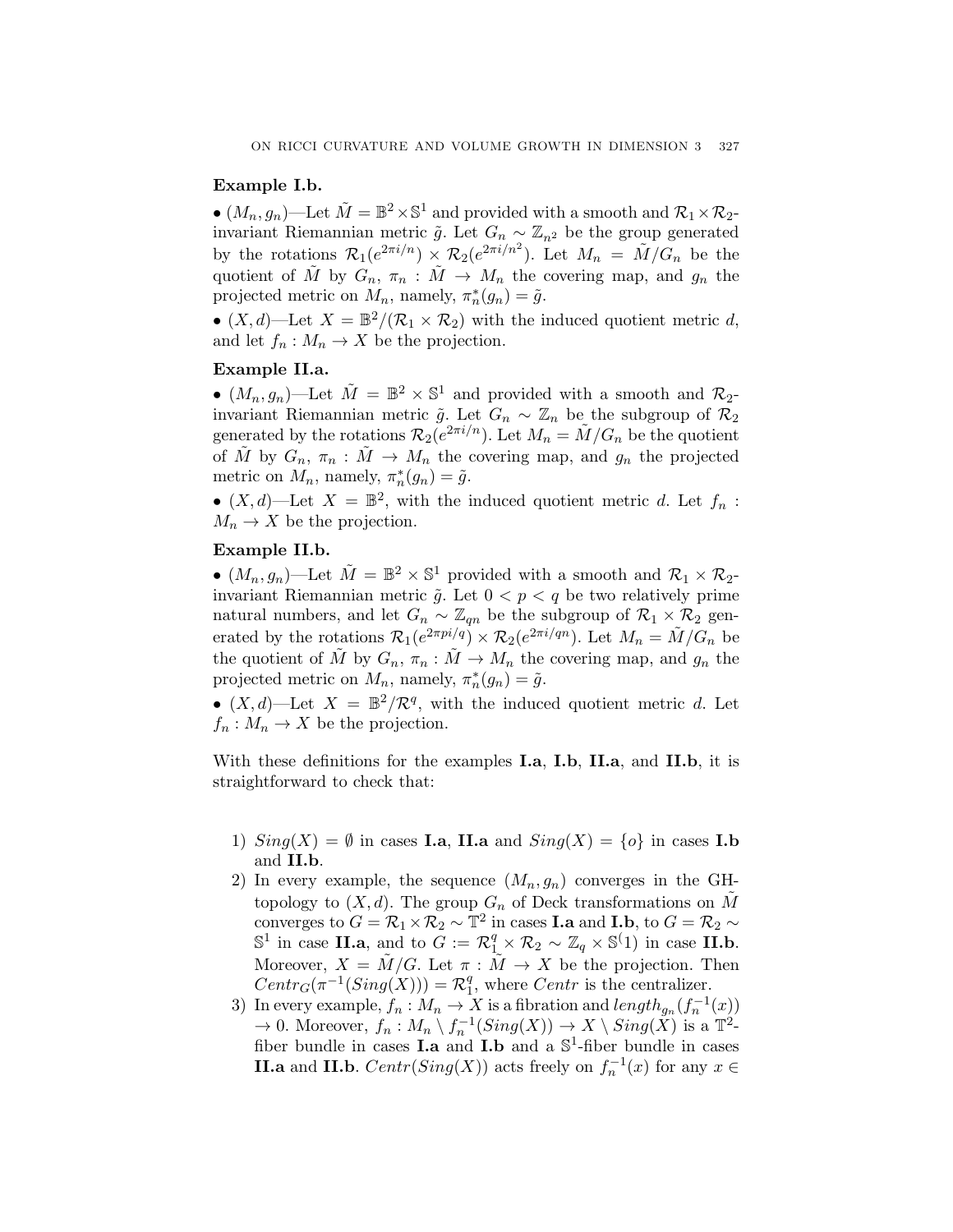## Example I.b.

•  $(M_n, g_n)$ —Let  $\tilde{M} = \mathbb{B}^2 \times \mathbb{S}^1$  and provided with a smooth and  $\mathcal{R}_1 \times \mathcal{R}_2$ invariant Riemannian metric  $\tilde{g}$ . Let  $G_n \sim \mathbb{Z}_{n^2}$  be the group generated by the rotations  $\mathcal{R}_1(e^{2\pi i/n}) \times \mathcal{R}_2(e^{2\pi i/n^2})$ . Let  $M_n = \tilde{M}/G_n$  be the quotient of M by  $G_n$ ,  $\pi_n : M \to M_n$  the covering map, and  $g_n$  the projected metric on  $M_n$ , namely,  $\pi_n^*(g_n) = \tilde{g}$ .

•  $(X, d)$ —Let  $X = \mathbb{B}^2/(\mathcal{R}_1 \times \mathcal{R}_2)$  with the induced quotient metric d, and let  $f_n: M_n \to X$  be the projection.

# Example II.a.

•  $(M_n, g_n)$ —Let  $\tilde{M} = \mathbb{B}^2 \times \mathbb{S}^1$  and provided with a smooth and  $\mathcal{R}_2$ invariant Riemannian metric  $\tilde{g}$ . Let  $G_n \sim \mathbb{Z}_n$  be the subgroup of  $\mathcal{R}_2$ generated by the rotations  $\mathcal{R}_2(e^{2\pi i/n})$ . Let  $M_n = \tilde{M}/G_n$  be the quotient of M by  $G_n$ ,  $\pi_n : M \to M_n$  the covering map, and  $g_n$  the projected metric on  $M_n$ , namely,  $\pi_n^*(g_n) = \tilde{g}$ .

•  $(X, d)$ —Let  $X = \mathbb{B}^2$ , with the induced quotient metric d. Let  $f_n$ :  $M_n \to X$  be the projection.

# Example II.b.

•  $(M_n, g_n)$ —Let  $\tilde{M} = \mathbb{B}^2 \times \mathbb{S}^1$  provided with a smooth and  $\mathcal{R}_1 \times \mathcal{R}_2$ invariant Riemannian metric  $\tilde{g}$ . Let  $0 < p < q$  be two relatively prime natural numbers, and let  $G_n \sim \mathbb{Z}_{qn}$  be the subgroup of  $\mathcal{R}_1 \times \mathcal{R}_2$  generated by the rotations  $\mathcal{R}_1(e^{2\pi pi/q}) \times \mathcal{R}_2(e^{2\pi i/qn})$ . Let  $M_n = \tilde{M}/G_n$  be the quotient of  $\tilde{M}$  by  $G_n$ ,  $\pi_n : \tilde{M} \to M_n$  the covering map, and  $g_n$  the projected metric on  $M_n$ , namely,  $\pi_n^*(g_n) = \tilde{g}$ .

•  $(X, d)$ —Let  $X = \mathbb{B}^2/\mathcal{R}^q$ , with the induced quotient metric d. Let  $f_n: M_n \to X$  be the projection.

With these definitions for the examples **I.a, I.b, II.a**, and **II.b**, it is straightforward to check that:

- 1)  $Sing(X) = \emptyset$  in cases **I.a, II.a** and  $Sing(X) = \{o\}$  in cases **I.b** and II.b.
- 2) In every example, the sequence  $(M_n, g_n)$  converges in the GHtopology to  $(X, d)$ . The group  $G_n$  of Deck transformations on  $\tilde{M}$ converges to  $G = \mathcal{R}_1 \times \mathcal{R}_2 \sim \mathbb{T}^2$  in cases **I.a** and **I.b**, to  $G = \mathcal{R}_2 \sim$  $\mathbb{S}^1$  in case II.a, and to  $G := \mathcal{R}_1^q \times \mathcal{R}_2 \sim \mathbb{Z}_q \times \mathbb{S}^{\langle 1 \rangle}$  in case II.b. Moreover,  $X = M/G$ . Let  $\pi : M \to X$  be the projection. Then  $Centr_G(\pi^{-1}(Sing(X))) = \mathcal{R}_1^q$ , where  $Centr$  is the centralizer.
- 3) In every example,  $f_n : M_n \to X$  is a fibration and  $length_{g_n}(f_n^{-1}(x))$  $\to 0$ . Moreover,  $f_n : M_n \setminus f_n^{-1}(Sing(X)) \to X \setminus Sing(X)$  is a  $\mathbb{T}^2$ fiber bundle in cases **I.a** and **I.b** and a  $\mathbb{S}^1$ -fiber bundle in cases **II.a** and **II.b**.  $Centr(Sing(X))$  acts freely on  $f_n^{-1}(x)$  for any  $x \in$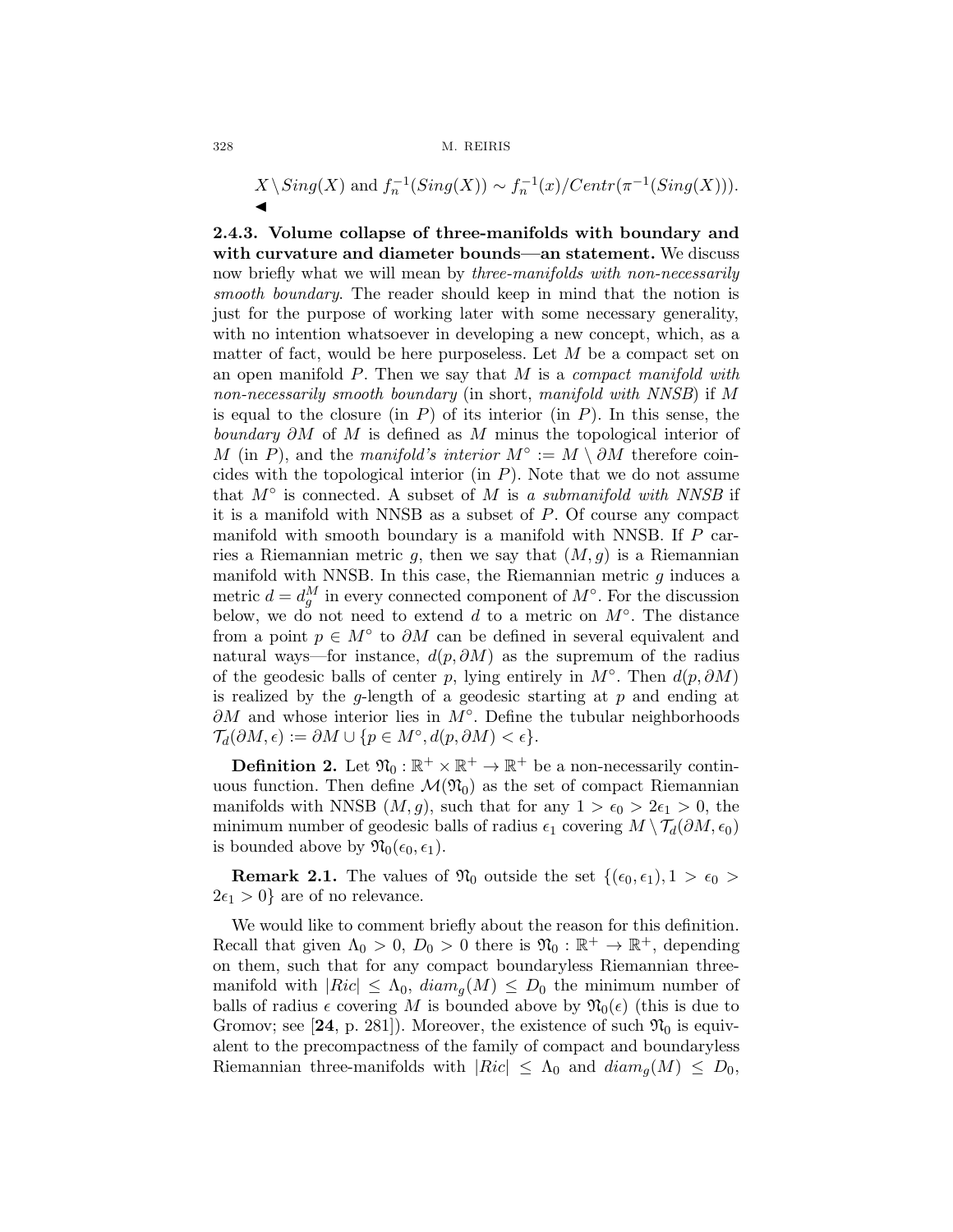$$
X \setminus Sing(X) \text{ and } f_n^{-1}(Sing(X)) \sim f_n^{-1}(x) / Centr(\pi^{-1}(Sing(X))).
$$

2.4.3. Volume collapse of three-manifolds with boundary and with curvature and diameter bounds—an statement. We discuss now briefly what we will mean by *three-manifolds with non-necessarily* smooth boundary. The reader should keep in mind that the notion is just for the purpose of working later with some necessary generality, with no intention whatsoever in developing a new concept, which, as a matter of fact, would be here purposeless. Let  $M$  be a compact set on an open manifold  $P$ . Then we say that  $M$  is a *compact manifold with* non-necessarily smooth boundary (in short, manifold with NNSB) if M is equal to the closure (in  $P$ ) of its interior (in  $P$ ). In this sense, the boundary  $\partial M$  of M is defined as M minus the topological interior of M (in P), and the manifold's interior  $M^\circ := M \setminus \partial M$  therefore coincides with the topological interior (in  $P$ ). Note that we do not assume that  $M^{\circ}$  is connected. A subset of M is a submanifold with NNSB if it is a manifold with NNSB as a subset of P. Of course any compact manifold with smooth boundary is a manifold with NNSB. If P carries a Riemannian metric g, then we say that  $(M,g)$  is a Riemannian manifold with NNSB. In this case, the Riemannian metric  $g$  induces a metric  $d = d_g^M$  in every connected component of  $M^{\circ}$ . For the discussion below, we do not need to extend d to a metric on  $M^\circ$ . The distance from a point  $p \in M^{\circ}$  to  $\partial M$  can be defined in several equivalent and natural ways—for instance,  $d(p, \partial M)$  as the supremum of the radius of the geodesic balls of center p, lying entirely in  $M^\circ$ . Then  $d(p, \partial M)$ is realized by the q-length of a geodesic starting at  $p$  and ending at  $\partial M$  and whose interior lies in  $M^\circ$ . Define the tubular neighborhoods  $\mathcal{T}_d(\partial M, \epsilon) := \partial M \cup \{p \in M^\circ, d(p, \partial M) < \epsilon\}.$ 

**Definition 2.** Let  $\mathfrak{N}_0 : \mathbb{R}^+ \times \mathbb{R}^+ \to \mathbb{R}^+$  be a non-necessarily continuous function. Then define  $\mathcal{M}(\mathfrak{N}_0)$  as the set of compact Riemannian manifolds with NNSB  $(M, g)$ , such that for any  $1 > \epsilon_0 > 2\epsilon_1 > 0$ , the minimum number of geodesic balls of radius  $\epsilon_1$  covering  $M \setminus \mathcal{T}_d(\partial M, \epsilon_0)$ is bounded above by  $\mathfrak{N}_0(\epsilon_0, \epsilon_1)$ .

**Remark 2.1.** The values of  $\mathfrak{N}_0$  outside the set  $\{(\epsilon_0, \epsilon_1), 1 > \epsilon_0 > \epsilon_0\}$  $2\epsilon_1 > 0$ } are of no relevance.

We would like to comment briefly about the reason for this definition. Recall that given  $\Lambda_0 > 0$ ,  $D_0 > 0$  there is  $\mathfrak{N}_0 : \mathbb{R}^+ \to \mathbb{R}^+$ , depending on them, such that for any compact boundaryless Riemannian threemanifold with  $|Ric| \leq \Lambda_0$ ,  $diam_g(M) \leq D_0$  the minimum number of balls of radius  $\epsilon$  covering M is bounded above by  $\mathfrak{N}_0(\epsilon)$  (this is due to Gromov; see [24, p. 281]). Moreover, the existence of such  $\mathfrak{N}_0$  is equivalent to the precompactness of the family of compact and boundaryless Riemannian three-manifolds with  $|Ric| \leq \Lambda_0$  and  $diam_q(M) \leq D_0$ ,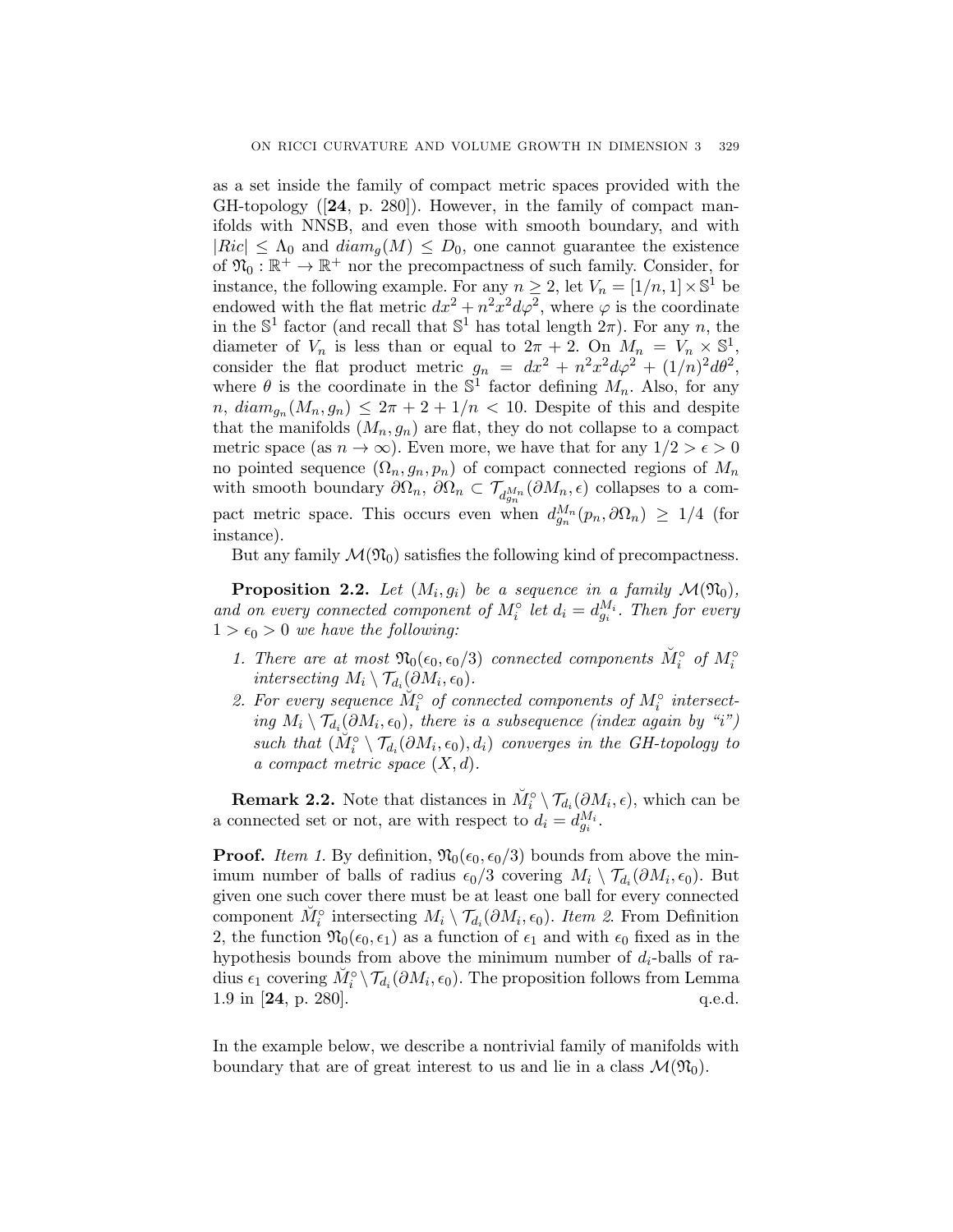as a set inside the family of compact metric spaces provided with the GH-topology ([24, p. 280]). However, in the family of compact manifolds with NNSB, and even those with smooth boundary, and with  $|Ric| \leq \Lambda_0$  and  $diam_q(M) \leq D_0$ , one cannot guarantee the existence of  $\mathfrak{N}_0 : \mathbb{R}^+ \to \mathbb{R}^+$  nor the precompactness of such family. Consider, for instance, the following example. For any  $n \geq 2$ , let  $V_n = [1/n, 1] \times \mathbb{S}^1$  be endowed with the flat metric  $dx^2 + n^2x^2d\varphi^2$ , where  $\varphi$  is the coordinate in the  $\mathbb{S}^1$  factor (and recall that  $\mathbb{S}^1$  has total length  $2\pi$ ). For any n, the diameter of  $V_n$  is less than or equal to  $2\pi + 2$ . On  $M_n = V_n \times \mathbb{S}^1$ consider the flat product metric  $g_n = dx^2 + n^2x^2d\varphi^2 + (1/n)^2d\theta^2$ , where  $\theta$  is the coordinate in the  $\mathbb{S}^1$  factor defining  $M_n$ . Also, for any  $n, diam_{g_n}(M_n, g_n) \leq 2\pi + 2 + 1/n < 10$ . Despite of this and despite that the manifolds  $(M_n, g_n)$  are flat, they do not collapse to a compact metric space (as  $n \to \infty$ ). Even more, we have that for any  $1/2 > \epsilon > 0$ no pointed sequence  $(\Omega_n, g_n, p_n)$  of compact connected regions of  $M_n$ with smooth boundary  $\partial\Omega_n$ ,  $\partial\Omega_n \subset \mathcal{T}_{d_{gn}^{M_n}}(\partial M_n, \epsilon)$  collapses to a compact metric space. This occurs even when  $d_{q_n}^{M_n}(p_n, \partial \Omega_n) \geq 1/4$  (for instance).

But any family  $\mathcal{M}(\mathfrak{N}_0)$  satisfies the following kind of precompactness.

**Proposition 2.2.** Let  $(M_i, g_i)$  be a sequence in a family  $\mathcal{M}(\mathfrak{N}_0)$ , and on every connected component of  $M_i^{\circ}$  let  $d_i = d_{g_i}^{M_i}$ . Then for every  $1 > \epsilon_0 > 0$  we have the following:

- 1. There are at most  $\mathfrak{N}_0(\epsilon_0, \epsilon_0/3)$  connected components  $\check{M}_i^{\circ}$  of  $M_i^{\circ}$ intersecting  $M_i \setminus \mathcal{T}_{d_i}(\partial M_i, \epsilon_0)$ .
- 2. For every sequence  $\check{M}_i^{\circ}$  of connected components of  $M_i^{\circ}$  intersecting  $M_i \setminus \mathcal{T}_{d_i}(\partial M_i, \epsilon_0)$ , there is a subsequence (index again by "i") such that  $(M_i^{\circ} \setminus \mathcal{T}_{d_i}(\partial M_i, \epsilon_0), d_i)$  converges in the GH-topology to a compact metric space  $(X, d)$ .

**Remark 2.2.** Note that distances in  $\check{M}_i^{\circ} \setminus \mathcal{T}_{d_i}(\partial M_i, \epsilon)$ , which can be a connected set or not, are with respect to  $d_i = d_{a_i}^{M_i}$ .

**Proof.** Item 1. By definition,  $\mathfrak{N}_0(\epsilon_0, \epsilon_0/3)$  bounds from above the minimum number of balls of radius  $\epsilon_0/3$  covering  $M_i \setminus \mathcal{T}_{d_i}(\partial M_i, \epsilon_0)$ . But given one such cover there must be at least one ball for every connected component  $\check{M}_i^{\circ}$  intersecting  $M_i \setminus \mathcal{T}_{d_i}(\partial M_i, \epsilon_0)$ . Item 2. From Definition 2, the function  $\mathfrak{N}_0(\epsilon_0, \epsilon_1)$  as a function of  $\epsilon_1$  and with  $\epsilon_0$  fixed as in the hypothesis bounds from above the minimum number of  $d_i$ -balls of radius  $\epsilon_1$  covering  $\widetilde{M}_i^{\circ} \setminus \mathcal{T}_{d_i}(\partial M_i, \epsilon_0)$ . The proposition follows from Lemma 1.9 in  $[24, p. 280]$ . q.e.d.

In the example below, we describe a nontrivial family of manifolds with boundary that are of great interest to us and lie in a class  $\mathcal{M}(\mathfrak{N}_0)$ .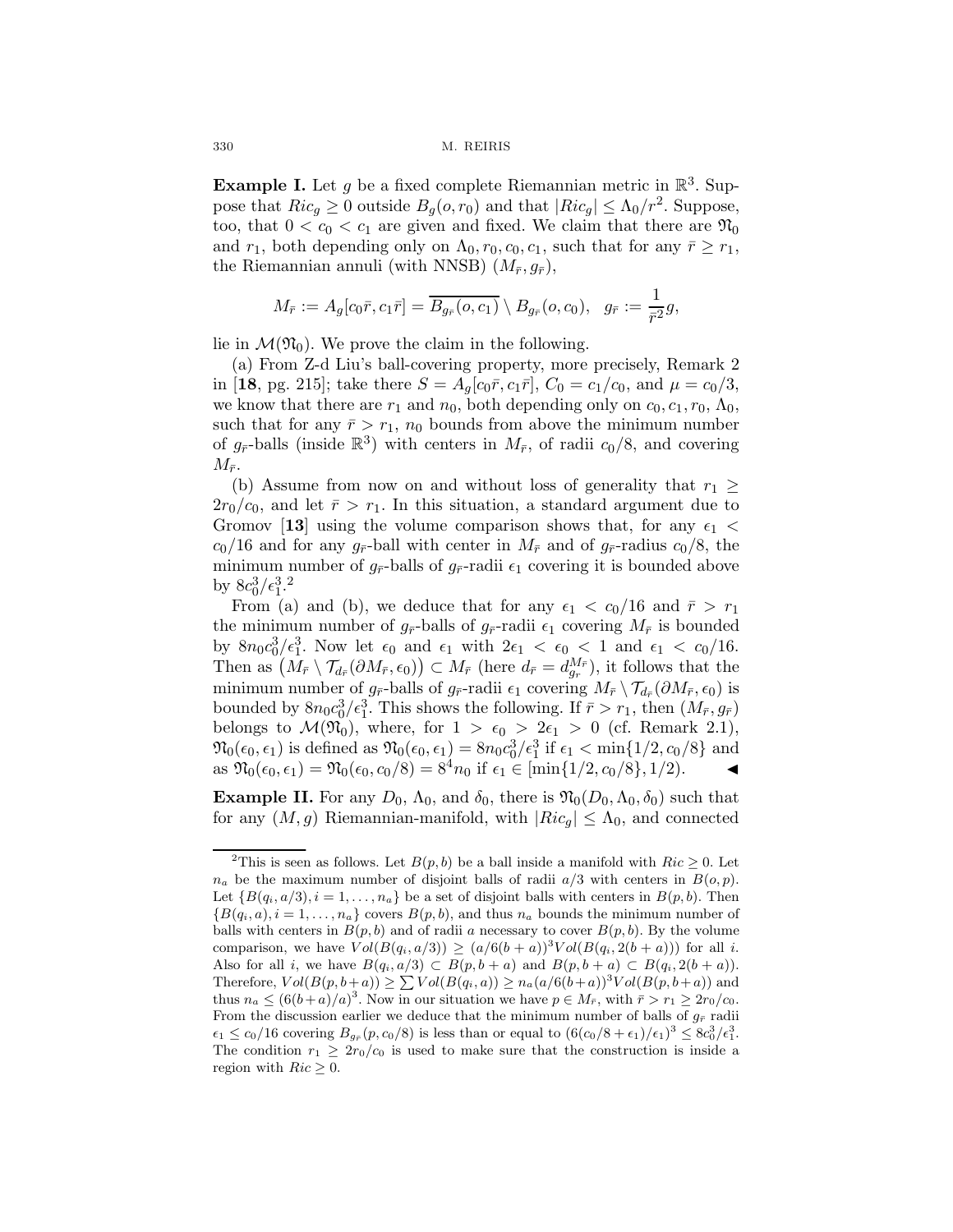**Example I.** Let g be a fixed complete Riemannian metric in  $\mathbb{R}^3$ . Suppose that  $Ric_q \geq 0$  outside  $B_q(o, r_0)$  and that  $|Ric_q| \leq \Lambda_0/r^2$ . Suppose, too, that  $0 < c_0 < c_1$  are given and fixed. We claim that there are  $\mathfrak{N}_0$ and  $r_1$ , both depending only on  $\Lambda_0$ ,  $r_0$ ,  $c_0$ ,  $c_1$ , such that for any  $\bar{r} \geq r_1$ , the Riemannian annuli (with NNSB)  $(M_{\bar{r}}, g_{\bar{r}})$ ,

$$
M_{\bar{r}} := A_g[c_0\bar{r}, c_1\bar{r}] = \overline{B_{g_{\bar{r}}}(o, c_1)} \setminus B_{g_{\bar{r}}}(o, c_0), \quad g_{\bar{r}} := \frac{1}{\bar{r}^2}g,
$$

lie in  $\mathcal{M}(\mathfrak{N}_0)$ . We prove the claim in the following.

(a) From Z-d Liu's ball-covering property, more precisely, Remark 2 in [18, pg. 215]; take there  $S = A_q[c_0\bar{r}, c_1\bar{r}]$ ,  $C_0 = c_1/c_0$ , and  $\mu = c_0/3$ , we know that there are  $r_1$  and  $n_0$ , both depending only on  $c_0$ ,  $c_1$ ,  $r_0$ ,  $\Lambda_0$ , such that for any  $\bar{r} > r_1$ ,  $n_0$  bounds from above the minimum number of  $g_{\bar{r}}$ -balls (inside  $\mathbb{R}^3$ ) with centers in  $M_{\bar{r}}$ , of radii  $c_0/8$ , and covering  $M_{\bar{r}}$ .

(b) Assume from now on and without loss of generality that  $r_1 \geq$  $2r_0/c_0$ , and let  $\bar{r} > r_1$ . In this situation, a standard argument due to Gromov [13] using the volume comparison shows that, for any  $\epsilon_1$  <  $c_0/16$  and for any  $g_{\bar{r}}$ -ball with center in  $M_{\bar{r}}$  and of  $g_{\bar{r}}$ -radius  $c_0/8$ , the minimum number of  $g_{\bar{r}}$ -balls of  $g_{\bar{r}}$ -radii  $\epsilon_1$  covering it is bounded above by  $8c_0^3/\epsilon_1^3$ .<sup>2</sup>

From (a) and (b), we deduce that for any  $\epsilon_1 < c_0/16$  and  $\bar{r} > r_1$ the minimum number of  $q_{\bar{r}}$ -balls of  $q_{\bar{r}}$ -radii  $\epsilon_1$  covering  $M_{\bar{r}}$  is bounded by  $8n_0c_0^3/\epsilon_1^3$ . Now let  $\epsilon_0$  and  $\epsilon_1$  with  $2\epsilon_1 < \epsilon_0 < 1$  and  $\epsilon_1 < c_0/16$ . Then as  $(M_{\bar{r}} \setminus \mathcal{T}_{d_{\bar{r}}}(\partial M_{\bar{r}}, \epsilon_0)) \subset M_{\bar{r}}$  (here  $d_{\bar{r}} = d_{g_r}^{M_{\bar{r}}},$  it follows that the minimum number of  $g_{\bar{r}}$ -balls of  $g_{\bar{r}}$ -radii  $\epsilon_1$  covering  $M_{\bar{r}} \setminus \mathcal{T}_{d_{\bar{r}}}(\partial M_{\bar{r}}, \epsilon_0)$  is bounded by  $8n_0c_0^3/\epsilon_1^3$ . This shows the following. If  $\bar{r}>r_1$ , then  $(M_{\bar{r}}, g_{\bar{r}})$ belongs to  $\mathcal{M}(\mathfrak{N}_0)$ , where, for  $1 > \epsilon_0 > 2\epsilon_1 > 0$  (cf. Remark 2.1),  $\mathfrak{N}_0(\epsilon_0, \epsilon_1)$  is defined as  $\mathfrak{N}_0(\epsilon_0, \epsilon_1) = 8n_0c_0^3/\epsilon_1^3$  if  $\epsilon_1 < \min\{1/2, c_0/8\}$  and as  $\mathfrak{N}_0(\epsilon_0, \epsilon_1) = \mathfrak{N}_0(\epsilon_0, c_0/8) = 8^4 n_0$  if  $\epsilon_1 \in [\min\{1/2, c_0/8\}, 1/2)$ .

**Example II.** For any  $D_0$ ,  $\Lambda_0$ , and  $\delta_0$ , there is  $\mathfrak{N}_0(D_0,\Lambda_0,\delta_0)$  such that for any  $(M,g)$  Riemannian-manifold, with  $|Ric_g| \leq \Lambda_0$ , and connected

<sup>&</sup>lt;sup>2</sup>This is seen as follows. Let  $B(p, b)$  be a ball inside a manifold with  $Ric \geq 0$ . Let  $n_a$  be the maximum number of disjoint balls of radii  $a/3$  with centers in  $B(o, p)$ . Let  $\{B(q_i, a/3), i = 1, \ldots, n_a\}$  be a set of disjoint balls with centers in  $B(p, b)$ . Then  ${B(q_i, a), i = 1, ..., n_a}$  covers  $B(p, b)$ , and thus  $n_a$  bounds the minimum number of balls with centers in  $B(p, b)$  and of radii a necessary to cover  $B(p, b)$ . By the volume comparison, we have  $Vol(B(q_i, a/3)) \geq (a/6(b+a))^3 Vol(B(q_i, 2(b+a)))$  for all i. Also for all i, we have  $B(q_i, a/3) \subset B(p, b + a)$  and  $B(p, b + a) \subset B(q_i, 2(b + a))$ . Therefore,  $Vol(B(p, b+a)) \geq \sum Vol(B(q_i, a)) \geq n_a(a/6(b+a))^3 Vol(B(p, b+a))$  and thus  $n_a \leq (6(b+a)/a)^3$ . Now in our situation we have  $p \in M_{\bar{r}}$ , with  $\bar{r} > r_1 \geq 2r_0/c_0$ . From the discussion earlier we deduce that the minimum number of balls of  $g_{\bar{r}}$  radii  $\epsilon_1 \leq c_0/16$  covering  $B_{g_{\overline{r}}}(p, c_0/8)$  is less than or equal to  $(6(c_0/8 + \epsilon_1)/\epsilon_1)^3 \leq 8c_0^3/\epsilon_1^3$ . The condition  $r_1 \geq 2r_0/c_0$  is used to make sure that the construction is inside a region with  $Ric \geq 0$ .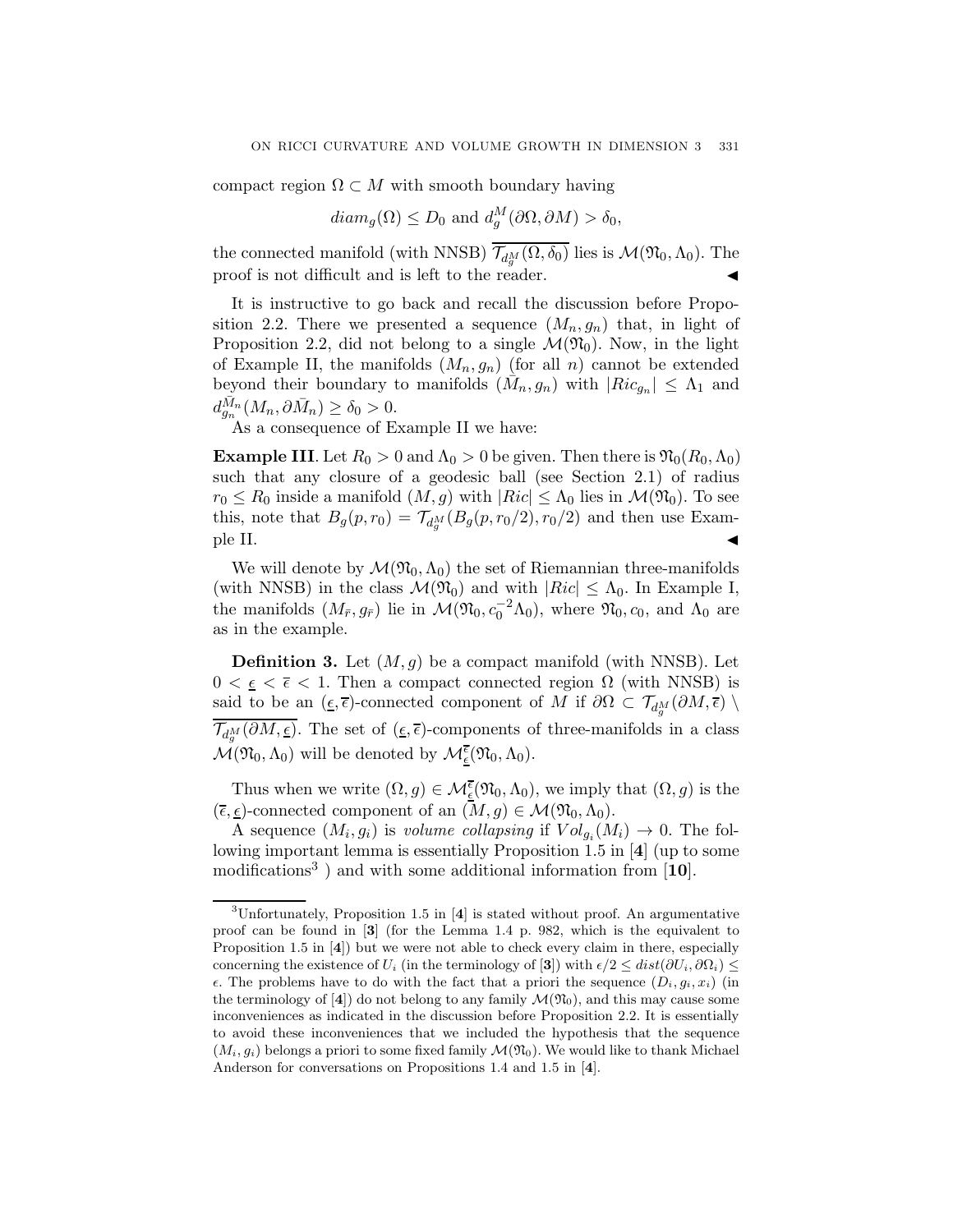compact region  $\Omega \subset M$  with smooth boundary having

$$
diam_g(\Omega) \le D_0 \text{ and } d_g^M(\partial \Omega, \partial M) > \delta_0,
$$

the connected manifold (with NNSB)  $\overline{\mathcal{T}_{d_n^M}(\Omega,\delta_0)}$  lies is  $\mathcal{M}(\mathfrak{N}_0,\Lambda_0)$ . The proof is not difficult and is left to the reader. #

It is instructive to go back and recall the discussion before Proposition 2.2. There we presented a sequence  $(M_n, g_n)$  that, in light of Proposition 2.2, did not belong to a single  $\mathcal{M}(\mathfrak{N}_0)$ . Now, in the light of Example II, the manifolds  $(M_n, g_n)$  (for all n) cannot be extended beyond their boundary to manifolds  $(\bar{M}_n, g_n)$  with  $|Ric_{g_n}| \leq \Lambda_1$  and  $d_{g_n}^{\bar{M}_n} (M_n, \partial \bar{M}_n) \ge \delta_0 > 0.$ 

As a consequence of Example II we have:

**Example III.** Let  $R_0 > 0$  and  $\Lambda_0 > 0$  be given. Then there is  $\mathfrak{N}_0(R_0,\Lambda_0)$ such that any closure of a geodesic ball (see Section 2.1) of radius  $r_0 \leq R_0$  inside a manifold  $(M, g)$  with  $|Ric| \leq \Lambda_0$  lies in  $\mathcal{M}(\mathfrak{N}_0)$ . To see this, note that  $B_g(p,r_0) = \mathcal{T}_{d_g^M}(B_g(p,r_0/2), r_0/2)$  and then use Exam- $\blacksquare$  ple II.

We will denote by  $\mathcal{M}(\mathfrak{N}_0,\Lambda_0)$  the set of Riemannian three-manifolds (with NNSB) in the class  $\mathcal{M}(\mathfrak{N}_0)$  and with  $|Ric| \leq \Lambda_0$ . In Example I, the manifolds  $(M_{\bar{r}}, g_{\bar{r}})$  lie in  $\mathcal{M}(\mathfrak{N}_0, c_0^{-2}\Lambda_0)$ , where  $\mathfrak{N}_0, c_0$ , and  $\Lambda_0$  are as in the example.

**Definition 3.** Let  $(M, g)$  be a compact manifold (with NNSB). Let  $0 < \epsilon < \bar{\epsilon} < 1$ . Then a compact connected region  $\Omega$  (with NNSB) is said to be an  $(\underline{\epsilon}, \overline{\epsilon})$ -connected component of M if  $\partial\Omega \subset \mathcal{T}_{d_n^M}(\partial M, \overline{\epsilon})$  $\overline{\mathcal{T}_{d_{\alpha}^{M}}(\partial M,\underline{\epsilon})}$ . The set of  $(\underline{\epsilon},\overline{\epsilon})$ -components of three-manifolds in a class  $\mathcal{M}(\mathfrak{N}_0, \Lambda_0)$  will be denoted by  $\mathcal{M}_{\underline{\epsilon}}^{\overline{\epsilon}}(\mathfrak{N}_0, \Lambda_0)$ .

Thus when we write  $(\Omega, g) \in \mathcal{M}_{\underline{\epsilon}}^{\overline{\epsilon}}(\mathfrak{N}_0, \Lambda_0)$ , we imply that  $(\Omega, g)$  is the  $(\overline{\epsilon}, \underline{\epsilon})$ -connected component of an  $(M, g) \in \mathcal{M}(\mathfrak{N}_0, \Lambda_0)$ .

A sequence  $(M_i, g_i)$  is volume collapsing if  $Vol_{g_i}(M_i) \to 0$ . The following important lemma is essentially Proposition 1.5 in [4] (up to some modifications<sup>3</sup>) and with some additional information from  $[10]$ .

<sup>&</sup>lt;sup>3</sup>Unfortunately, Proposition 1.5 in  $[4]$  is stated without proof. An argumentative proof can be found in [3] (for the Lemma 1.4 p. 982, which is the equivalent to Proposition 1.5 in [4]) but we were not able to check every claim in there, especially concerning the existence of  $U_i$  (in the terminology of [3]) with  $\epsilon/2 \leq dist(\partial U_i, \partial \Omega_i) \leq$  $\epsilon$ . The problems have to do with the fact that a priori the sequence  $(D_i, g_i, x_i)$  (in the terminology of [4]) do not belong to any family  $\mathcal{M}(\mathfrak{N}_0)$ , and this may cause some inconveniences as indicated in the discussion before Proposition 2.2. It is essentially to avoid these inconveniences that we included the hypothesis that the sequence  $(M_i, g_i)$  belongs a priori to some fixed family  $\mathcal{M}(\mathfrak{N}_0)$ . We would like to thank Michael Anderson for conversations on Propositions 1.4 and 1.5 in [4].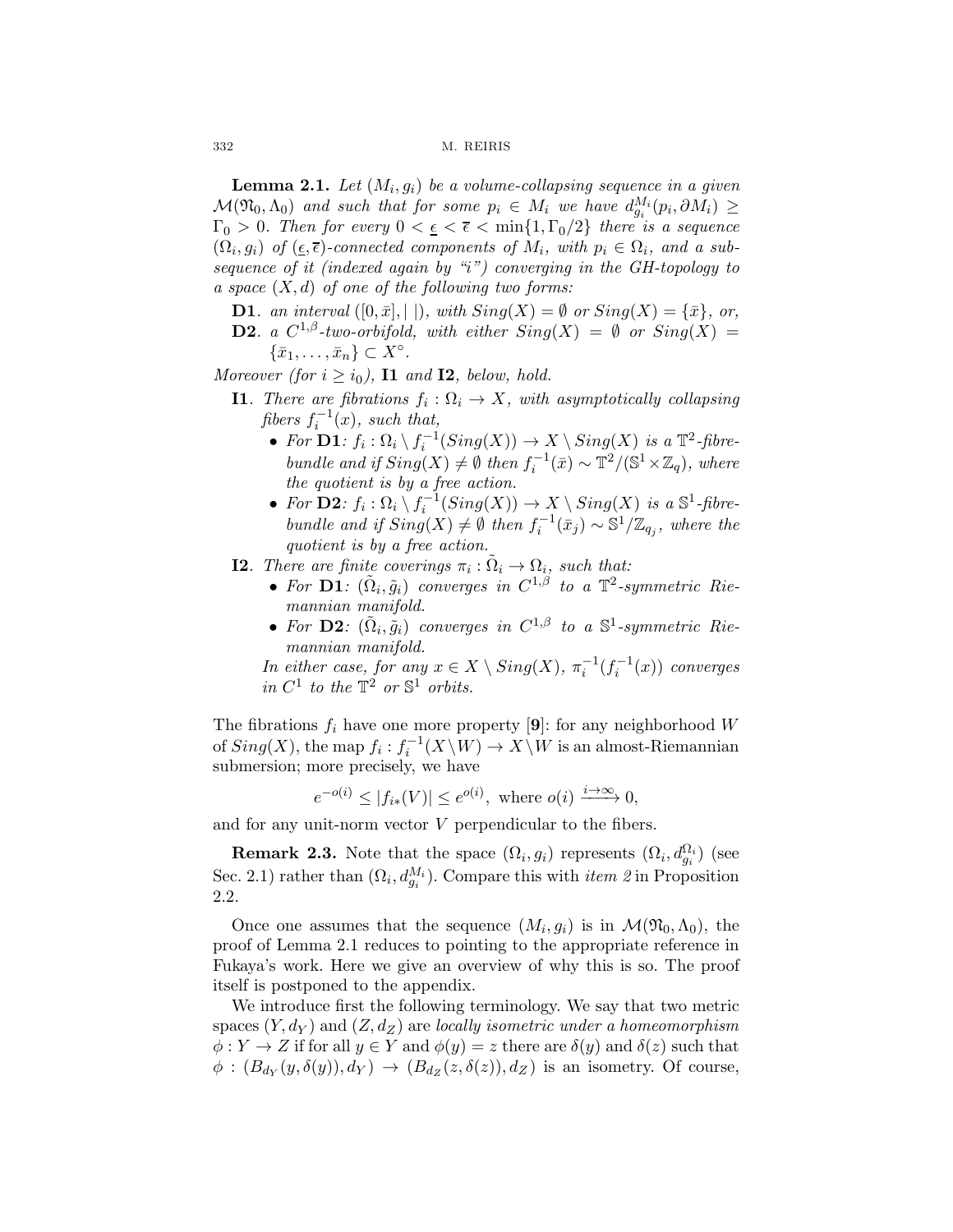**Lemma 2.1.** Let  $(M_i, g_i)$  be a volume-collapsing sequence in a given  $\mathcal{M}(\mathfrak{N}_0,\Lambda_0)$  and such that for some  $p_i \in M_i$  we have  $d_{q_i}^{M_i}(p_i,\partial M_i) \geq$  $\Gamma_0 > 0$ . Then for every  $0 < \epsilon < \bar{\epsilon} < \min\{1, \Gamma_0/2\}$  there is a sequence  $(\Omega_i, g_i)$  of  $(\underline{\epsilon}, \overline{\epsilon})$ -connected components of  $M_i$ , with  $p_i \in \Omega_i$ , and a subsequence of it (indexed again by "i") converging in the GH-topology to a space  $(X, d)$  of one of the following two forms:

- **D1**. an interval  $([0, \bar{x}], ||)$ , with  $Sing(X) = \emptyset$  or  $Sing(X) = {\bar{x}}$ , or,
- **D2.** a  $C^{1,\beta}$ -two-orbifold, with either  $Sing(X) = \emptyset$  or  $Sing(X) =$  $\{\bar{x}_1,\ldots,\bar{x}_n\} \subset X^\circ.$

Moreover (for  $i \ge i_0$ ), **11** and **12**, below, hold.

- **I1.** There are fibrations  $f_i : \Omega_i \to X$ , with asymptotically collapsing fibers  $f_i^{-1}(x)$ , such that,
	- For  $\mathbf{D1}: f_i : \Omega_i \setminus f_i^{-1}(Sing(X)) \to X \setminus Sing(X)$  is a  $\mathbb{T}^2$ -fibrebundle and if  $Sing(X) \neq \emptyset$  then  $f_i^{-1}(\bar{x}) \sim \mathbb{T}^2/(\mathbb{S}^1 \times \mathbb{Z}_q)$ , where the quotient is by a free action.
	- For  $\mathbf{D2}: f_i : \Omega_i \setminus f_i^{-1}(Sing(X)) \to X \setminus Sing(X)$  is a  $\mathbb{S}^1$ -fibrebundle and if  $Sing(X) \neq \emptyset$  then  $f_i^{-1}(\bar{x}_j) \sim \mathbb{S}^1/\mathbb{Z}_{q_j}$ , where the quotient is by a free action.
- **I2.** There are finite coverings  $\pi_i : \tilde{\Omega}_i \to \Omega_i$ , such that:
	- For  $\mathbf{D1}: (\Omega_i, \tilde{g}_i)$  converges in  $C^{1,\beta}$  to a  $\mathbb{T}^2$ -symmetric Riemannian manifold.
	- For D2:  $(\tilde{\Omega}_i, \tilde{q}_i)$  converges in  $C^{1,\beta}$  to a  $\mathbb{S}^1$ -symmetric Riemannian manifold.

In either case, for any  $x \in X \setminus Sing(X), \pi_i^{-1}(f_i^{-1}(x))$  converges in  $C^1$  to the  $\mathbb{T}^2$  or  $\mathbb{S}^1$  orbits.

The fibrations  $f_i$  have one more property [9]: for any neighborhood W of  $Sing(X)$ , the map  $f_i: f_i^{-1}(X \setminus W) \to X \setminus W$  is an almost-Riemannian submersion; more precisely, we have

$$
e^{-o(i)} \le |f_{i*}(V)| \le e^{o(i)}, \text{ where } o(i) \xrightarrow{i \to \infty} 0,
$$

and for any unit-norm vector V perpendicular to the fibers.

**Remark 2.3.** Note that the space  $(\Omega_i, g_i)$  represents  $(\Omega_i, d_{g_i}^{\Omega_i})$  (see Sec. 2.1) rather than  $(\Omega_i, d_{g_i}^{M_i})$ . Compare this with *item 2* in Proposition 2.2.

Once one assumes that the sequence  $(M_i, g_i)$  is in  $\mathcal{M}(\mathfrak{N}_0, \Lambda_0)$ , the proof of Lemma 2.1 reduces to pointing to the appropriate reference in Fukaya's work. Here we give an overview of why this is so. The proof itself is postponed to the appendix.

We introduce first the following terminology. We say that two metric spaces  $(Y, d_Y)$  and  $(Z, d_Z)$  are locally isometric under a homeomorphism  $\phi: Y \to Z$  if for all  $y \in Y$  and  $\phi(y) = z$  there are  $\delta(y)$  and  $\delta(z)$  such that  $\phi: (B_{d_Y}(y, \delta(y)), d_Y) \to (B_{d_Z}(z, \delta(z)), d_Z)$  is an isometry. Of course,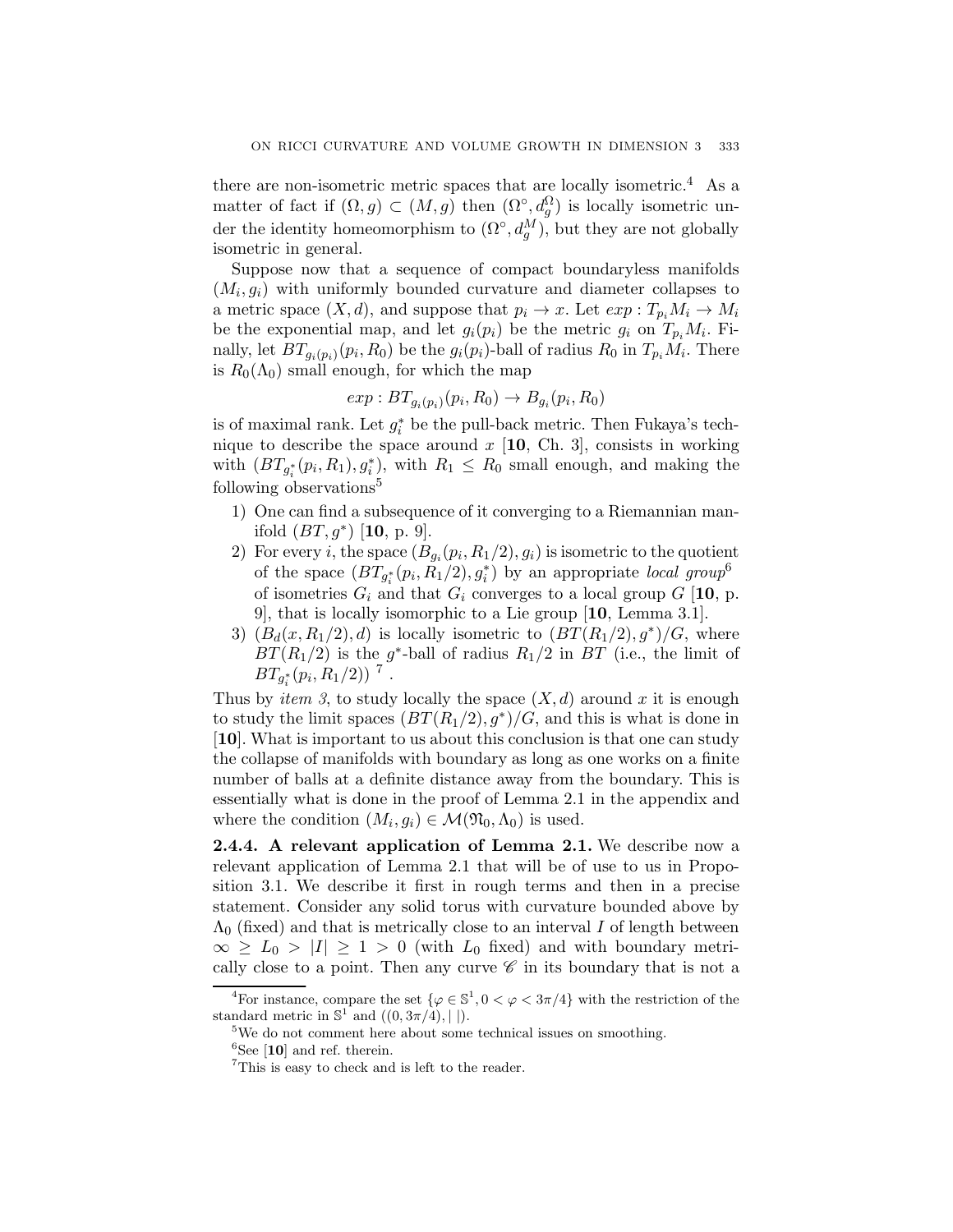there are non-isometric metric spaces that are locally isometric.<sup>4</sup> As a matter of fact if  $(\Omega, g) \subset (M, g)$  then  $(\Omega^{\circ}, d_g^{\Omega})$  is locally isometric under the identity homeomorphism to  $(\Omega^{\circ}, d_g^M)$ , but they are not globally isometric in general.

Suppose now that a sequence of compact boundaryless manifolds  $(M_i, g_i)$  with uniformly bounded curvature and diameter collapses to a metric space  $(X, d)$ , and suppose that  $p_i \to x$ . Let  $exp: T_{p_i}M_i \to M_i$ be the exponential map, and let  $g_i(p_i)$  be the metric  $g_i$  on  $T_{p_i}M_i$ . Finally, let  $BT_{q_i(p_i)}(p_i, R_0)$  be the  $g_i(p_i)$ -ball of radius  $R_0$  in  $T_{p_i}M_i$ . There is  $R_0(\Lambda_0)$  small enough, for which the map

$$
exp: BT_{g_i(p_i)}(p_i, R_0) \rightarrow B_{g_i}(p_i, R_0)
$$

is of maximal rank. Let  $g_i^*$  be the pull-back metric. Then Fukaya's technique to describe the space around  $x$  [10, Ch. 3], consists in working with  $(BT_{g_i^*}(p_i, R_1), g_i^*)$ , with  $R_1 \leq R_0$  small enough, and making the following observations<sup>5</sup>

- 1) One can find a subsequence of it converging to a Riemannian manifold  $(BT, g^*)$  [10, p. 9].
- 2) For every *i*, the space  $(B_{g_i}(p_i, R_1/2), g_i)$  is isometric to the quotient of the space  $(BT_{g_i^*}(p_i, R_1/2), g_i^*)$  by an appropriate *local group*<sup>6</sup> of isometries  $G_i$  and that  $G_i$  converges to a local group  $G$  [10, p. 9], that is locally isomorphic to a Lie group [10, Lemma 3.1].
- 3)  $(B_d(x, R_1/2), d)$  is locally isometric to  $(BT(R_1/2), g^*)/G$ , where  $BT(R_1/2)$  is the g<sup>\*</sup>-ball of radius  $R_1/2$  in BT (i.e., the limit of  $BT_{g_i^*}(p_i, R_1/2))$ <sup>7</sup>.

Thus by *item 3*, to study locally the space  $(X, d)$  around x it is enough to study the limit spaces  $(BT(R_1/2), g^*)/G$ , and this is what is done in [10]. What is important to us about this conclusion is that one can study the collapse of manifolds with boundary as long as one works on a finite number of balls at a definite distance away from the boundary. This is essentially what is done in the proof of Lemma 2.1 in the appendix and where the condition  $(M_i, g_i) \in \mathcal{M}(\mathfrak{N}_0, \Lambda_0)$  is used.

2.4.4. A relevant application of Lemma 2.1. We describe now a relevant application of Lemma 2.1 that will be of use to us in Proposition 3.1. We describe it first in rough terms and then in a precise statement. Consider any solid torus with curvature bounded above by  $\Lambda_0$  (fixed) and that is metrically close to an interval I of length between  $\infty \geq L_0 > |I| \geq 1 > 0$  (with  $L_0$  fixed) and with boundary metrically close to a point. Then any curve  $\mathscr C$  in its boundary that is not a

<sup>&</sup>lt;sup>4</sup>For instance, compare the set  $\{\varphi \in \mathbb{S}^1, 0 < \varphi < 3\pi/4\}$  with the restriction of the standard metric in  $\mathbb{S}^1$  and  $((0, 3\pi/4), ||).$ 

<sup>&</sup>lt;sup>5</sup>We do not comment here about some technical issues on smoothing.

 ${}^{6}$ See [10] and ref. therein.

<sup>&</sup>lt;sup>7</sup>This is easy to check and is left to the reader.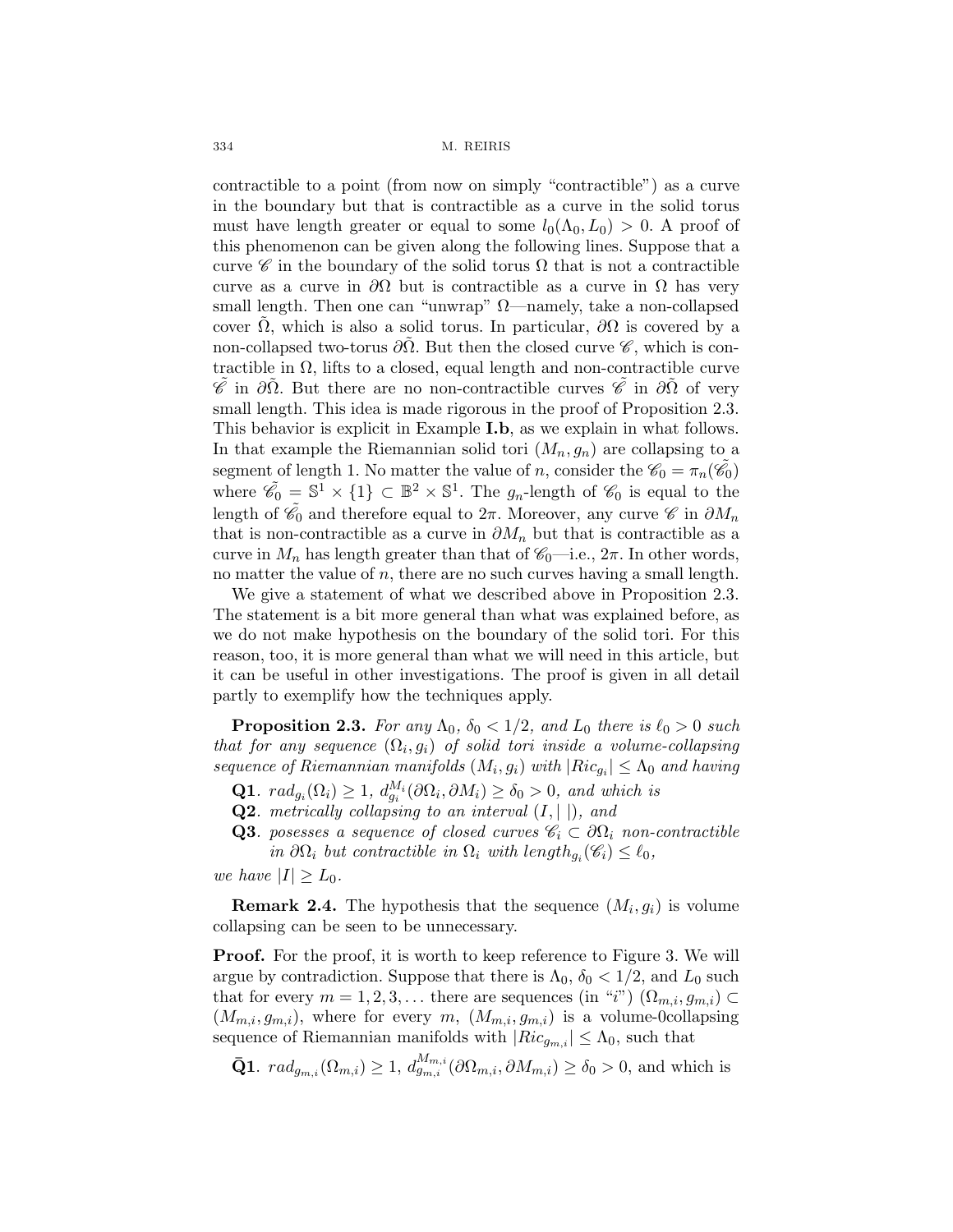contractible to a point (from now on simply "contractible") as a curve in the boundary but that is contractible as a curve in the solid torus must have length greater or equal to some  $l_0(\Lambda_0, L_0) > 0$ . A proof of this phenomenon can be given along the following lines. Suppose that a curve  $\mathscr{C}$  in the boundary of the solid torus  $\Omega$  that is not a contractible curve as a curve in  $\partial\Omega$  but is contractible as a curve in  $\Omega$  has very small length. Then one can "unwrap"  $\Omega$ —namely, take a non-collapsed cover  $\Omega$ , which is also a solid torus. In particular,  $\partial\Omega$  is covered by a non-collapsed two-torus  $\partial\Omega$ . But then the closed curve  $\mathscr{C}$ , which is contractible in  $\Omega$ , lifts to a closed, equal length and non-contractible curve  $\mathscr{C}$  in  $\partial\Omega$ . But there are no non-contractible curves  $\mathscr{C}$  in  $\partial\Omega$  of very small length. This idea is made rigorous in the proof of Proposition 2.3. This behavior is explicit in Example I.b, as we explain in what follows. In that example the Riemannian solid tori  $(M_n, g_n)$  are collapsing to a segment of length 1. No matter the value of n, consider the  $\mathscr{C}_0 = \pi_n(\tilde{\mathscr{C}_0})$ where  $\tilde{\mathscr{C}}_0 = \mathbb{S}^1 \times \{1\} \subset \mathbb{B}^2 \times \mathbb{S}^1$ . The  $g_n$ -length of  $\mathscr{C}_0$  is equal to the length of  $\tilde{e_0}$  and therefore equal to  $2\pi$ . Moreover, any curve  $\mathscr C$  in  $\partial M_n$ that is non-contractible as a curve in  $\partial M_n$  but that is contractible as a curve in  $M_n$  has length greater than that of  $\mathscr{C}_0$ —i.e.,  $2\pi$ . In other words, no matter the value of  $n$ , there are no such curves having a small length.

We give a statement of what we described above in Proposition 2.3. The statement is a bit more general than what was explained before, as we do not make hypothesis on the boundary of the solid tori. For this reason, too, it is more general than what we will need in this article, but it can be useful in other investigations. The proof is given in all detail partly to exemplify how the techniques apply.

**Proposition 2.3.** For any  $\Lambda_0$ ,  $\delta_0 < 1/2$ , and  $L_0$  there is  $\ell_0 > 0$  such that for any sequence  $(\Omega_i, g_i)$  of solid tori inside a volume-collapsing sequence of Riemannian manifolds  $(M_i, g_i)$  with  $|Ric_{g_i}| \leq \Lambda_0$  and having

- **Q1**.  $rad_{g_i}(\Omega_i) \geq 1$ ,  $d_{g_i}^{M_i}(\partial \Omega_i, \partial M_i) \geq \delta_0 > 0$ , and which is
- **Q2**. metrically collapsing to an interval  $(I, \vert \cdot)$ , and
- **Q3**. posesses a sequence of closed curves  $\mathscr{C}_i \subset \partial \Omega_i$  non-contractible in  $\partial\Omega_i$  but contractible in  $\Omega_i$  with length $g_i(\mathscr{C}_i) \leq \ell_0$ ,

we have  $|I| \geq L_0$ .

**Remark 2.4.** The hypothesis that the sequence  $(M_i, g_i)$  is volume collapsing can be seen to be unnecessary.

**Proof.** For the proof, it is worth to keep reference to Figure 3. We will argue by contradiction. Suppose that there is  $\Lambda_0$ ,  $\delta_0 < 1/2$ , and  $L_0$  such that for every  $m = 1, 2, 3, \ldots$  there are sequences (in "i")  $(\Omega_{m,i}, g_{m,i}) \subset$  $(M_{m,i}, g_{m,i})$ , where for every m,  $(M_{m,i}, g_{m,i})$  is a volume-0collapsing sequence of Riemannian manifolds with  $|Ric_{q_{m,i}}| \leq \Lambda_0$ , such that

 $\bar{\mathbf{Q}}\mathbf{1}. \ \ rad_{g_{m,i}}(\Omega_{m,i}) \geq 1, d_{g_{m,i}}^{M_{m,i}}(\partial \Omega_{m,i}, \partial M_{m,i}) \geq \delta_0 > 0$ , and which is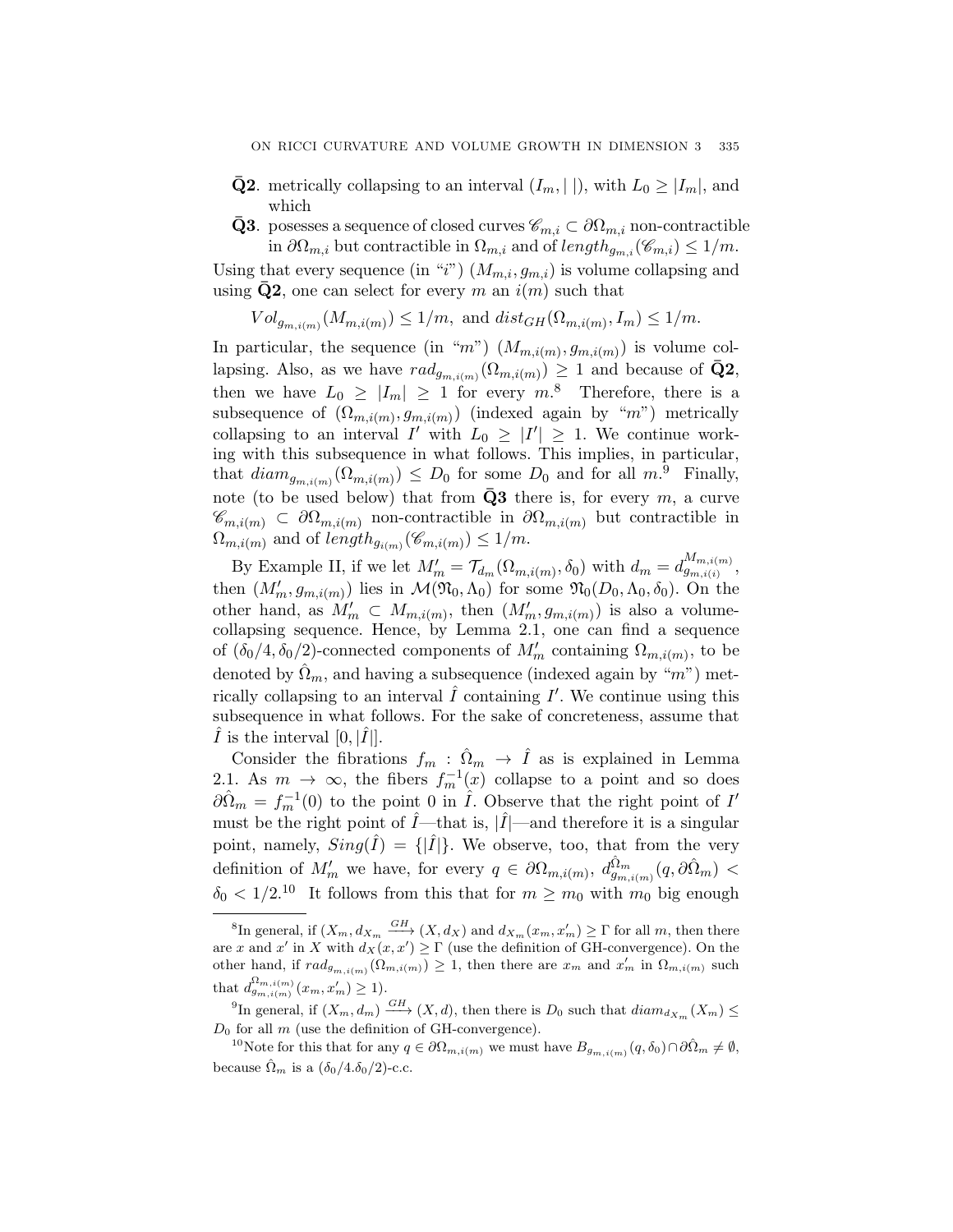- **Q2** metrically collapsing to an interval  $(I_m, ||)$ , with  $L_0 \geq |I_m|$ , and which
- **Q3**. posesses a sequence of closed curves  $\mathscr{C}_{m,i} \subset \partial \Omega_{m,i}$  non-contractible in  $\partial\Omega_{m,i}$  but contractible in  $\Omega_{m,i}$  and of  $length_{g_{m,i}}(\mathscr{C}_{m,i}) \leq 1/m$ .

Using that every sequence (in "i")  $(M_{m,i}, g_{m,i})$  is volume collapsing and using  $\bar{Q}2$ , one can select for every m an  $i(m)$  such that

 $Vol_{g_{m,i(m)}}(M_{m,i(m)}) \leq 1/m$ , and  $dist_{GH}(\Omega_{m,i(m)}, I_m) \leq 1/m$ .

In particular, the sequence (in "m")  $(M_{m,i(m)}, g_{m,i(m)})$  is volume collapsing. Also, as we have  $rad_{g_{m,i(m)}}(\Omega_{m,i(m)}) \geq 1$  and because of  $\bar{Q}2$ , then we have  $L_0 \geq |I_m| \geq 1$  for every  $m^8$ . Therefore, there is a subsequence of  $(\Omega_{m,i(m)}, g_{m,i(m)})$  (indexed again by "m") metrically collapsing to an interval I' with  $L_0 \geq |I'| \geq 1$ . We continue working with this subsequence in what follows. This implies, in particular, that  $diam_{g_{m,i(m)}}(\Omega_{m,i(m)}) \leq D_0$  for some  $D_0$  and for all  $m$ .<sup>9</sup> Finally, note (to be used below) that from  $\bar{Q}3$  there is, for every m, a curve  $\mathscr{C}_{m,i(m)} \subset \partial \Omega_{m,i(m)}$  non-contractible in  $\partial \Omega_{m,i(m)}$  but contractible in  $\Omega_{m,i(m)}$  and of length<sub> $g_{i(m)}$ </sub> $(\mathscr{C}_{m,i(m)}) \leq 1/m$ .

By Example II, if we let  $M'_m = \mathcal{T}_{d_m}(\Omega_{m,i(m)}, \delta_0)$  with  $d_m = d_{g_{m,i(i)}}^{M_{m,i(m)}}$ , then  $(M'_m, g_{m,i(m)})$  lies in  $\mathcal{M}(\mathfrak{N}_0, \Lambda_0)$  for some  $\mathfrak{N}_0(D_0, \Lambda_0, \delta_0)$ . On the other hand, as  $M'_m \text{ }\subset M_{m,i(m)}$ , then  $(M'_m, g_{m,i(m)})$  is also a volumecollapsing sequence. Hence, by Lemma 2.1, one can find a sequence of  $(\delta_0/4, \delta_0/2)$ -connected components of  $M'_m$  containing  $\Omega_{m,i(m)}$ , to be denoted by  $\hat{\Omega}_m$ , and having a subsequence (indexed again by "m") metrically collapsing to an interval  $\hat{I}$  containing  $I'$ . We continue using this subsequence in what follows. For the sake of concreteness, assume that I is the interval  $[0, |I|]$ .

Consider the fibrations  $f_m$ :  $\hat{\Omega}_m$   $\rightarrow$   $\hat{I}$  as is explained in Lemma 2.1. As  $m \to \infty$ , the fibers  $f_m^{-1}(x)$  collapse to a point and so does  $\partial \Omega_m = f_m^{-1}(0)$  to the point 0 in  $\tilde{I}$ . Observe that the right point of  $I'$ must be the right point of  $\hat{I}$ —that is,  $|\hat{I}|$ —and therefore it is a singular point, namely,  $Sing(\tilde{I}) = \{|\tilde{I}|\}$ . We observe, too, that from the very definition of  $M'_m$  we have, for every  $q \in \partial \Omega_{m,i(m)}, d_{g_{m,i(m)}}^{\hat{\Omega}_m}(q, \partial \hat{\Omega}_m)$  $\delta_0 < 1/2^{10}$  It follows from this that for  $m \geq m_0$  with  $m_0$  big enough

<sup>&</sup>lt;sup>8</sup>In general, if  $(X_m, d_{X_m} \stackrel{GH}{\longrightarrow} (X, d_X)$  and  $d_{X_m}(x_m, x'_m) \geq \Gamma$  for all m, then there are x and x' in X with  $d_X(x, x') \geq \Gamma$  (use the definition of GH-convergence). On the other hand, if  $rad_{g_{m,i(m)}}(\Omega_{m,i(m)}) \geq 1$ , then there are  $x_m$  and  $x'_m$  in  $\Omega_{m,i(m)}$  such that  $d_{g_{m,i(m)}}^{\Omega_{m,i(m)}}(x_m, x'_m) \geq 1$ .

<sup>&</sup>lt;sup>9</sup>In general, if  $(X_m, d_m) \stackrel{GH}{\longrightarrow} (X, d)$ , then there is  $D_0$  such that  $diam_{d_{X_m}}(X_m) \leq$  $D_0$  for all  $m$  (use the definition of GH-convergence).

<sup>&</sup>lt;sup>10</sup>Note for this that for any  $q \in \partial\Omega_{m,i(m)}$  we must have  $B_{g_{m,i(m)}}(q,\delta_0) \cap \partial\Omega_m \neq \emptyset$ , because  $\hat{\Omega}_m$  is a  $(\delta_0/4.\delta_0/2)$ -c.c.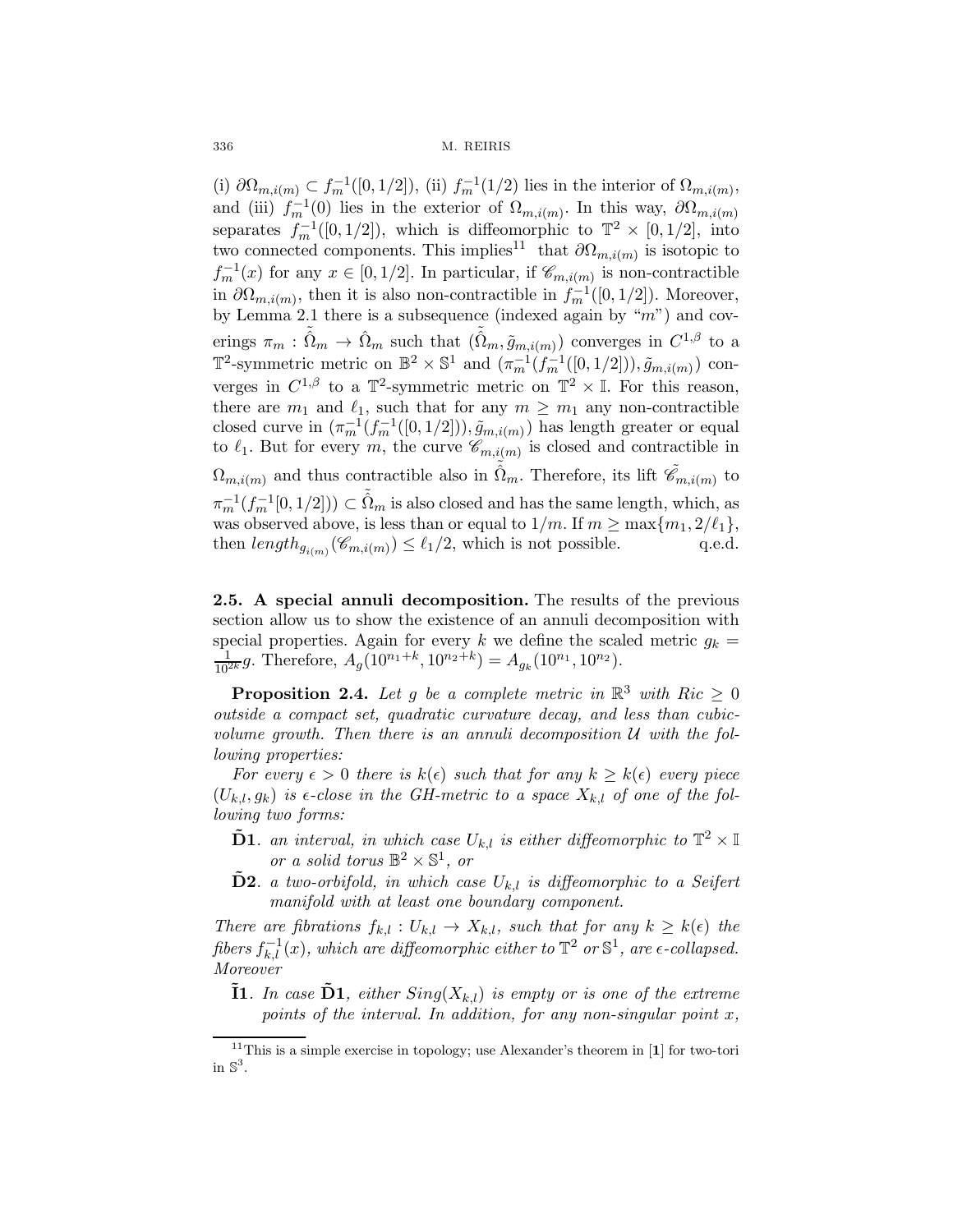(i)  $\partial\Omega_{m,i(m)} \subset f_m^{-1}([0,1/2]),$  (ii)  $f_m^{-1}(1/2)$  lies in the interior of  $\Omega_{m,i(m)},$ and (iii)  $f_m^{-1}(0)$  lies in the exterior of  $\Omega_{m,i(m)}$ . In this way,  $\partial \Omega_{m,i(m)}$ separates  $f_m^{-1}([0, 1/2])$ , which is diffeomorphic to  $\mathbb{T}^2 \times [0, 1/2]$ , into two connected components. This implies<sup>11</sup> that  $\partial\Omega_{m,i(m)}$  is isotopic to  $f_m^{-1}(x)$  for any  $x \in [0, 1/2]$ . In particular, if  $\mathscr{C}_{m,i(m)}$  is non-contractible in  $\partial\Omega_{m,i(m)}$ , then it is also non-contractible in  $f_m^{-1}([0,1/2])$ . Moreover, by Lemma 2.1 there is a subsequence (indexed again by " $m$ ") and coverings  $\pi_m : \tilde{\Omega}_m \to \hat{\Omega}_m$  such that  $(\tilde{\Omega}_m, \tilde{g}_{m,i(m)})$  converges in  $C^{1,\beta}$  to a T<sup>2</sup>-symmetric metric on  $\mathbb{B}^2 \times \mathbb{S}^1$  and  $(\pi_n^{-1}(f_m^{-1}([0, 1/2]))$ ,  $\tilde{g}_{m,i(m)}$ ) converges in  $C^{1,\beta}$  to a  $\mathbb{T}^2$ -symmetric metric on  $\mathbb{T}^2 \times \mathbb{I}$ . For this reason, there are  $m_1$  and  $\ell_1$ , such that for any  $m \geq m_1$  any non-contractible closed curve in  $(\pi_m^{-1}(f_m^{-1}([0, 1/2]))$ ,  $\tilde{g}_{m,i(m)})$  has length greater or equal to  $\ell_1$ . But for every m, the curve  $\mathscr{C}_{m,i(m)}$  is closed and contractible in  $\Omega_{m,i(m)}$  and thus contractible also in  $\tilde{\hat{\Omega}}_m$ . Therefore, its lift  $\tilde{\mathscr{C}}_{m,i(m)}$  to  $\pi_m^{-1}(f_m^{-1}[0, 1/2])) \subset \tilde{\hat{\Omega}}_m$  is also closed and has the same length, which, as was observed above, is less than or equal to  $1/m$ . If  $m \ge \max\{m_1, 2/\ell_1\}$ , then  $length_{a_{\ell(m)}}(\mathcal{C}_{m,i(m)}) \le \ell_1/2$ , which is not possible. q.e.d. then  $length_{g_{i(m)}}(\mathscr{C}_{m,i(m)}) \leq \ell_1/2$ , which is not possible.

2.5. A special annuli decomposition. The results of the previous section allow us to show the existence of an annuli decomposition with special properties. Again for every k we define the scaled metric  $g_k =$  $\frac{1}{10^{2k}}g$ . Therefore,  $A_g(10^{n_1+k}, 10^{n_2+k}) = A_{g_k}(10^{n_1}, 10^{n_2}).$ 

**Proposition 2.4.** Let g be a complete metric in  $\mathbb{R}^3$  with Ric > 0 outside a compact set, quadratic curvature decay, and less than cubicvolume growth. Then there is an annuli decomposition  $U$  with the following properties:

For every  $\epsilon > 0$  there is  $k(\epsilon)$  such that for any  $k \geq k(\epsilon)$  every piece  $(U_{k,l}, g_k)$  is  $\epsilon$ -close in the GH-metric to a space  $X_{k,l}$  of one of the following two forms:

- **D1**. an interval, in which case  $U_{k,l}$  is either diffeomorphic to  $\mathbb{T}^2 \times \mathbb{I}$ or a solid torus  $\mathbb{B}^2 \times \mathbb{S}^1$ , or
- **D2**. a two-orbifold, in which case  $U_{k,l}$  is diffeomorphic to a Seifert manifold with at least one boundary component.

There are fibrations  $f_{k,l}: U_{k,l} \to X_{k,l}$ , such that for any  $k \geq k(\epsilon)$  the fibers  $f_{k,l}^{-1}(x)$ , which are diffeomorphic either to  $\mathbb{T}^2$  or  $\mathbb{S}^1$ , are  $\epsilon$ -collapsed. Moreover

**I1.** In case  $\mathbf{D1}$ , either  $Sing(X_{k,l})$  is empty or is one of the extreme points of the interval. In addition, for any non-singular point  $x$ ,

<sup>&</sup>lt;sup>11</sup>This is a simple exercise in topology; use Alexander's theorem in [1] for two-tori in  $\mathbb{S}^3$ .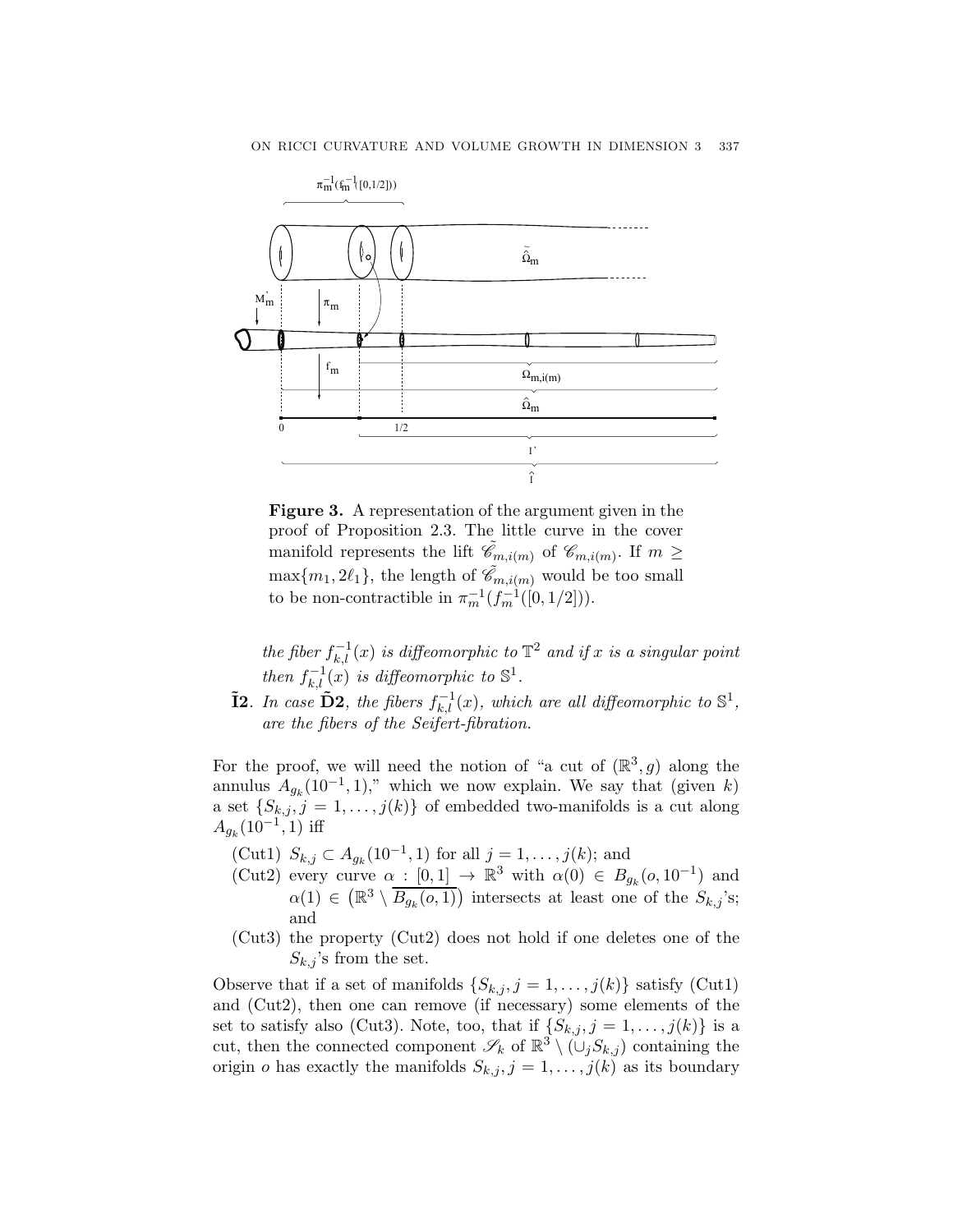

Figure 3. A representation of the argument given in the proof of Proposition 2.3. The little curve in the cover manifold represents the lift  $\tilde{e}_{m,i(m)}$  of  $\mathscr{C}_{m,i(m)}$ . If  $m \geq$  $\max\{m_1, 2\ell_1\}$ , the length of  $\tilde{\mathscr{C}}_{m,i(m)}$  would be too small to be non-contractible in  $\pi_m^{-1}(f_m^{-1}([0, 1/2])).$ 

the fiber  $f_{k,l}^{-1}(x)$  is diffeomorphic to  $\mathbb{T}^2$  and if x is a singular point then  $f_{k,l}^{-1}(x)$  is diffeomorphic to  $\mathbb{S}^1$ .

**I2**. In case  $\tilde{\mathbf{D}}$ **2**, the fibers  $f_{k,l}^{-1}(x)$ , which are all diffeomorphic to  $\mathbb{S}^1$ , are the fibers of the Seifert-fibration.

For the proof, we will need the notion of "a cut of  $(\mathbb{R}^3, g)$  along the annulus  $A_{g_k} (10^{-1}, 1)$ ," which we now explain. We say that (given k) a set  $\{S_{k,j}, j = 1, \ldots, j(k)\}\$  of embedded two-manifolds is a cut along  $A_{g_k} (10^{-1}, 1)$  iff

- (Cut1)  $S_{k,j}$  ⊂  $A_{g_k}(10^{-1}, 1)$  for all  $j = 1, ..., j(k)$ ; and
- (Cut2) every curve  $\alpha : [0,1] \to \mathbb{R}^3$  with  $\alpha(0) \in B_{g_k}(0,10^{-1})$  and  $\alpha(1) \in \left(\mathbb{R}^3 \setminus \overline{B_{g_k}(o,1)}\right)$  intersects at least one of the  $S_{k,j}$ 's; and
- (Cut3) the property (Cut2) does not hold if one deletes one of the  $S_{k,j}$ 's from the set.

Observe that if a set of manifolds  $\{S_{k,j}, j = 1, \ldots, j(k)\}\$  satisfy (Cut1) and (Cut2), then one can remove (if necessary) some elements of the set to satisfy also (Cut3). Note, too, that if  $\{S_{k,j}, j=1,\ldots,j(k)\}\$ is a cut, then the connected component  $\mathscr{S}_k$  of  $\mathbb{R}^3 \setminus (\cup_j S_{k,j})$  containing the origin o has exactly the manifolds  $S_{k,j}$ ,  $j = 1, \ldots, j(k)$  as its boundary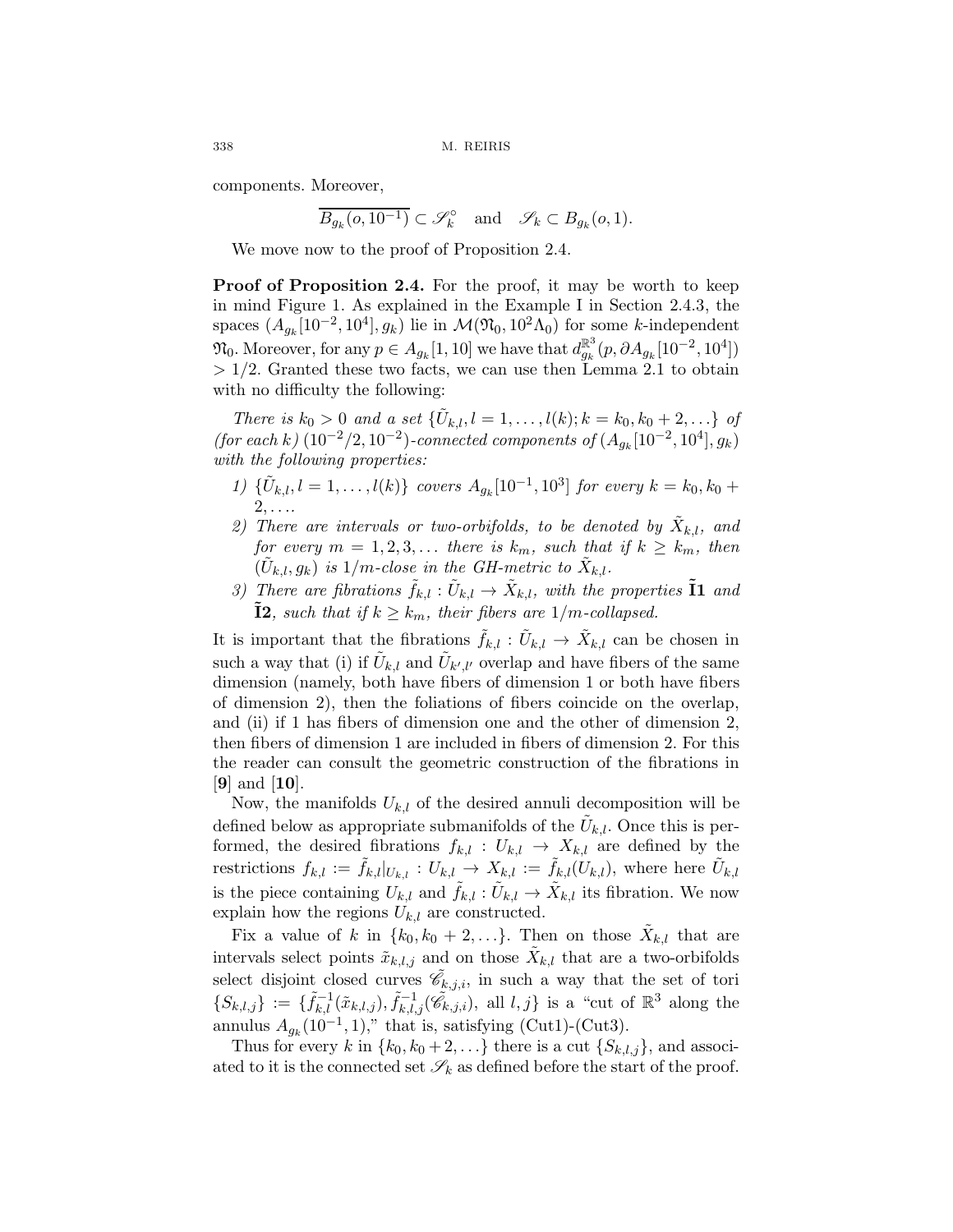components. Moreover,

$$
\overline{B_{g_k}(o, 10^{-1})} \subset \mathscr{S}_k^{\circ} \quad \text{and} \quad \mathscr{S}_k \subset B_{g_k}(o, 1).
$$

We move now to the proof of Proposition 2.4.

Proof of Proposition 2.4. For the proof, it may be worth to keep in mind Figure 1. As explained in the Example I in Section 2.4.3, the spaces  $(A_{q_k}[10^{-2}, 10^4], g_k)$  lie in  $\mathcal{M}(\mathfrak{N}_0, 10^2\Lambda_0)$  for some k-independent  $\mathfrak{N}_0$ . Moreover, for any  $p \in A_{g_k}[1, 10]$  we have that  $d_{g_k}^{\mathbb{R}^3}(p, \partial A_{g_k}[10^{-2}, 10^4])$  $> 1/2$ . Granted these two facts, we can use then Lemma 2.1 to obtain with no difficulty the following:

There is  $k_0 > 0$  and a set  $\{\tilde{U}_{k,l}, l = 1, \ldots, l(k); k = k_0, k_0 + 2, \ldots\}$  of (for each k)  $(10^{-2}/2, 10^{-2})$ -connected components of  $(A_{q_k}[10^{-2}, 10^4], g_k)$ with the following properties:

- 1)  $\{\tilde{U}_{k,l}, l = 1, \ldots, l(k)\}$  covers  $A_{g_k}[10^{-1}, 10^3]$  for every  $k = k_0, k_0 +$  $2,\ldots$
- 2) There are intervals or two-orbifolds, to be denoted by  $\tilde{X}_{k,l}$ , and for every  $m = 1, 2, 3, \ldots$  there is  $k_m$ , such that if  $k \geq k_m$ , then  $(\tilde{U}_{k,l}, g_k)$  is  $1/m$ -close in the GH-metric to  $\tilde{X}_{k,l}$ .
- 3) There are fibrations  $\tilde{f}_{k,l} : \tilde{U}_{k,l} \to \tilde{X}_{k,l}$ , with the properties  $\tilde{I}_1$  and **I2**, such that if  $k \geq k_m$ , their fibers are  $1/m$ -collapsed.

It is important that the fibrations  $\tilde{f}_{k,l} : \tilde{U}_{k,l} \to \tilde{X}_{k,l}$  can be chosen in such a way that (i) if  $\tilde{U}_{k,l}$  and  $\tilde{U}_{k'l'}$  overlap and have fibers of the same dimension (namely, both have fibers of dimension 1 or both have fibers of dimension 2), then the foliations of fibers coincide on the overlap, and (ii) if 1 has fibers of dimension one and the other of dimension 2, then fibers of dimension 1 are included in fibers of dimension 2. For this the reader can consult the geometric construction of the fibrations in  $|9|$  and  $|10|$ .

Now, the manifolds  $U_{k,l}$  of the desired annuli decomposition will be defined below as appropriate submanifolds of the  $U_{k,l}$ . Once this is performed, the desired fibrations  $f_{k,l}: U_{k,l} \to X_{k,l}$  are defined by the restrictions  $f_{k,l} := \tilde{f}_{k,l}|_{U_{k,l}} : U_{k,l} \to X_{k,l} := \tilde{f}_{k,l}(U_{k,l}),$  where here  $\tilde{U}_{k,l}$ is the piece containing  $U_{k,l}$  and  $\tilde{f}_{k,l}$ :  $\tilde{U}_{k,l} \to \tilde{X}_{k,l}$  its fibration. We now explain how the regions  $U_{k,l}$  are constructed.

Fix a value of k in  $\{k_0, k_0 + 2, ...\}$ . Then on those  $X_{k,l}$  that are intervals select points  $\tilde{x}_{k,l,j}$  and on those  $\tilde{X}_{k,l}$  that are a two-orbifolds select disjoint closed curves  $\tilde{\mathscr{C}}_{k,j,i}$ , in such a way that the set of tori  $\{S_{k,l,j}\} := \{\tilde{f}_{k,l}^{-1}(\tilde{x}_{k,l,j}), \tilde{f}_{k,l,j}^{-1}(\tilde{\mathscr{C}}_{k,j,i}), \text{ all } l,j\} \text{ is a "cut of } \mathbb{R}^3 \text{ along the }$ annulus  $A_{q_k}(10^{-1}, 1)$ ," that is, satisfying (Cut1)-(Cut3).

Thus for every k in  $\{k_0, k_0 + 2, ...\}$  there is a cut  $\{S_{k,l,j}\}\$ , and associated to it is the connected set  $\mathscr{S}_k$  as defined before the start of the proof.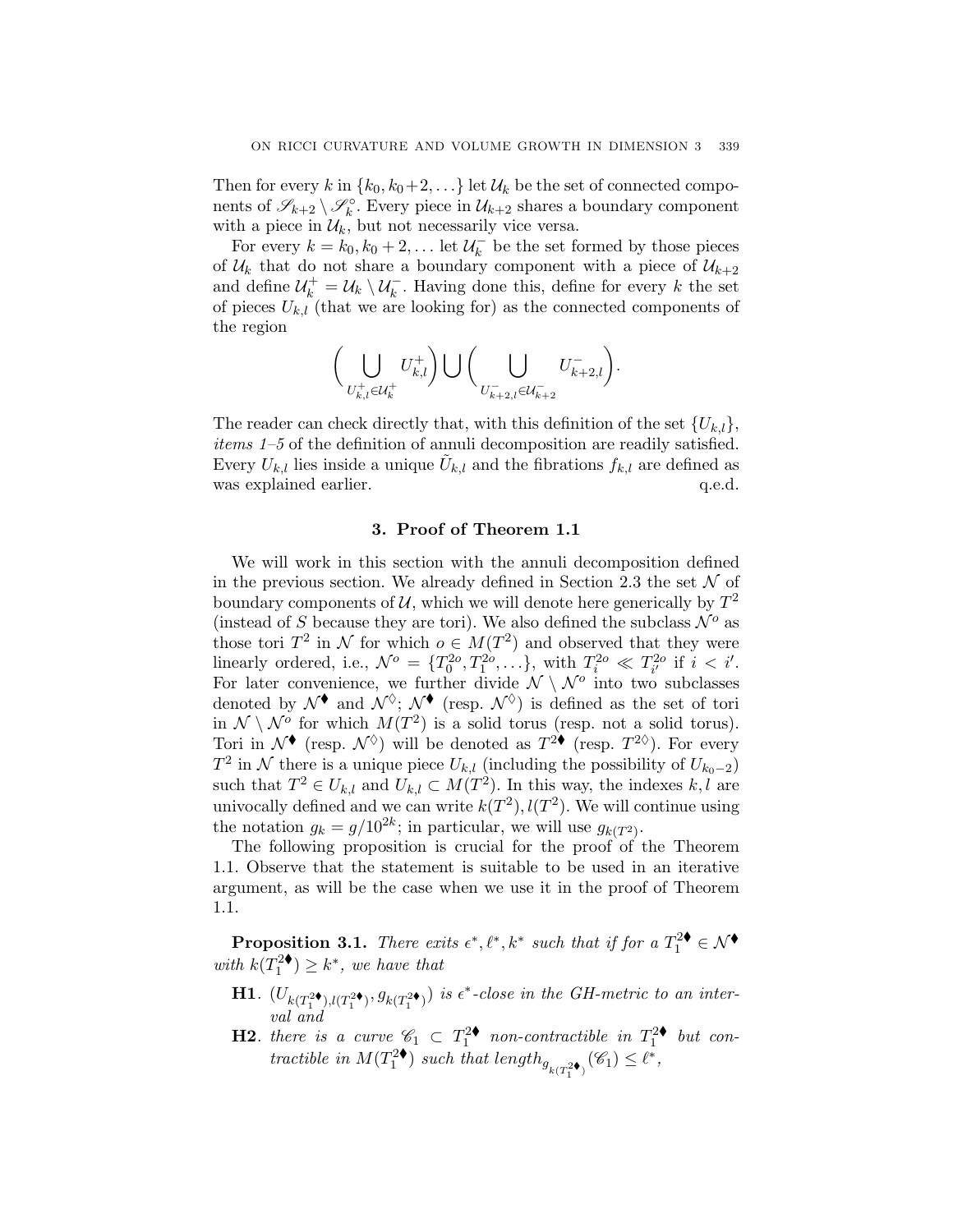Then for every k in  $\{k_0, k_0+2,\ldots\}$  let  $\mathcal{U}_k$  be the set of connected components of  $\mathscr{S}_{k+2} \setminus \mathscr{S}_k^{\circ}$ . Every piece in  $\mathcal{U}_{k+2}$  shares a boundary component with a piece in  $\mathcal{U}_k$ , but not necessarily vice versa.

For every  $k = k_0, k_0 + 2, \ldots$  let  $\mathcal{U}_k^-$  be the set formed by those pieces of  $\mathcal{U}_k$  that do not share a boundary component with a piece of  $\mathcal{U}_{k+2}$ and define  $\mathcal{U}_k^+ = \mathcal{U}_k \setminus \mathcal{U}_k^-$ . Having done this, define for every k the set of pieces  $U_{k,l}$  (that we are looking for) as the connected components of the region

$$
\bigg(\bigcup_{U_{k,l}^+\in\mathcal{U}_k^+}U_{k,l}^+\bigg)\bigcup\bigg(\bigcup_{U_{k+2,l}^-\in\mathcal{U}_{k+2}^-}U_{k+2,l}^-\bigg).
$$

The reader can check directly that, with this definition of the set  $\{U_{k,l}\},\$ items 1–5 of the definition of annuli decomposition are readily satisfied. Every  $U_{k,l}$  lies inside a unique  $U_{k,l}$  and the fibrations  $f_{k,l}$  are defined as was explained earlier.  $q.e.d.$ 

## 3. Proof of Theorem 1.1

We will work in this section with the annuli decomposition defined in the previous section. We already defined in Section 2.3 the set  $\mathcal N$  of boundary components of  $\mathcal{U}$ , which we will denote here generically by  $T^2$ (instead of S because they are tori). We also defined the subclass  $\mathcal{N}^o$  as those tori  $T^2$  in N for which  $o \in M(T^2)$  and observed that they were linearly ordered, i.e.,  $\mathcal{N}^o = \{T_0^{2o}, T_1^{2o}, \ldots\}$ , with  $T_i^{2o} \ll T_{i'}^{2o}$  if  $i < i'$ . For later convenience, we further divide  $\mathcal{N} \setminus \mathcal{N}^{\circ}$  into two subclasses denoted by  $\mathcal{N}^{\blacklozenge}$  and  $\mathcal{N}^{\lozenge}$ ;  $\mathcal{N}^{\blacklozenge}$  (resp.  $\mathcal{N}^{\lozenge}$ ) is defined as the set of tori in  $\mathcal{N} \setminus \mathcal{N}^{\circ}$  for which  $M(T^2)$  is a solid torus (resp. not a solid torus). Tori in  $\mathcal{N}^{\blacklozenge}$  (resp.  $\mathcal{N}^{\lozenge}$ ) will be denoted as  $T^{2\blacklozenge}$  (resp.  $T^{2\lozenge}$ ). For every  $T^2$  in N there is a unique piece  $U_{k,l}$  (including the possibility of  $U_{k_0-2}$ ) such that  $T^2 \in U_{k,l}$  and  $U_{k,l} \subset M(T^2)$ . In this way, the indexes k, l are univocally defined and we can write  $k(T^2)$ ,  $l(T^2)$ . We will continue using the notation  $g_k = g/10^{2k}$ ; in particular, we will use  $g_{k(T^2)}$ .

The following proposition is crucial for the proof of the Theorem 1.1. Observe that the statement is suitable to be used in an iterative argument, as will be the case when we use it in the proof of Theorem 1.1.

**Proposition 3.1.** There exits  $\epsilon^*, \ell^*, k^*$  such that if for a  $T_1^{2\blacklozenge} \in \mathcal{N}^{\blacklozenge}$ with  $k(T_1^{2\blacklozenge}) \geq k^*$ , we have that

- **H1.**  $(U_{k(T_1^2\bullet),l(T_1^2\bullet)}, g_{k(T_1^2\bullet)})$  is  $\epsilon^*$ -close in the GH-metric to an interval and
- **H2.** there is a curve  $\mathscr{C}_1 \subset T_1^{2\bullet}$  non-contractible in  $T_1^{2\bullet}$  but contractible in  $M(T_1^2\bullet)$  such that length $g_{k(T_1^2\bullet)}(\mathscr{C}_1) \leq \ell^*$ ,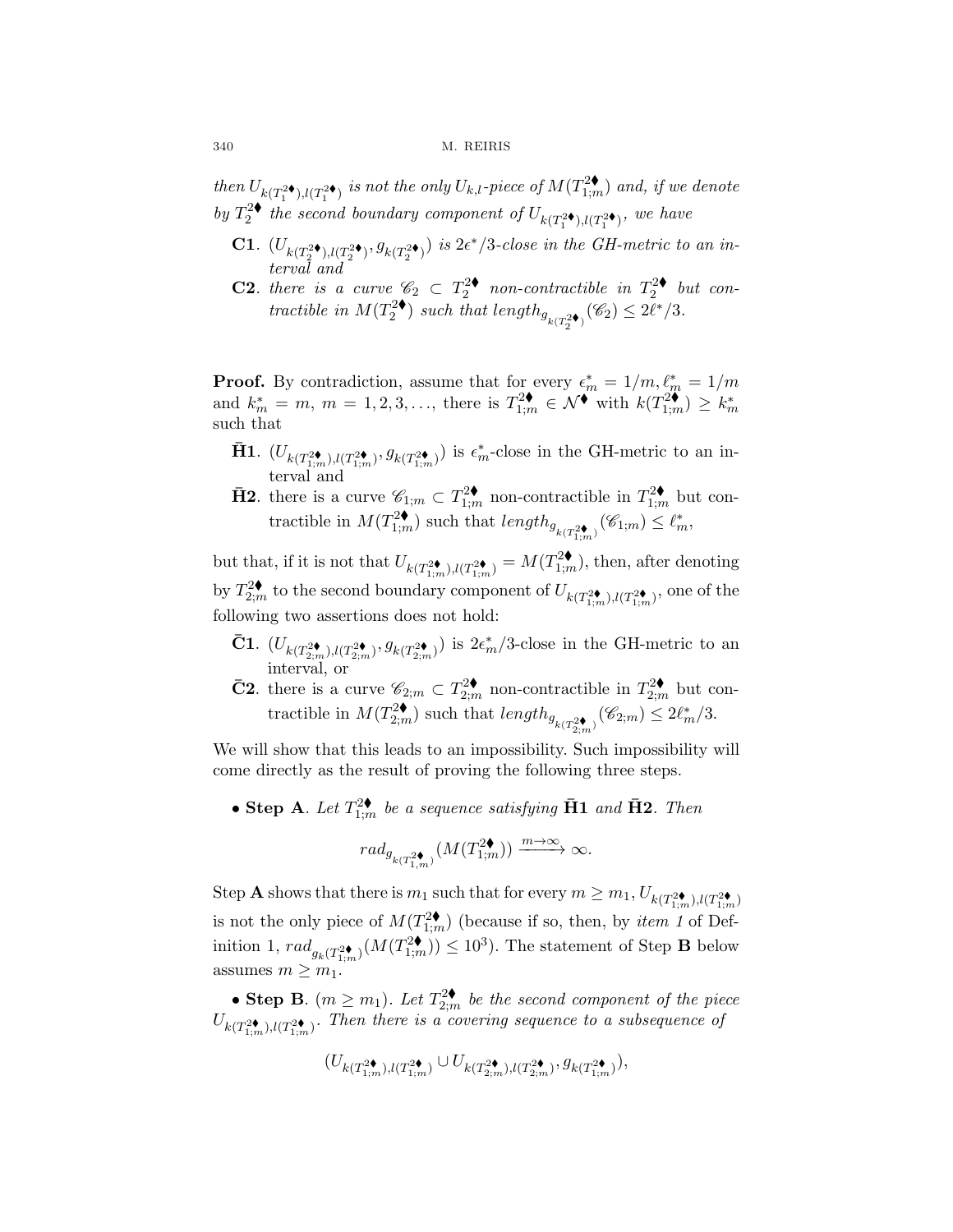then  $U_{k(T_1^2\blacklozenge),l(T_1^2\blacklozenge)}$  is not the only  $U_{k,l}$ -piece of  $M(T_{1;m}^{2\blacklozenge})$  and, if we denote by  $T_2^{2\blacklozenge}$  the second boundary component of  $U_{k(T_1^{2\blacklozenge}), l(T_1^{2\blacklozenge})}$ , we have

- **C1**.  $(U_{k(T_2^{2\bullet}),l(T_2^{2\bullet})}, g_{k(T_2^{2\bullet})})$  is  $2\epsilon^*/3$ -close in the GH-metric to an interval and
- **C2.** there is a curve  $\mathcal{C}_2 \subset T_2^{2\bullet}$  non-contractible in  $T_2^{2\bullet}$  but contractible in  $M(T_2^2\bullet)$  such that length $g_{k(T_2^2\bullet)}(\mathscr{C}_2) \leq 2\ell^*/3$ .

**Proof.** By contradiction, assume that for every  $\epsilon_m^* = 1/m$ ,  $\ell_m^* = 1/m$ and  $k_m^* = m, m = 1, 2, 3, \ldots$ , there is  $T_{1;m}^{2\blacklozenge} \in \mathcal{N}^{\blacklozenge}$  with  $k(T_{1;m}^{2\blacklozenge}) \ge k_m^*$ such that

- $\bar{H}$ 1.  $(U_{k(T_{1;m}^{2\blacklozenge}),l(T_{1:m}^{2\blacklozenge})}, g_{k(T_{1:m}^{2\blacklozenge})})$  is  $\epsilon_m^*$ -close in the GH-metric to an interval and
- **H2**, there is a curve  $\mathscr{C}_{1;m} \subset T_{1;m}^{2\blacklozenge}$  non-contractible in  $T_{1;m}^{2\blacklozenge}$  but contractible in  $M(T_{1,m}^{2\bullet})$  such that  $length_{g_{k(T_{1,m}^{2\bullet})}}(\mathscr{C}_{1,m}) \leq \ell_m^*$ ,

but that, if it is not that  $U_{k(T_{1;m}^{2\bullet}),l(T_{1;m}^{2\bullet})} = M(T_{1;m}^{2\bullet})$ , then, after denoting by  $T_{2;m}^{2\blacklozenge}$  to the second boundary component of  $U_{k(T_{1;m}^{2\blacklozenge}),l(T_{1;m}^{2\blacklozenge})}$ , one of the following two assertions does not hold:

- **C1**.  $(U_{k(T_{2;m}^{2\bullet}),l(T_{2;m}^{2\bullet})}, g_{k(T_{2;m}^{2\bullet})})$  is  $2\epsilon_m^*/3$ -close in the GH-metric to an interval, or
- **C2**, there is a curve  $\mathscr{C}_{2;m} \subset T_{2;m}^{2\blacklozenge}$  non-contractible in  $T_{2;m}^{2\blacklozenge}$  but contractible in  $M(T_{2;m}^{2\blacklozenge})$  such that  $length_{g_{k(T_{2;m}^{2\blacklozenge})}} (\mathscr{C}_{2;m}) \leq 2\ell_m^*/3$ .

We will show that this leads to an impossibility. Such impossibility will come directly as the result of proving the following three steps.

• Step A. Let  $T_{1;m}^{2\blacklozenge}$  be a sequence satisfying  $\bar{\mathbf{H}}\mathbf{1}$  and  $\bar{\mathbf{H}}\mathbf{2}$ . Then

$$
rad_{g_{k(T^{2\blacklozenge}_{1,m})}}(M(T^{2\blacklozenge}_{1;m})) \xrightarrow{m \to \infty} \infty.
$$

Step **A** shows that there is  $m_1$  such that for every  $m \ge m_1$ ,  $U_{k(T_{1;m}^{2\blacklozenge}),l(T_{1;m}^{2\blacklozenge})}$ is not the only piece of  $M(T_{1;m}^{2\blacklozenge})$  (because if so, then, by *item 1* of Definition 1,  $rad_{g_k(T_{1;m}^{2\blacklozenge})}(M(T_{1;m}^{2\blacklozenge})) \leq 10^3$ ). The statement of Step **B** below assumes  $m \geq m_1$ .

• Step B.  $(m \ge m_1)$ . Let  $T_{2;m}^{2\blacklozenge}$  be the second component of the piece  $U_{k(T_{1;m}^{2\blacklozenge}),(T_{1;m}^{2\blacklozenge})}.$  Then there is a covering sequence to a subsequence of

$$
(U_{k(T_{1;m}^{2\blacklozenge}),l(T_{1;m}^{2\blacklozenge})}\cup U_{k(T_{2;m}^{2\blacklozenge}),l(T_{2;m}^{2\blacklozenge})},g_{k(T_{1;m}^{2\blacklozenge})}),
$$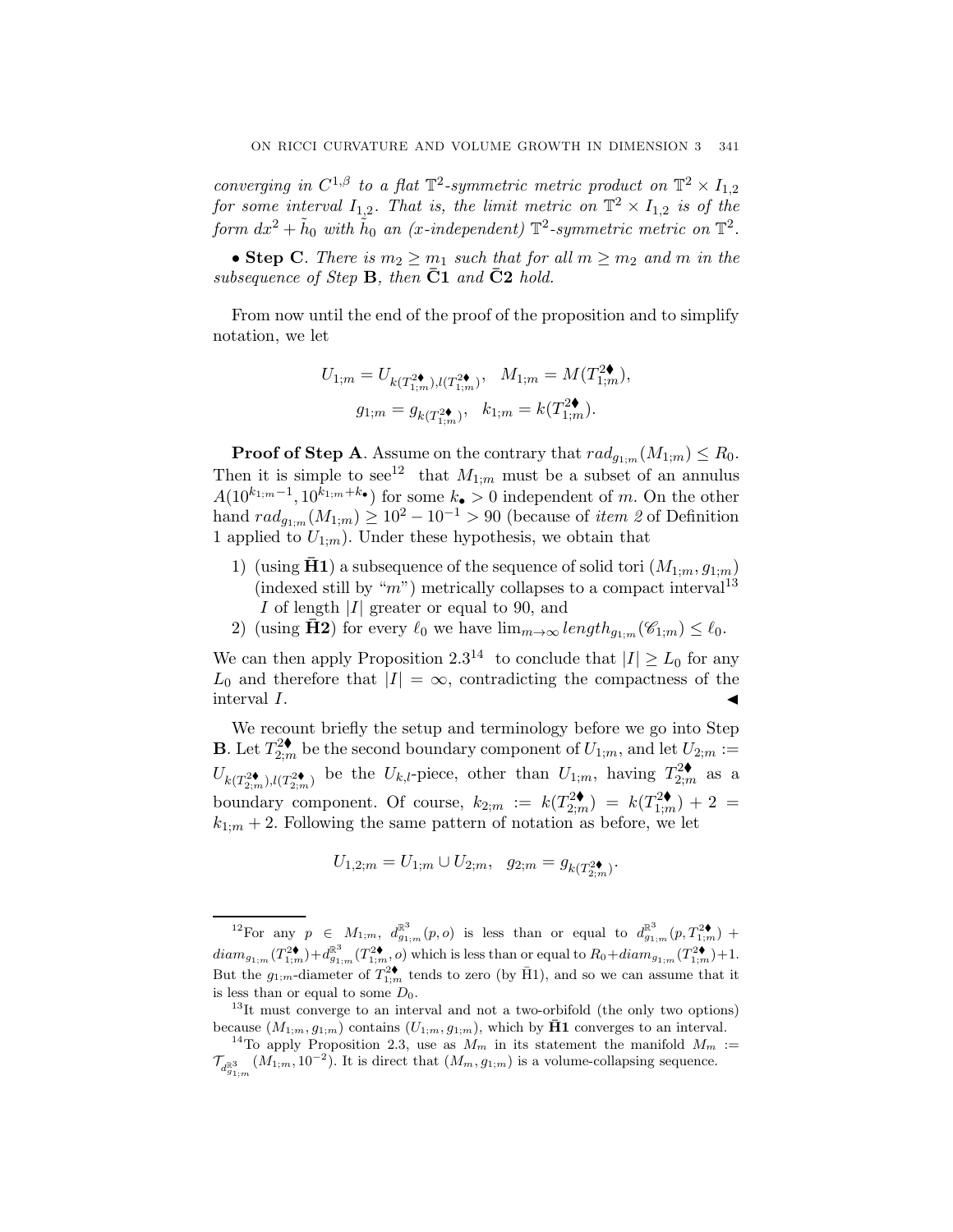converging in  $C^{1,\beta}$  to a flat  $\mathbb{T}^2$ -symmetric metric product on  $\mathbb{T}^2 \times I_{1,2}$ for some interval  $I_{1,2}$ . That is, the limit metric on  $\mathbb{T}^2 \times I_{1,2}$  is of the form  $dx^2 + \tilde{h}_0$  with  $\tilde{h}_0$  an (x-independent)  $\mathbb{T}^2$ -symmetric metric on  $\mathbb{T}^2$ .

• Step C. There is  $m_2 \geq m_1$  such that for all  $m \geq m_2$  and m in the subsequence of Step  $\bf{B}$ , then  $\bf{C1}$  and  $\bf{C2}$  hold.

From now until the end of the proof of the proposition and to simplify notation, we let

$$
\begin{aligned} U_{1;m} &= U_{k(T_{1;m}^{2\blacklozenge}),l(T_{1;m}^{2\blacklozenge})}, \ \ M_{1;m} &= M(T_{1;m}^{2\blacklozenge}), \\ g_{1;m} &= g_{k(T_{1;m}^{2\blacklozenge})}, \ \ k_{1;m} &= k(T_{1;m}^{2\blacklozenge}). \end{aligned}
$$

**Proof of Step A.** Assume on the contrary that  $rad_{g_{1;m}}(M_{1;m}) \leq R_0$ . Then it is simple to see<sup>12</sup> that  $M_{1;m}$  must be a subset of an annulus  $A(10^{k_{1;m}-1}, 10^{k_{1;m}+k_{\bullet}})$  for some  $k_{\bullet} > 0$  independent of m. On the other hand  $rad_{g_{1,m}}(M_{1,m}) \geq 10^2 - 10^{-1} > 90$  (because of *item 2* of Definition 1 applied to  $U_{1;m}$ ). Under these hypothesis, we obtain that

- 1) (using **H1**) a subsequence of the sequence of solid tori  $(M_{1:m}, g_{1:m})$ (indexed still by "m") metrically collapses to a compact interval<sup>13</sup> I of length  $|I|$  greater or equal to 90, and
- 2) (using  $\bar{H}2$ ) for every  $\ell_0$  we have  $\lim_{m\to\infty} length_{q_{1:m}}(\mathscr{C}_{1;m}) \leq \ell_0$ .

We can then apply Proposition 2.3<sup>14</sup> to conclude that  $|I| \ge L_0$  for any  $L_0$  and therefore that  $|I| = \infty$ , contradicting the compactness of the interval  $I$ .

We recount briefly the setup and terminology before we go into Step **B**. Let  $T_{2;m}^{2\blacklozenge}$  be the second boundary component of  $U_{1;m}$ , and let  $U_{2;m}$ :  $U_{k(T_{2;m}^{2\blacklozenge}),l(T_{2;m}^{2\blacklozenge})}$  be the  $U_{k,l}$ -piece, other than  $U_{1;m}$ , having  $T_{2;m}^{2\blacklozenge}$  as a boundary component. Of course,  $k_{2;m} := k(T_{2;m}^{2\blacklozenge}) = k(T_{1;m}^{2\blacklozenge}) + 2 =$  $k_{1:m}$  + 2. Following the same pattern of notation as before, we let

$$
U_{1,2;m} = U_{1;m} \cup U_{2;m}, \quad g_{2;m} = g_{k(T_{2;m}^2)}.
$$

 $12\text{For any }p\in M_{1;m}, d_{g_{1;m}}^{\mathbb{R}^3}(p,o)$  is less than or equal to  $d_{g_{1;m}}^{\mathbb{R}^3}(p,T_{1;m}^{2\blacklozenge})$  +  $diam_{g_{1;m}}(T_{1;m}^{2\blacklozenge})+d_{g_{1;m}}^{\mathbb{R}^3}(T_{1;m}^{2\blacklozenge},o)$  which is less than or equal to  $R_0+diam_{g_{1;m}}(T_{1;m}^{2\blacklozenge})+1$ . But the  $g_{1;m}$ -diameter of  $T_{1;m}^{2\blacklozenge}$  tends to zero (by  $\bar{H}1$ ), and so we can assume that it is less than or equal to some  $D_0$ .

<sup>&</sup>lt;sup>13</sup>It must converge to an interval and not a two-orbifold (the only two options) because  $(M_{1;m}, g_{1;m})$  contains  $(U_{1;m}, g_{1;m})$ , which by  $\bar{H}1$  converges to an interval.

<sup>&</sup>lt;sup>14</sup>To apply Proposition 2.3, use as  $M_m$  in its statement the manifold  $M_m$  :=  $\mathcal{T}_{d_{g_{1;m}}^{\mathbb{R}^3}}(M_{1;m},10^{-2})$ . It is direct that  $(M_m,g_{1;m})$  is a volume-collapsing sequence.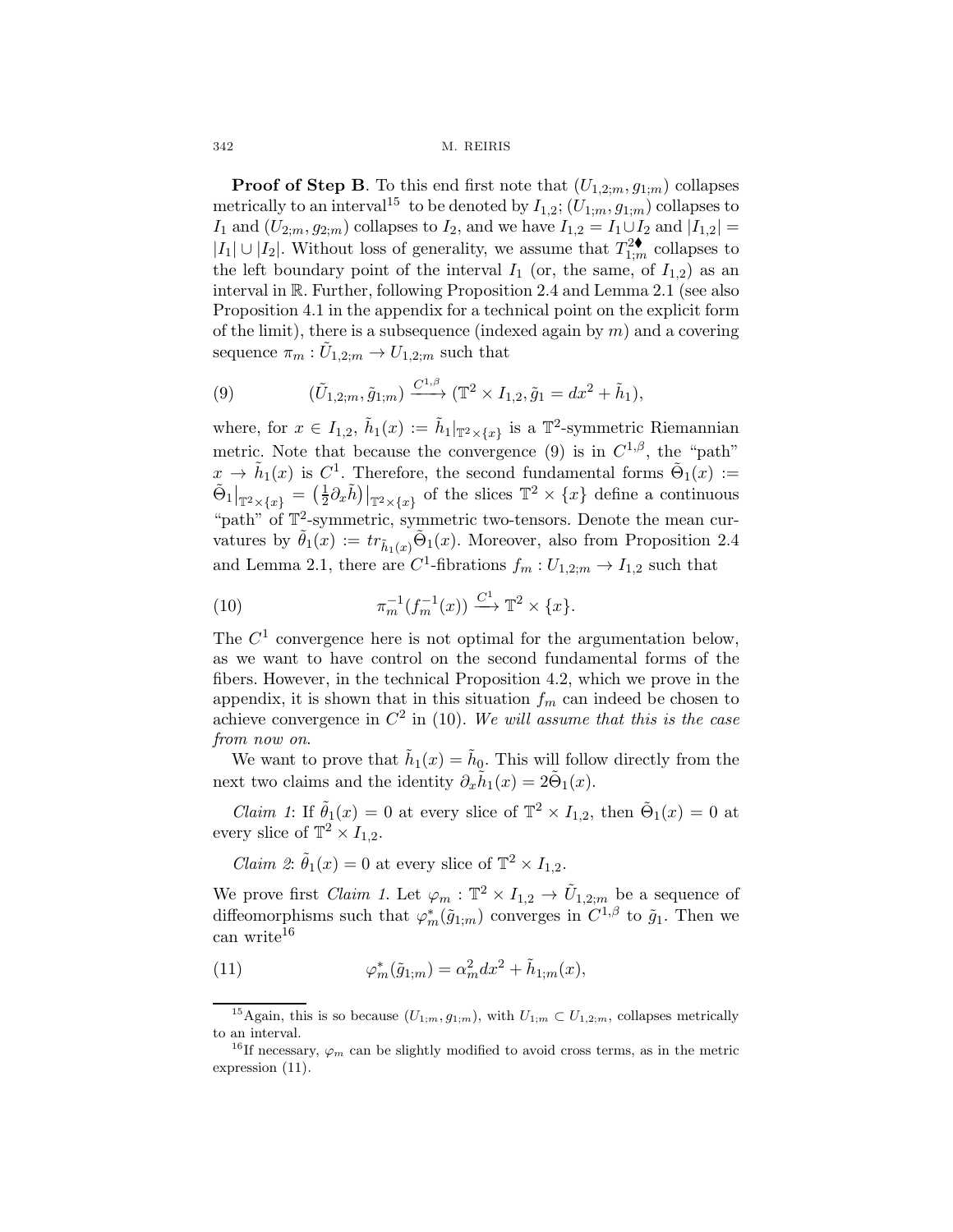**Proof of Step B**. To this end first note that  $(U_{1,2,m}, g_{1,m})$  collapses metrically to an interval<sup>15</sup> to be denoted by  $I_{1,2}$ ;  $(U_{1:m}, g_{1:m})$  collapses to I<sub>1</sub> and  $(U_{2;m}, g_{2;m})$  collapses to I<sub>2</sub>, and we have  $I_{1,2} = I_1 \cup I_2$  and  $|I_{1,2}| =$  $|I_1| \cup |I_2|$ . Without loss of generality, we assume that  $T_{1,m}^{2\blacklozenge}$  collapses to the left boundary point of the interval  $I_1$  (or, the same, of  $I_{1,2}$ ) as an interval in R. Further, following Proposition 2.4 and Lemma 2.1 (see also Proposition 4.1 in the appendix for a technical point on the explicit form of the limit), there is a subsequence (indexed again by  $m$ ) and a covering sequence  $\pi_m : U_{1,2;m} \to U_{1,2;m}$  such that

(9) 
$$
(\tilde{U}_{1,2;m}, \tilde{g}_{1;m}) \xrightarrow{C^{1,\beta}} (\mathbb{T}^2 \times I_{1,2}, \tilde{g}_1 = dx^2 + \tilde{h}_1),
$$

where, for  $x \in I_{1,2}$ ,  $\tilde{h}_1(x) := \tilde{h}_1|_{\mathbb{T}^2 \times \{x\}}$  is a  $\mathbb{T}^2$ -symmetric Riemannian metric. Note that because the convergence (9) is in  $C^{1,\beta}$ , the "path"  $x \to \tilde{h}_1(x)$  is  $C^1$ . Therefore, the second fundamental forms  $\tilde{\Theta}_1(x) :=$  $\tilde{\Theta}_1|_{\mathbb{T}^2\times\{x\}} = \left(\frac{1}{2}\partial_x\tilde{h}\right)|_{\mathbb{T}^2\times\{x\}}$  of the slices  $\mathbb{T}^2\times\{x\}$  define a continuous "path" of  $\mathbb{T}^2$ -symmetric, symmetric two-tensors. Denote the mean curvatures by  $\tilde{\theta}_1(x) := tr_{\tilde{h}_1(x)} \tilde{\Theta}_1(x)$ . Moreover, also from Proposition 2.4 and Lemma 2.1, there are  $C^1$ -fibrations  $f_m: U_{1,2,m} \to I_{1,2}$  such that

(10) 
$$
\pi_m^{-1}(f_m^{-1}(x)) \xrightarrow{C^1} \mathbb{T}^2 \times \{x\}.
$$

The  $C<sup>1</sup>$  convergence here is not optimal for the argumentation below, as we want to have control on the second fundamental forms of the fibers. However, in the technical Proposition 4.2, which we prove in the appendix, it is shown that in this situation  $f_m$  can indeed be chosen to achieve convergence in  $C^2$  in (10). We will assume that this is the case from now on.

We want to prove that  $\tilde{h}_1(x) = \tilde{h}_0$ . This will follow directly from the next two claims and the identity  $\partial_x \tilde{h}_1(x)=2\tilde{\Theta}_1(x)$ .

*Claim 1*: If  $\tilde{\theta}_1(x) = 0$  at every slice of  $\mathbb{T}^2 \times I_{1,2}$ , then  $\tilde{\Theta}_1(x) = 0$  at every slice of  $\mathbb{T}^2 \times I_{1,2}$ .

*Claim 2*:  $\tilde{\theta}_1(x) = 0$  at every slice of  $\mathbb{T}^2 \times I_{1,2}$ .

We prove first *Claim 1*. Let  $\varphi_m : \mathbb{T}^2 \times I_{1,2} \to \tilde{U}_{1,2;m}$  be a sequence of diffeomorphisms such that  $\varphi_m^*(\tilde{g}_{1;m})$  converges in  $C^{1,\beta}$  to  $\tilde{g}_1$ . Then we can write<sup>16</sup>

(11) 
$$
\varphi_m^*(\tilde{g}_{1;m}) = \alpha_m^2 dx^2 + \tilde{h}_{1;m}(x),
$$

<sup>&</sup>lt;sup>15</sup>Again, this is so because  $(U_{1;m}, g_{1;m})$ , with  $U_{1;m} \subset U_{1,2;m}$ , collapses metrically to an interval.

<sup>&</sup>lt;sup>16</sup>If necessary,  $\varphi_m$  can be slightly modified to avoid cross terms, as in the metric expression (11).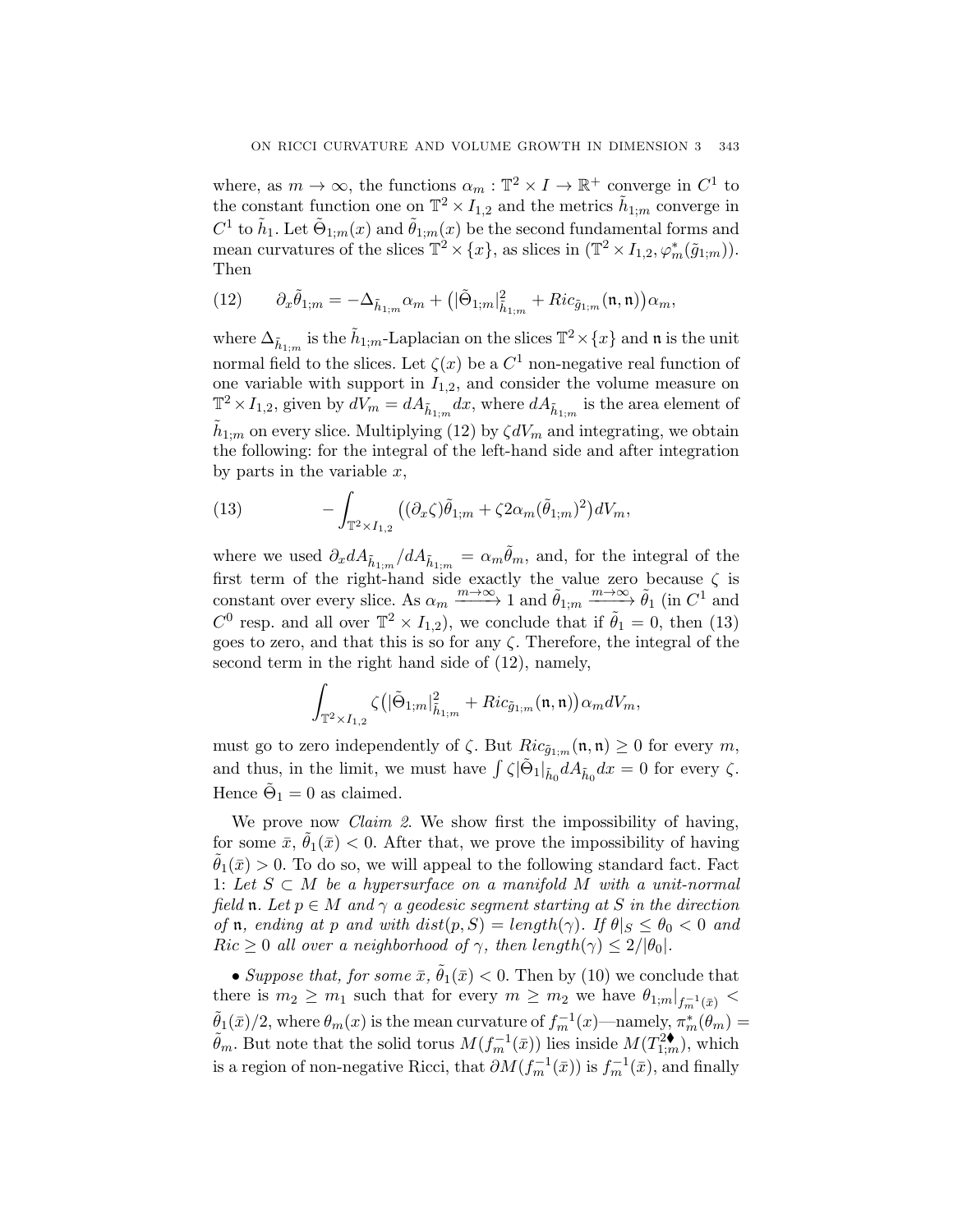where, as  $m \to \infty$ , the functions  $\alpha_m : \mathbb{T}^2 \times I \to \mathbb{R}^+$  converge in  $C^1$  to the constant function one on  $\mathbb{T}^2 \times I_{1,2}$  and the metrics  $\tilde{h}_{1:m}$  converge in  $C^1$  to  $\tilde{h}_1$ . Let  $\tilde{\Theta}_{1;m}(x)$  and  $\tilde{\theta}_{1;m}(x)$  be the second fundamental forms and mean curvatures of the slices  $\mathbb{T}^2 \times \{x\}$ , as slices in  $(\mathbb{T}^2 \times I_{1,2}, \varphi_m^*(\tilde{g}_{1,m}))$ . Then

(12) 
$$
\partial_x \tilde{\theta}_{1;m} = -\Delta_{\tilde{h}_{1;m}} \alpha_m + \left( |\tilde{\Theta}_{1;m}|^2_{\tilde{h}_{1;m}} + Ric_{\tilde{g}_{1;m}}(\mathfrak{n},\mathfrak{n}) \right) \alpha_m,
$$

where  $\Delta_{\tilde{h}_{1:m}}$  is the  $\tilde{h}_{1:m}$ -Laplacian on the slices  $\mathbb{T}^2 \times \{x\}$  and  $\mathfrak{n}$  is the unit normal field to the slices. Let  $\zeta(x)$  be a  $C^1$  non-negative real function of one variable with support in  $I_{1,2}$ , and consider the volume measure on  $\mathbb{T}^2 \times I_{1,2}$ , given by  $dV_m = dA_{\tilde{h}_{1:m}}dx$ , where  $dA_{\tilde{h}_{1:m}}$  is the area element of  $h_{1;m}$  on every slice. Multiplying (12) by  $\zeta dV_m$  and integrating, we obtain the following: for the integral of the left-hand side and after integration by parts in the variable  $x$ ,

(13) 
$$
- \int_{\mathbb{T}^2 \times I_{1,2}} \left( (\partial_x \zeta) \tilde{\theta}_{1;m} + \zeta 2 \alpha_m (\tilde{\theta}_{1;m})^2 \right) dV_m,
$$

where we used  $\partial_x dA_{\tilde{h}_{1:m}}/dA_{\tilde{h}_{1:m}} = \alpha_m \tilde{\theta}_m$ , and, for the integral of the first term of the right-hand side exactly the value zero because  $\zeta$  is constant over every slice. As  $\alpha_m \xrightarrow{m \to \infty} 1$  and  $\tilde{\theta}_{1;m} \xrightarrow{m \to \infty} \tilde{\theta}_1$  (in  $C^1$  and  $C^0$  resp. and all over  $\mathbb{T}^2 \times I_{1,2}$ , we conclude that if  $\theta_1 = 0$ , then (13) goes to zero, and that this is so for any  $\zeta$ . Therefore, the integral of the second term in the right hand side of (12), namely,

$$
\int_{\mathbb T^2\times I_{1,2}}\zeta\big(|\tilde\Theta_{1;m}|^2_{\tilde h_{1;m}}+Ric_{\tilde g_{1;m}}(\mathfrak n,\mathfrak n)\big)\alpha_m dV_m,
$$

must go to zero independently of  $\zeta$ . But  $Ric_{\tilde{q}_{1:m}}(\mathfrak{n},\mathfrak{n}) \geq 0$  for every m, and thus, in the limit, we must have  $\int \zeta |\tilde{\Theta}_1|_{\tilde{h}_0} dA_{\tilde{h}_0} dx = 0$  for every  $\zeta$ . Hence  $\Theta_1 = 0$  as claimed.

We prove now *Claim 2*. We show first the impossibility of having, for some  $\bar{x}$ ,  $\theta_1(\bar{x})$  < 0. After that, we prove the impossibility of having  $\tilde{\theta}_1(\bar{x}) > 0$ . To do so, we will appeal to the following standard fact. Fact 1: Let  $S \subset M$  be a hypersurface on a manifold M with a unit-normal field **n**. Let  $p \in M$  and  $\gamma$  a geodesic segment starting at S in the direction of **n**, ending at p and with  $dist(p, S) = length(\gamma)$ . If  $\theta|_S \leq \theta_0 < 0$  and  $Ric \geq 0$  all over a neighborhood of  $\gamma$ , then length $(\gamma) \leq 2/|\theta_0|$ .

• Suppose that, for some  $\bar{x}$ ,  $\tilde{\theta}_1(\bar{x}) < 0$ . Then by (10) we conclude that there is  $m_2 \geq m_1$  such that for every  $m \geq m_2$  we have  $\theta_{1;m}|_{f_m^{-1}(\bar{x})}$  <  $\tilde{\theta}_1(\bar{x})/2$ , where  $\theta_m(x)$  is the mean curvature of  $f_m^{-1}(x)$ —namely,  $\pi_m^*(\theta_m)$  =  $\tilde{\theta}_m$ . But note that the solid torus  $M(f_m^{-1}(\bar{x}))$  lies inside  $M(T_{1,m}^{2\blacklozenge}),$  which is a region of non-negative Ricci, that  $\partial M(f_m^{-1}(\bar{x}))$  is  $f_m^{-1}(\bar{x})$ , and finally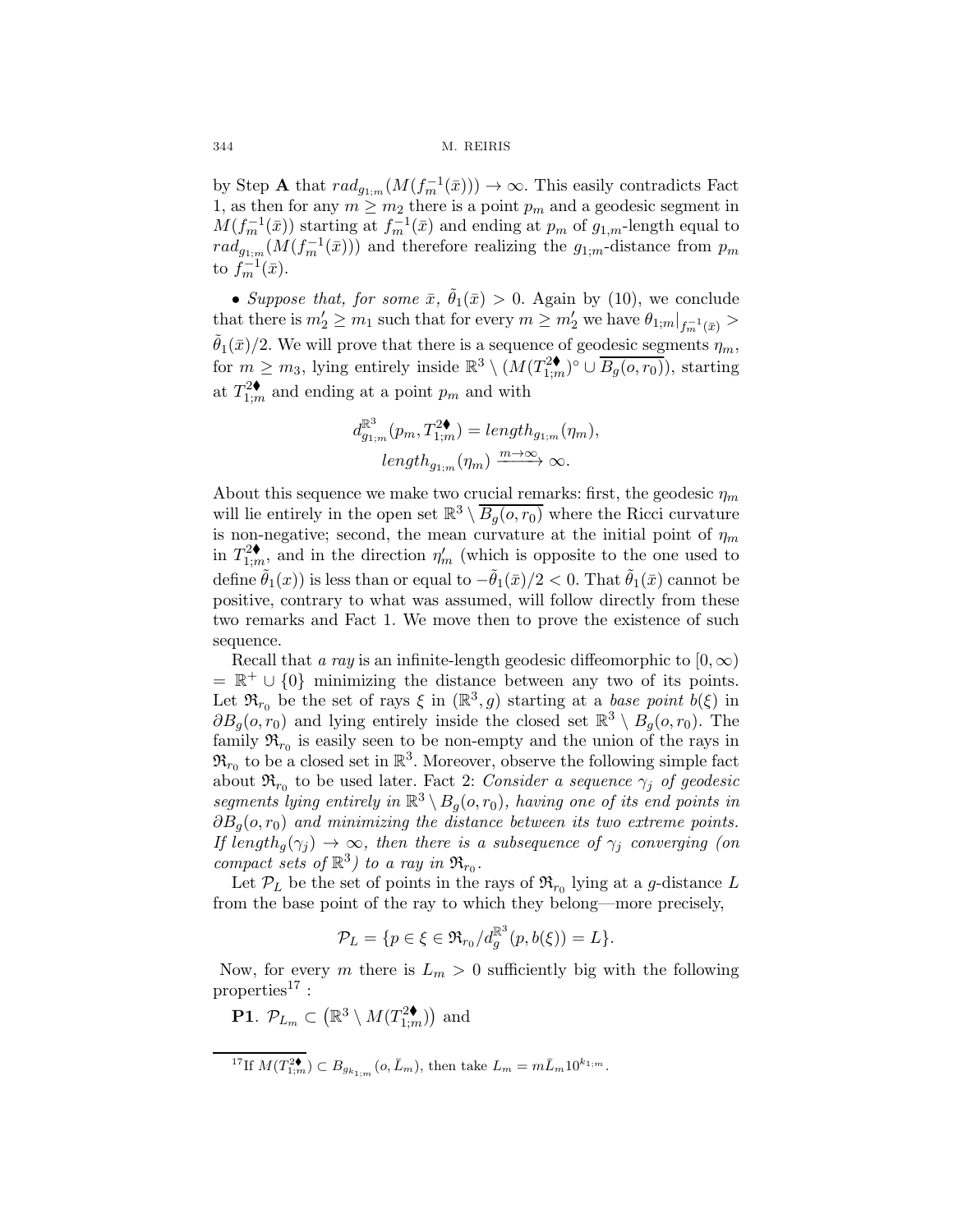by Step A that  $rad_{g_{1:m}}(M(f_m^{-1}(\bar{x}))) \to \infty$ . This easily contradicts Fact 1, as then for any  $m \geq m_2$  there is a point  $p_m$  and a geodesic segment in  $M(f_m^{-1}(\bar{x}))$  starting at  $f_m^{-1}(\bar{x})$  and ending at  $p_m$  of  $g_{1,m}$ -length equal to  $rad_{g_{1:m}}(M(f_m^{-1}(\bar{x})))$  and therefore realizing the  $g_{1,m}$ -distance from  $p_m$ to  $f_m^{-1}(\bar{x})$ .

• Suppose that, for some  $\bar{x}$ ,  $\bar{\theta}_1(\bar{x}) > 0$ . Again by (10), we conclude that there is  $m'_2 \ge m_1$  such that for every  $m \ge m'_2$  we have  $\theta_{1;m}|_{f_m^{-1}(\bar{x})} >$  $\tilde{\theta}_1(\bar{x})/2$ . We will prove that there is a sequence of geodesic segments  $\eta_m$ , for  $m \geq m_3$ , lying entirely inside  $\mathbb{R}^3 \setminus (M(T^2_{1;m})^\circ \cup \overline{B_g(o,r_0)})$ , starting at  $T_{1;m}^{2\blacklozenge}$  and ending at a point  $p_m$  and with

$$
d_{g_{1;m}}^{\mathbb{R}^3}(p_m, T_{1;m}^{2\blacklozenge}) = length_{g_{1;m}}(\eta_m),
$$
  
length<sub>g\_{1;m}(\eta\_m)  $\xrightarrow{m \to \infty} \infty$ .</sub>

About this sequence we make two crucial remarks: first, the geodesic  $\eta_m$ will lie entirely in the open set  $\mathbb{R}^3 \setminus B_q(o,r_0)$  where the Ricci curvature is non-negative; second, the mean curvature at the initial point of  $\eta_m$ in  $T_{1;m}^2$ , and in the direction  $\eta'_m$  (which is opposite to the one used to define  $\hat{\theta}_1(x)$  is less than or equal to  $-\hat{\theta}_1(\bar{x})/2 < 0$ . That  $\hat{\theta}_1(\bar{x})$  cannot be positive, contrary to what was assumed, will follow directly from these two remarks and Fact 1. We move then to prove the existence of such sequence.

Recall that a ray is an infinite-length geodesic diffeomorphic to  $[0,\infty)$  $= \mathbb{R}^+ \cup \{0\}$  minimizing the distance between any two of its points. Let  $\mathfrak{R}_{r_0}$  be the set of rays  $\xi$  in  $(\mathbb{R}^3, g)$  starting at a base point  $b(\xi)$  in  $\partial B_q(o, r_0)$  and lying entirely inside the closed set  $\mathbb{R}^3 \setminus B_q(o, r_0)$ . The family  $\mathfrak{R}_{r_0}$  is easily seen to be non-empty and the union of the rays in  $\mathfrak{R}_{r_0}$  to be a closed set in  $\mathbb{R}^3$ . Moreover, observe the following simple fact about  $\mathfrak{R}_{r_0}$  to be used later. Fact 2: Consider a sequence  $\gamma_i$  of geodesic segments lying entirely in  $\mathbb{R}^3 \setminus B_q(o,r_0)$ , having one of its end points in  $\partial B_q(o, r_0)$  and minimizing the distance between its two extreme points. If length<sub>a</sub> $(\gamma_i) \rightarrow \infty$ , then there is a subsequence of  $\gamma_i$  converging (on compact sets of  $\mathbb{R}^3$ ) to a ray in  $\mathfrak{R}_{r_0}$ .

Let  $\mathcal{P}_L$  be the set of points in the rays of  $\mathfrak{R}_{r_0}$  lying at a g-distance L from the base point of the ray to which they belong—more precisely,

$$
\mathcal{P}_L = \{p \in \xi \in \mathfrak{R}_{r_0}/d_g^{\mathbb{R}^3}(p, b(\xi)) = L\}.
$$

Now, for every m there is  $L_m > 0$  sufficiently big with the following properties<sup>17</sup>:

**P1**.  $\mathcal{P}_{L_m} \subset (\mathbb{R}^3 \setminus M(T^{2\blacklozenge}_{1;m}))$  and

$$
^{17}\mathrm{If}~M(T_{1;m}^{2\blacklozenge})\subset B_{g_{k_{1;m}}}(o,\bar L_m), \,\text{then take}~L_m=m\bar L_m10^{k_{1;m}}.
$$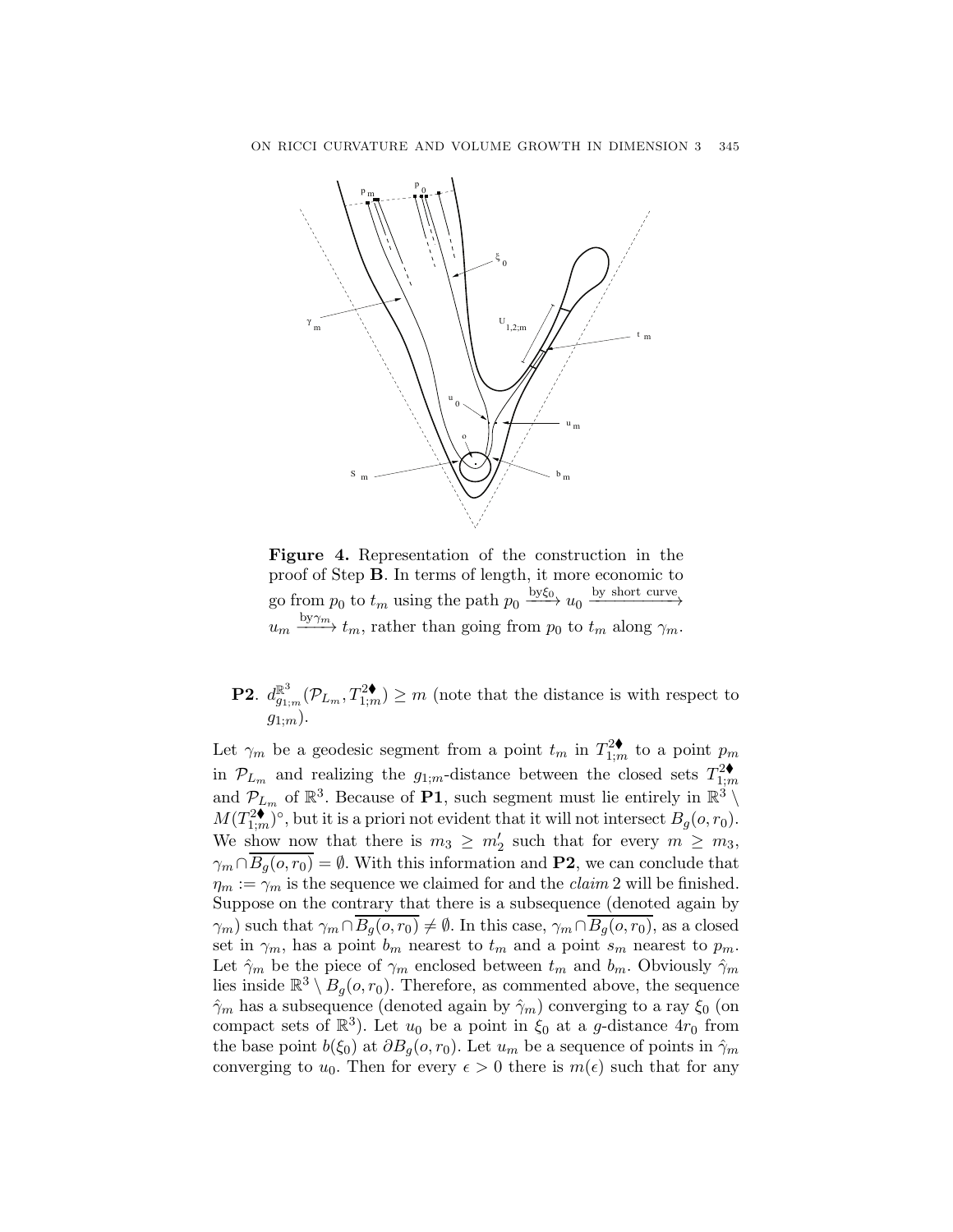

Figure 4. Representation of the construction in the proof of Step B. In terms of length, it more economic to go from  $p_0$  to  $t_m$  using the path  $p_0 \xrightarrow{by \xi_0} u_0 \xrightarrow{by short curve}$  $u_m \xrightarrow{\text{by}\gamma_m} t_m$ , rather than going from  $p_0$  to  $t_m$  along  $\gamma_m$ .

**P2.**  $d_{g_{1;m}}^{\mathbb{R}^3}(\mathcal{P}_{L_m}, T_{1;m}^{2\blacklozenge}) \geq m$  (note that the distance is with respect to  $g_{1;m}$ ).

Let  $\gamma_m$  be a geodesic segment from a point  $t_m$  in  $T_{1;m}^{2\blacklozenge}$  to a point  $p_m$ in  $\mathcal{P}_{L_m}$  and realizing the  $g_{1;m}$ -distance between the closed sets  $T_{1;m}^2$ and  $\mathcal{P}_{L_m}$  of  $\mathbb{R}^3$ . Because of **P1**, such segment must lie entirely in  $\mathbb{R}^3 \setminus \mathbb{R}$  $M(T_{1;m}^{2\blacklozenge})^{\circ}$ , but it is a priori not evident that it will not intersect  $B_g(o,r_0)$ . We show now that there is  $m_3 \geq m'_2$  such that for every  $m \geq m_3$ ,  $\gamma_m \cap \overline{B_q(o,r_0)} = \emptyset$ . With this information and **P2**, we can conclude that  $\eta_m := \gamma_m$  is the sequence we claimed for and the *claim* 2 will be finished. Suppose on the contrary that there is a subsequence (denoted again by  $(\gamma_m)$  such that  $\gamma_m \cap \overline{B_q(o, r_0)} \neq \emptyset$ . In this case,  $\gamma_m \cap \overline{B_q(o, r_0)}$ , as a closed set in  $\gamma_m$ , has a point  $b_m$  nearest to  $t_m$  and a point  $s_m$  nearest to  $p_m$ . Let  $\hat{\gamma}_m$  be the piece of  $\gamma_m$  enclosed between  $t_m$  and  $b_m$ . Obviously  $\hat{\gamma}_m$ lies inside  $\mathbb{R}^3 \setminus B_q(o, r_0)$ . Therefore, as commented above, the sequence  $\hat{\gamma}_m$  has a subsequence (denoted again by  $\hat{\gamma}_m$ ) converging to a ray  $\xi_0$  (on compact sets of  $\mathbb{R}^3$ ). Let  $u_0$  be a point in  $\xi_0$  at a g-distance  $4r_0$  from the base point  $b(\xi_0)$  at  $\partial B_g(o, r_0)$ . Let  $u_m$  be a sequence of points in  $\hat{\gamma}_m$ converging to  $u_0$ . Then for every  $\epsilon > 0$  there is  $m(\epsilon)$  such that for any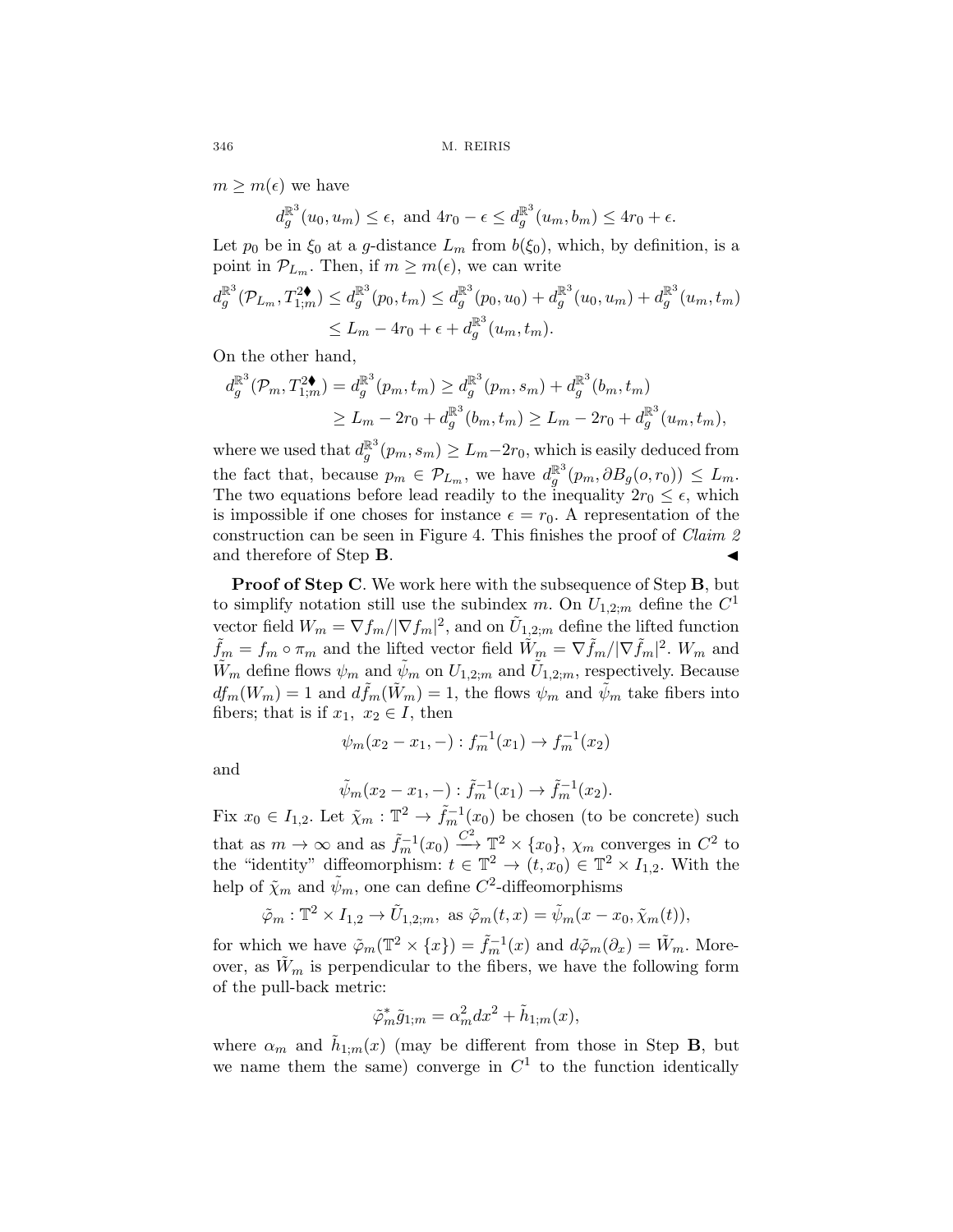$m \geq m(\epsilon)$  we have

$$
d_g^{\mathbb{R}^3}(u_0, u_m) \le \epsilon
$$
, and  $4r_0 - \epsilon \le d_g^{\mathbb{R}^3}(u_m, b_m) \le 4r_0 + \epsilon$ .

Let  $p_0$  be in  $\xi_0$  at a g-distance  $L_m$  from  $b(\xi_0)$ , which, by definition, is a point in  $\mathcal{P}_{L_m}$ . Then, if  $m \geq m(\epsilon)$ , we can write

$$
d_g^{\mathbb{R}^3}(\mathcal{P}_{L_m}, T_{1;m}^{2\blacklozenge}) \leq d_g^{\mathbb{R}^3}(p_0, t_m) \leq d_g^{\mathbb{R}^3}(p_0, u_0) + d_g^{\mathbb{R}^3}(u_0, u_m) + d_g^{\mathbb{R}^3}(u_m, t_m)
$$
  

$$
\leq L_m - 4r_0 + \epsilon + d_g^{\mathbb{R}^3}(u_m, t_m).
$$

On the other hand,

$$
d_g^{\mathbb{R}^3}(\mathcal{P}_m, T_{1;m}^2) = d_g^{\mathbb{R}^3}(p_m, t_m) \geq d_g^{\mathbb{R}^3}(p_m, s_m) + d_g^{\mathbb{R}^3}(b_m, t_m)
$$
  
\n
$$
\geq L_m - 2r_0 + d_g^{\mathbb{R}^3}(b_m, t_m) \geq L_m - 2r_0 + d_g^{\mathbb{R}^3}(u_m, t_m),
$$

where we used that  $d_g^{\mathbb{R}^3}(p_m, s_m) \geq L_m - 2r_0$ , which is easily deduced from the fact that, because  $p_m \in \mathcal{P}_{L_m}$ , we have  $d_g^{\mathbb{R}^3}(p_m, \partial B_g(o, r_0)) \leq L_m$ . The two equations before lead readily to the inequality  $2r_0 \leq \epsilon$ , which is impossible if one choses for instance  $\epsilon = r_0$ . A representation of the construction can be seen in Figure 4. This finishes the proof of Claim 2 and therefore of Step  $\bf{B}$ .

**Proof of Step C.** We work here with the subsequence of Step **B**, but to simplify notation still use the subindex m. On  $U_{1,2,m}$  define the  $C<sup>1</sup>$ vector field  $W_m = \nabla f_m / |\nabla f_m|^2$ , and on  $\tilde{U}_{1,2;m}$  define the lifted function  $\tilde{f}_m = f_m \circ \pi_m$  and the lifted vector field  $\tilde{W}_m = \nabla \tilde{f}_m / |\nabla \tilde{f}_m|^2$ .  $W_m$  and  $\tilde{W}_m$  define flows  $\psi_m$  and  $\tilde{\psi}_m$  on  $U_{1,2;m}$  and  $\tilde{U}_{1,2;m}$ , respectively. Because  $df_m(W_m) = 1$  and  $d\tilde{f}_m(\tilde{W}_m) = 1$ , the flows  $\psi_m$  and  $\tilde{\psi}_m$  take fibers into fibers; that is if  $x_1, x_2 \in I$ , then

$$
\psi_m(x_2 - x_1, -) : f_m^{-1}(x_1) \to f_m^{-1}(x_2)
$$

and

$$
\tilde{\psi}_m(x_2 - x_1, -) : \tilde{f}_m^{-1}(x_1) \to \tilde{f}_m^{-1}(x_2).
$$

Fix  $x_0 \in I_{1,2}$ . Let  $\tilde{\chi}_m : \mathbb{T}^2 \to \tilde{f}_m^{-1}(x_0)$  be chosen (to be concrete) such that as  $m \to \infty$  and as  $\tilde{f}_m^{-1}(x_0) \xrightarrow{C^2} \mathbb{T}^2 \times \{x_0\}$ ,  $\chi_m$  converges in  $C^2$  to the "identity" diffeomorphism:  $t \in \mathbb{T}^2 \to (t, x_0) \in \mathbb{T}^2 \times I_{1,2}$ . With the help of  $\tilde{\chi}_m$  and  $\tilde{\psi}_m$ , one can define  $C^2$ -diffeomorphisms

$$
\tilde{\varphi}_m : \mathbb{T}^2 \times I_{1,2} \to \tilde{U}_{1,2;m}
$$
, as  $\tilde{\varphi}_m(t,x) = \tilde{\psi}_m(x - x_0, \tilde{\chi}_m(t)),$ 

for which we have  $\tilde{\varphi}_m(\mathbb{T}^2 \times \{x\}) = \tilde{f}_m^{-1}(x)$  and  $d\tilde{\varphi}_m(\partial_x) = \tilde{W}_m$ . Moreover, as  $\tilde{W}_m$  is perpendicular to the fibers, we have the following form of the pull-back metric:

$$
\tilde{\varphi}_m^* \tilde{g}_{1;m} = \alpha_m^2 dx^2 + \tilde{h}_{1;m}(x),
$$

where  $\alpha_m$  and  $\tilde{h}_{1;m}(x)$  (may be different from those in Step **B**, but we name them the same) converge in  $C<sup>1</sup>$  to the function identically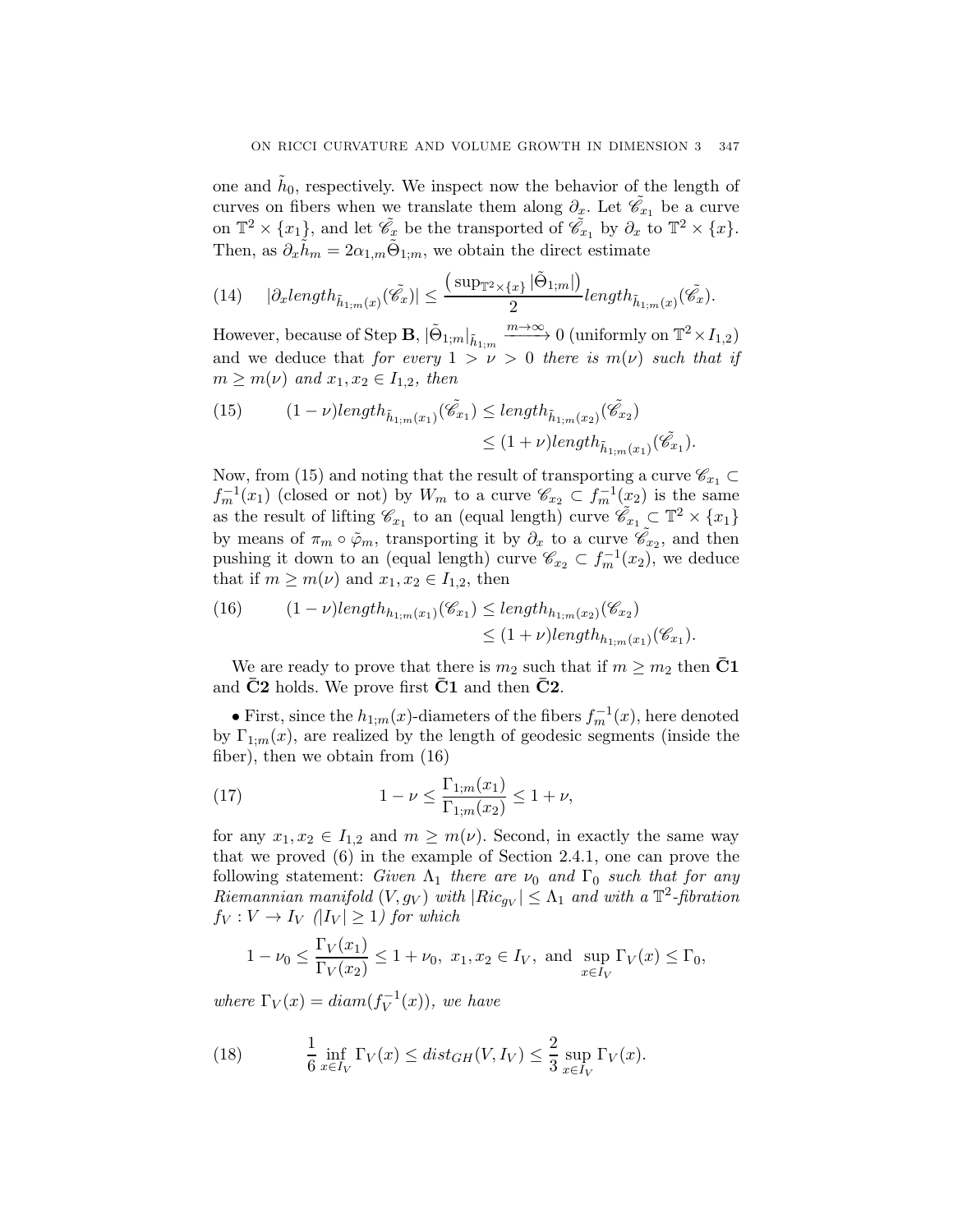one and  $\tilde{h}_0$ , respectively. We inspect now the behavior of the length of curves on fibers when we translate them along  $\partial_x$ . Let  $\tilde{\mathscr{C}}_{x_1}$  be a curve on  $\mathbb{T}^2 \times \{x_1\}$ , and let  $\tilde{\mathscr{C}}_x$  be the transported of  $\tilde{\mathscr{C}}_{x_1}$  by  $\partial_x$  to  $\mathbb{T}^2 \times \{x\}$ . Then, as  $\partial_x \tilde{h}_m = 2\alpha_{1,m} \tilde{\Theta}_{1:m}$ , we obtain the direct estimate

(14) 
$$
|\partial_x \text{length}_{\tilde{h}_{1;m}(x)}(\tilde{\mathscr{C}}_x)| \leq \frac{(\sup_{\mathbb{T}^2 \times \{x\}} |\tilde{\Theta}_{1;m}|)}{2} \text{length}_{\tilde{h}_{1;m}(x)}(\tilde{\mathscr{C}}_x).
$$

However, because of Step **B**,  $|\tilde{\Theta}_{1;m}|_{\tilde{h}_{1;m}} \xrightarrow{m \to \infty} 0$  (uniformly on  $\mathbb{T}^2 \times I_{1,2}$ ) and we deduce that for every  $1 > \nu > 0$  there is  $m(\nu)$  such that if  $m \geq m(\nu)$  and  $x_1, x_2 \in I_{1,2}$ , then

(15) 
$$
(1 - \nu) \operatorname{length}_{\tilde{h}_{1;m}(x_1)} (\tilde{\mathscr{C}}_{x_1}) \leq \operatorname{length}_{\tilde{h}_{1;m}(x_2)} (\tilde{\mathscr{C}}_{x_2})
$$

$$
\leq (1 + \nu) \operatorname{length}_{\tilde{h}_{1;m}(x_1)} (\tilde{\mathscr{C}}_{x_1}).
$$

Now, from (15) and noting that the result of transporting a curve  $\mathscr{C}_{x_1} \subset$  $f_m^{-1}(x_1)$  (closed or not) by  $W_m$  to a curve  $\mathscr{C}_{x_2} \subset f_m^{-1}(x_2)$  is the same as the result of lifting  $\mathscr{C}_{x_1}$  to an (equal length) curve  $\tilde{\mathscr{C}}_{x_1} \subset \mathbb{T}^2 \times \{x_1\}$ by means of  $\pi_m \circ \tilde{\varphi}_m$ , transporting it by  $\partial_x$  to a curve  $\tilde{\mathscr{C}}_{x_2}$ , and then pushing it down to an (equal length) curve  $\mathscr{C}_{x_2} \subset f_m^{-1}(x_2)$ , we deduce that if  $m \geq m(\nu)$  and  $x_1, x_2 \in I_{1,2}$ , then

(16) 
$$
(1 - \nu) \operatorname{length}_{h_{1;m}(x_1)}(\mathscr{C}_{x_1}) \leq \operatorname{length}_{h_{1;m}(x_2)}(\mathscr{C}_{x_2})
$$

$$
\leq (1 + \nu) \operatorname{length}_{h_{1;m}(x_1)}(\mathscr{C}_{x_1}).
$$

We are ready to prove that there is  $m_2$  such that if  $m \geq m_2$  then  $\bar{C}1$ and  $C2$  holds. We prove first  $C1$  and then  $C2$ .

• First, since the  $h_{1;m}(x)$ -diameters of the fibers  $f_m^{-1}(x)$ , here denoted by  $\Gamma_{1:m}(x)$ , are realized by the length of geodesic segments (inside the fiber), then we obtain from (16)

(17) 
$$
1 - \nu \le \frac{\Gamma_{1;m}(x_1)}{\Gamma_{1;m}(x_2)} \le 1 + \nu,
$$

for any  $x_1, x_2 \in I_{1,2}$  and  $m \geq m(\nu)$ . Second, in exactly the same way that we proved (6) in the example of Section 2.4.1, one can prove the following statement: Given  $\Lambda_1$  there are  $\nu_0$  and  $\Gamma_0$  such that for any Riemannian manifold  $(V, g_V)$  with  $|Ric_{g_V}| \leq \Lambda_1$  and with a  $\mathbb{T}^2$ -fibration  $f_V: V \to I_V$  (| $I_V$ |  $\geq$  1) for which

$$
1 - \nu_0 \le \frac{\Gamma_V(x_1)}{\Gamma_V(x_2)} \le 1 + \nu_0, \ x_1, x_2 \in I_V, \text{ and } \sup_{x \in I_V} \Gamma_V(x) \le \Gamma_0,
$$

where  $\Gamma_V(x) = diam(f_V^{-1}(x))$ , we have

(18) 
$$
\frac{1}{6} \inf_{x \in I_V} \Gamma_V(x) \leq dist_{GH}(V, I_V) \leq \frac{2}{3} \sup_{x \in I_V} \Gamma_V(x).
$$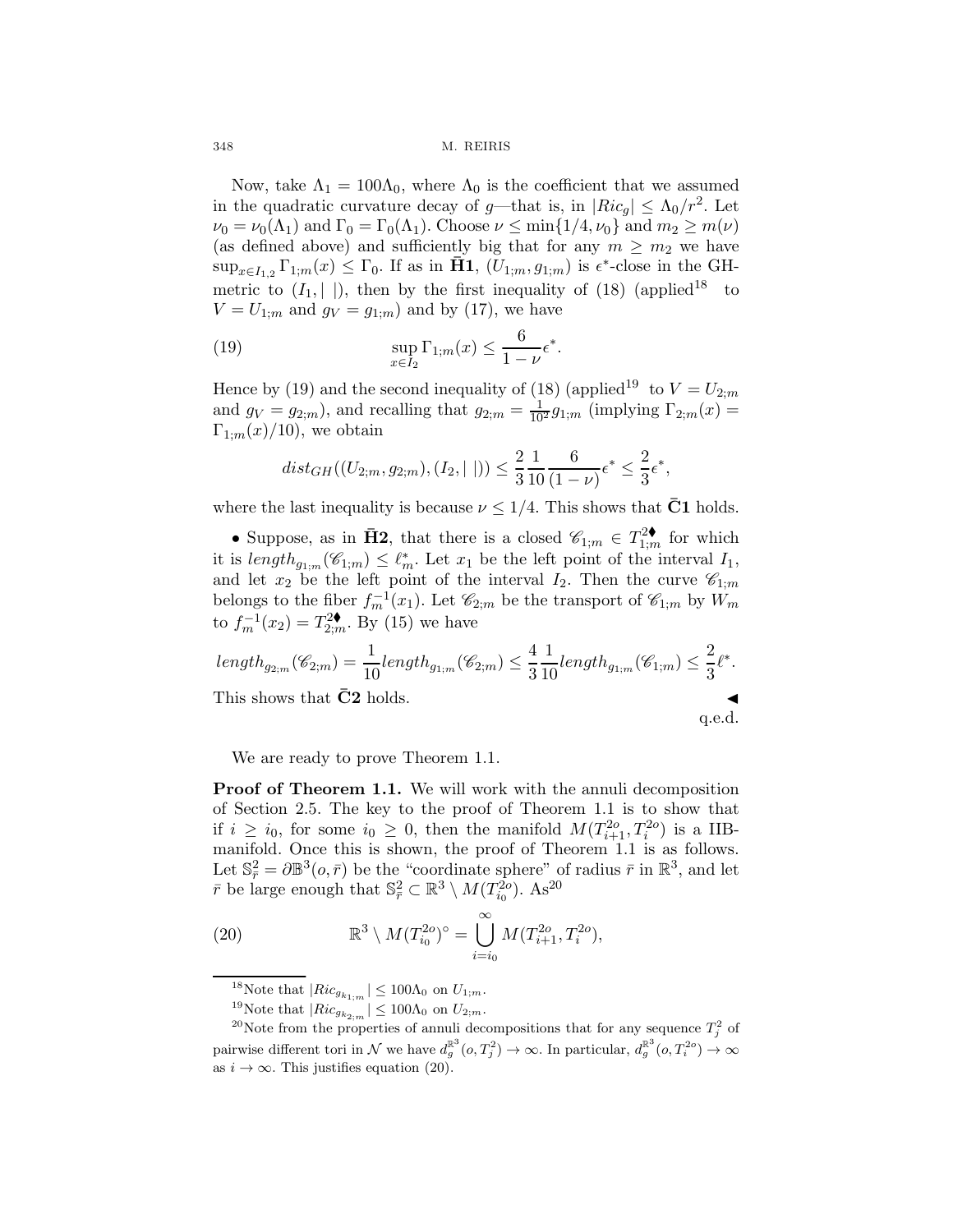Now, take  $\Lambda_1 = 100\Lambda_0$ , where  $\Lambda_0$  is the coefficient that we assumed in the quadratic curvature decay of g—that is, in  $|Ric_{q}| \leq \Lambda_0/r^2$ . Let  $\nu_0 = \nu_0(\Lambda_1)$  and  $\Gamma_0 = \Gamma_0(\Lambda_1)$ . Choose  $\nu \leq \min\{1/4, \nu_0\}$  and  $m_2 \geq m(\nu)$ (as defined above) and sufficiently big that for any  $m \geq m_2$  we have  $\sup_{x\in I_1} \Gamma_{1;m}(x) \leq \Gamma_0$ . If as in **H1**,  $(U_{1;m}, g_{1;m})$  is  $\epsilon^*$ -close in the GHmetric to  $(I_1, \vert \vert)$ , then by the first inequality of (18) (applied<sup>18</sup> to  $V = U_{1;m}$  and  $g_V = g_{1;m}$  and by (17), we have

(19) 
$$
\sup_{x \in I_2} \Gamma_{1;m}(x) \leq \frac{6}{1-\nu} \epsilon^*.
$$

Hence by (19) and the second inequality of (18) (applied<sup>19</sup> to  $V = U_{2;m}$ and  $g_V = g_{2;m}$ , and recalling that  $g_{2;m} = \frac{1}{10^2} g_{1;m}$  (implying  $\Gamma_{2;m}(x) =$  $\Gamma_{1:m}(x)/10$ , we obtain

$$
dist_{GH}((U_{2;m}, g_{2;m}), (I_2, \vert \ \vert)) \leq \frac{2}{3} \frac{1}{10} \frac{6}{(1-\nu)} \epsilon^* \leq \frac{2}{3} \epsilon^*,
$$

where the last inequality is because  $\nu \leq 1/4$ . This shows that C1 holds.

• Suppose, as in  $\bar{H}2$ , that there is a closed  $\mathscr{C}_{1;m} \in T^2_{1;m}$  for which it is  $length_{g_{1;m}}(\mathscr{C}_{1;m}) \leq \ell_m^*$ . Let  $x_1$  be the left point of the interval  $I_1$ , and let  $x_2$  be the left point of the interval  $I_2$ . Then the curve  $\mathscr{C}_{1;m}$ belongs to the fiber  $f_m^{-1}(x_1)$ . Let  $\mathscr{C}_{2;m}$  be the transport of  $\mathscr{C}_{1;m}$  by  $W_m$ to  $f_m^{-1}(x_2) = T_{2;m}^{2*}$ . By (15) we have

$$
length_{g_{2;m}}(\mathscr{C}_{2;m}) = \frac{1}{10} length_{g_{1;m}}(\mathscr{C}_{2;m}) \le \frac{4}{3} \frac{1}{10} length_{g_{1;m}}(\mathscr{C}_{1;m}) \le \frac{2}{3} \ell^*.
$$
  
This shows that  $\bar{C}2$  holds.

We are ready to prove Theorem 1.1.

Proof of Theorem 1.1. We will work with the annuli decomposition of Section 2.5. The key to the proof of Theorem 1.1 is to show that if  $i \geq i_0$ , for some  $i_0 \geq 0$ , then the manifold  $M(T_{i+1}^{2o}, T_i^{2o})$  is a IIBmanifold. Once this is shown, the proof of Theorem 1.1 is as follows. Let  $\mathbb{S}_{\bar{r}}^2 = \partial \mathbb{B}^3(o, \bar{r})$  be the "coordinate sphere" of radius  $\bar{r}$  in  $\mathbb{R}^3$ , and let  $\bar{r}$  be large enough that  $\mathbb{S}^2_{\bar{r}} \subset \mathbb{R}^3 \setminus M(T_{i_0}^{2o})$ . As<sup>20</sup>

(20) 
$$
\mathbb{R}^3 \setminus M(T_{i_0}^{2o})^{\circ} = \bigcup_{i=i_0}^{\infty} M(T_{i+1}^{2o}, T_i^{2o}),
$$

<sup>&</sup>lt;sup>18</sup>Note that  $|Ric_{g_{k_{1;m}}}| \le 100\Lambda_0$  on  $U_{1;m}$ .<br><sup>19</sup>Note that  $|Ric_{g_{k_{2;m}}}| \le 100\Lambda_0$  on  $U_{2;m}$ .<br><sup>20</sup>Note from the properties of annuli decompositions that for any sequence  $T_j^2$  of pairwise different tori in N we have  $d_g^{\mathbb{R}^3}(0,T_j^2) \to \infty$ . In particular,  $d_g^{\mathbb{R}^3}(0,T_i^{2o}) \to \infty$ as  $i \to \infty$ . This justifies equation (20).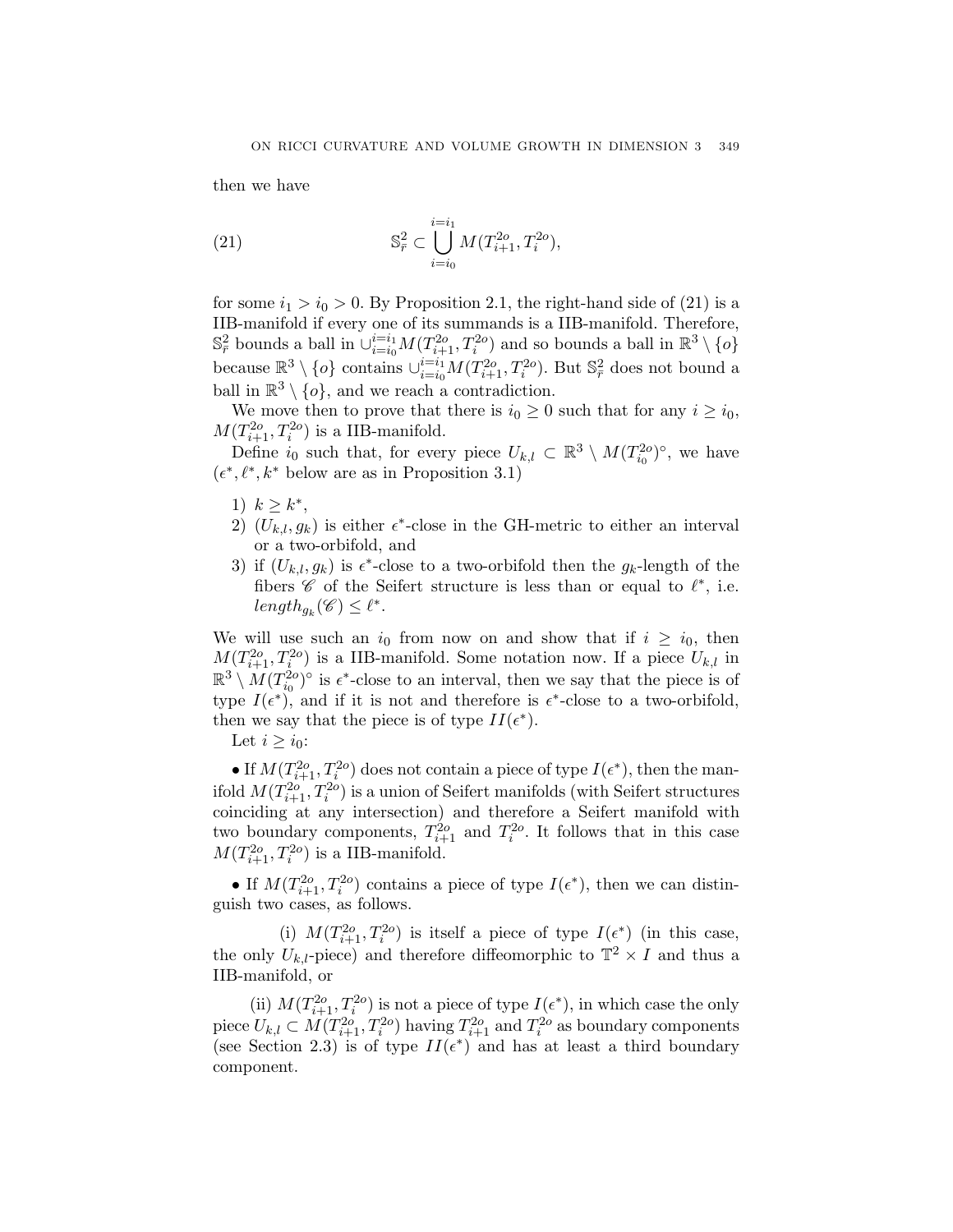then we have

(21) 
$$
\mathbb{S}_{\bar{r}}^2 \subset \bigcup_{i=i_0}^{i=i_1} M(T_{i+1}^{2o}, T_i^{2o}),
$$

for some  $i_1 > i_0 > 0$ . By Proposition 2.1, the right-hand side of (21) is a IIB-manifold if every one of its summands is a IIB-manifold. Therefore,  $\mathbb{S}_{\bar{r}}^2$  bounds a ball in  $\cup_{i=i_0}^{i=i_1} M(T_{i+1}^{2o}, T_i^{2o})$  and so bounds a ball in  $\mathbb{R}^3 \setminus \{o\}$ because  $\mathbb{R}^3 \setminus \{o\}$  contains  $\cup_{i=i_0}^{i=i_1} M(T_{i+1}^{2o}, T_i^{2o})$ . But  $\mathbb{S}^2_{\bar{r}}$  does not bound a ball in  $\mathbb{R}^3 \setminus \{o\}$ , and we reach a contradiction.

We move then to prove that there is  $i_0 \geq 0$  such that for any  $i \geq i_0$ ,  $M(T_{i+1}^{2o}, T_i^{2o})$  is a IIB-manifold.

Define  $i_0$  such that, for every piece  $U_{k,l} \subset \mathbb{R}^3 \setminus M(T_{i_0}^{2o})^{\circ}$ , we have  $(\epsilon^*, \ell^*, k^* \text{ below are as in Proposition 3.1})$ 

- 1)  $k \geq k^*$ ,
- 2)  $(U_{k,l}, g_k)$  is either  $\epsilon^*$ -close in the GH-metric to either an interval or a two-orbifold, and
- 3) if  $(U_{k,l}, g_k)$  is  $\epsilon^*$ -close to a two-orbifold then the  $g_k$ -length of the fibers  $\mathscr C$  of the Seifert structure is less than or equal to  $\ell^*$ , i.e.  $length_{q_k}(\mathscr{C}) \leq \ell^*$ .

We will use such an  $i_0$  from now on and show that if  $i \geq i_0$ , then  $M(T_{i+1}^{2o}, T_i^{2o})$  is a IIB-manifold. Some notation now. If a piece  $U_{k,l}$  in  $\mathbb{R}^3 \setminus M(T_{i_0}^{2o})^{\circ}$  is  $\epsilon^*$ -close to an interval, then we say that the piece is of type  $I(\epsilon^*)$ , and if it is not and therefore is  $\epsilon^*$ -close to a two-orbifold, then we say that the piece is of type  $II(\epsilon^*)$ .

Let  $i \geq i_0$ :

• If  $M(T_{i+1}^{2o}, T_i^{2o})$  does not contain a piece of type  $I(\epsilon^*)$ , then the manifold  $M(T_{i+1}^{2o}, T_i^{2o})$  is a union of Seifert manifolds (with Seifert structures coinciding at any intersection) and therefore a Seifert manifold with two boundary components,  $T_{i+1}^{2o}$  and  $T_i^{2o}$ . It follows that in this case  $M(T_{i+1}^{2o}, T_i^{2o})$  is a IIB-manifold.

• If  $M(T_{i+1}^{2o}, T_i^{2o})$  contains a piece of type  $I(\epsilon^*)$ , then we can distinguish two cases, as follows.

(i)  $M(T_{i+1}^{2o}, T_i^{2o})$  is itself a piece of type  $I(\epsilon^*)$  (in this case, the only  $U_{k,l}$ -piece) and therefore diffeomorphic to  $\mathbb{T}^2 \times I$  and thus a IIB-manifold, or

(ii)  $M(T_{i+1}^{2o}, T_i^{2o})$  is not a piece of type  $I(\epsilon^*)$ , in which case the only piece  $U_{k,l} \subset M(T_{i+1}^{2o}, T_i^{2o})$  having  $T_{i+1}^{2o}$  and  $T_i^{2o}$  as boundary components (see Section 2.3) is of type  $II(\epsilon^*)$  and has at least a third boundary component.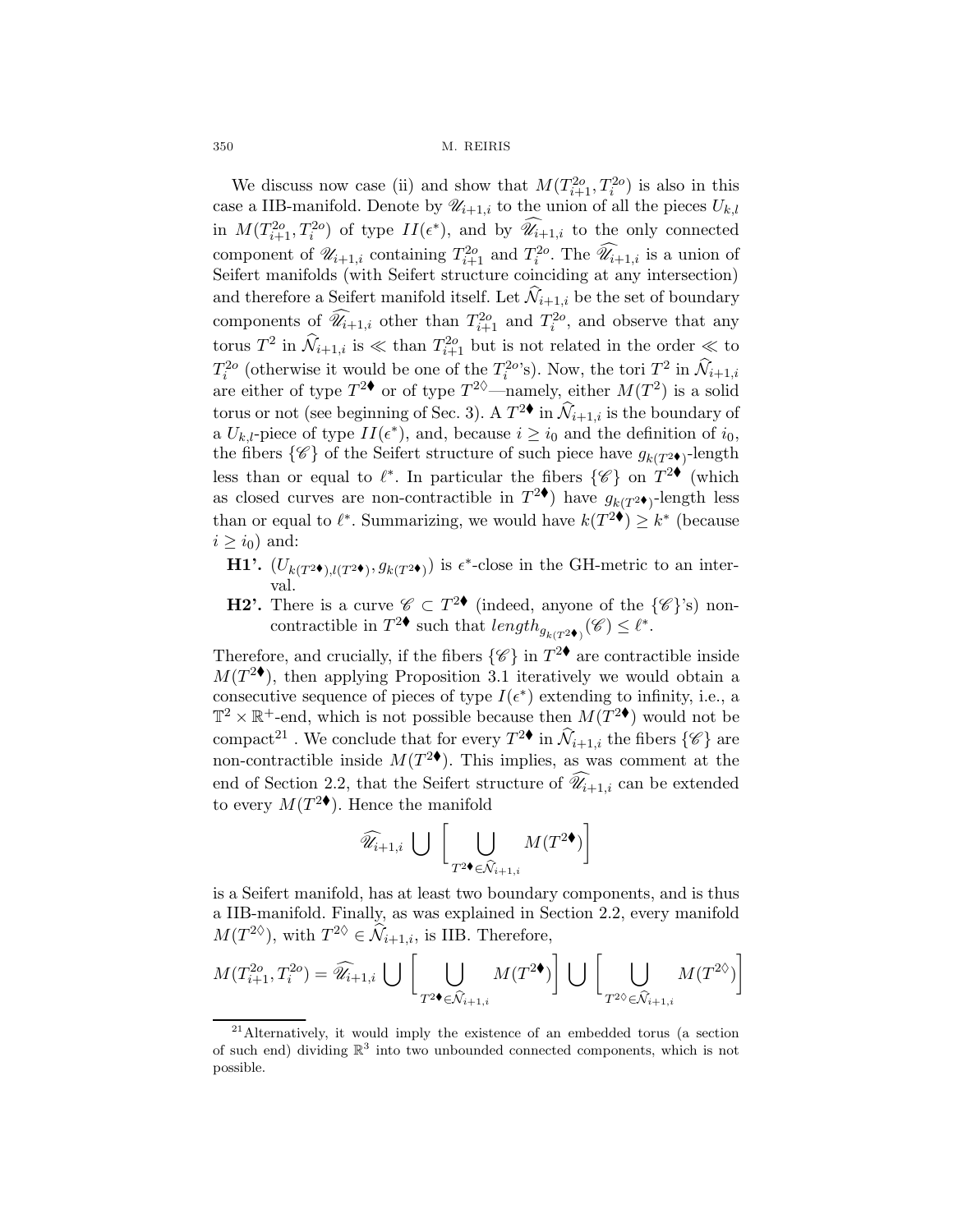We discuss now case (ii) and show that  $M(T_{i+1}^{2o}, T_i^{2o})$  is also in this case a IIB-manifold. Denote by  $\mathscr{U}_{i+1,i}$  to the union of all the pieces  $U_{k,l}$ in  $M(T_{i+1}^{2o}, T_i^{2o})$  of type  $II(\epsilon^*)$ , and by  $\widehat{\mathscr{U}}_{i+1,i}$  to the only connected component of  $\mathscr{U}_{i+1,i}$  containing  $T_{i+1}^{2o}$  and  $T_i^{2o}$ . The  $\widehat{\mathscr{U}_{i+1,i}}$  is a union of Seifert manifolds (with Seifert structure coinciding at any intersection) and therefore a Seifert manifold itself. Let  $\mathcal{N}_{i+1,i}$  be the set of boundary components of  $\widehat{\mathscr{U}}_{i+1,i}$  other than  $T_{i+1}^{2o}$  and  $T_i^{2o}$ , and observe that any torus  $T^2$  in  $\widehat{\mathcal{N}}_{i+1,i}$  is  $\ll$  than  $T_{i+1}^{2o}$  but is not related in the order  $\ll$  to  $T_i^{2o}$  (otherwise it would be one of the  $T_i^{2o}$ 's). Now, the tori  $T_i^{2}$  in  $\hat{\mathcal{N}}_{i+1,i}$ are either of type  $T^{2\phi}$  or of type  $T^{2\phi}$ —namely, either  $M(T^2)$  is a solid torus or not (see beginning of Sec. 3). A  $T^{2\blacklozenge}$  in  $\widehat{\mathcal{N}}_{i+1,i}$  is the boundary of a  $U_{k,l}$ -piece of type  $II(\epsilon^*)$ , and, because  $i \geq i_0$  and the definition of  $i_0$ , the fibers  $\{\mathscr{C}\}\$  of the Seifert structure of such piece have  $g_{k(T^2\bullet)}$ -length less than or equal to  $\ell^*$ . In particular the fibers  $\{\mathscr{C}\}\$  on  $T^{2\blacklozenge}$  (which as closed curves are non-contractible in  $T^2\bullet$  have  $g_{k(T^2\bullet)}$ -length less than or equal to  $\ell^*$ . Summarizing, we would have  $k(T^2 \bullet) \geq k^*$  (because  $i \geq i_0$ ) and:

- H1'.  $(U_{k(T^{2\bullet}),l(T^{2\bullet})}, g_{k(T^{2\bullet})})$  is  $\epsilon^*$ -close in the GH-metric to an interval.
- **H2'.** There is a curve  $\mathscr{C} \subset T^{2\bullet}$  (indeed, anyone of the  $\{\mathscr{C}\}$ 's) noncontractible in  $T^2$  such that  $length_{g_{k(T^2\bullet)}}(\mathscr{C}) \leq \ell^*$ .

Therefore, and crucially, if the fibers  $\{\mathscr{C}\}\$  in  $T^{2\bullet}$  are contractible inside  $M(T^{2\bullet})$ , then applying Proposition 3.1 iteratively we would obtain a consecutive sequence of pieces of type  $I(\epsilon^*)$  extending to infinity, i.e., a  $\mathbb{T}^2 \times \mathbb{R}^+$ -end, which is not possible because then  $M(T^{2\bullet})$  would not be compact<sup>21</sup>. We conclude that for every  $T^{2\bullet}$  in  $\widehat{\mathcal{N}}_{i+1,i}$  the fibers  $\{\mathscr{C}\}$  are non-contractible inside  $M(T^{2\blacklozenge})$ . This implies, as was comment at the end of Section 2.2, that the Seifert structure of  $\widehat{\mathscr{U}}_{i+1,i}$  can be extended to every  $M(T^{2\blacklozenge})$ . Hence the manifold

$$
\widehat{\mathscr{U}}_{i+1,i} \ \bigcup \ \bigg[\bigcup_{T^2 \blacklozenge \in \widehat{\mathcal{N}}_{i+1,i}} M(T^{2 \blacklozenge}) \bigg]
$$

is a Seifert manifold, has at least two boundary components, and is thus a IIB-manifold. Finally, as was explained in Section 2.2, every manifold  $M(T^{2\diamond})$ , with  $T^{2\diamond} \in \mathcal{N}_{i+1,i}$ , is IIB. Therefore,

$$
M(T_{i+1}^{2o}, T_i^{2o}) = \widehat{\mathscr{U}}_{i+1,i} \, \bigcup \, \bigg[ \bigcup_{T^2 \bullet \in \widehat{\mathcal{N}}_{i+1,i}} M(T^{2\bullet}) \bigg] \, \bigcup \, \bigg[ \bigcup_{T^{2\lozenge} \in \widehat{\mathcal{N}}_{i+1,i}} M(T^{2\lozenge}) \bigg]
$$

<sup>21</sup>Alternatively, it would imply the existence of an embedded torus (a section of such end) dividing  $\mathbb{R}^3$  into two unbounded connected components, which is not possible.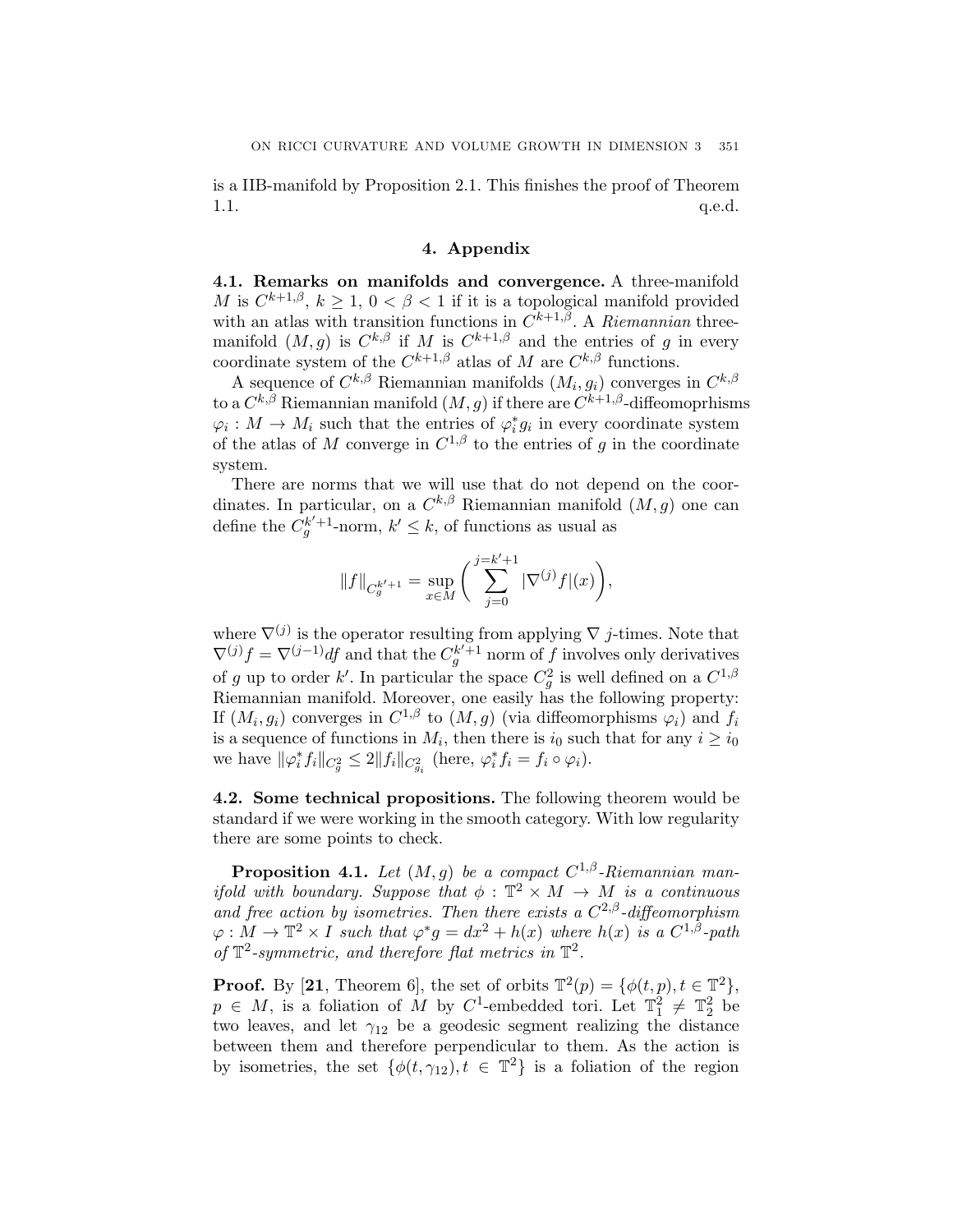is a IIB-manifold by Proposition 2.1. This finishes the proof of Theorem  $1.1.$  q.e.d.

# 4. Appendix

4.1. Remarks on manifolds and convergence. A three-manifold M is  $C^{k+1,\beta}$ ,  $k \geq 1$ ,  $0 < \beta < 1$  if it is a topological manifold provided with an atlas with transition functions in  $C^{k+1,\beta}$ . A Riemannian threemanifold  $(M,g)$  is  $C^{k,\beta}$  if M is  $C^{k+1,\beta}$  and the entries of g in every coordinate system of the  $C^{k+1,\beta}$  atlas of M are  $C^{k,\beta}$  functions.

A sequence of  $C^{k,\beta}$  Riemannian manifolds  $(M_i, g_i)$  converges in  $C^{k,\beta}$ to a  $C^{k,\beta}$  Riemannian manifold  $(M,g)$  if there are  $C^{k+1,\beta}$ -diffeomoprhisms  $\varphi_i : M \to M_i$  such that the entries of  $\varphi_i^* g_i$  in every coordinate system of the atlas of M converge in  $C^{1,\beta}$  to the entries of g in the coordinate system.

There are norms that we will use that do not depend on the coordinates. In particular, on a  $C^{k,\beta}$  Riemannian manifold  $(M,g)$  one can define the  $C_g^{k'+1}$ -norm,  $k' \leq k$ , of functions as usual as

$$
\|f\|_{C_g^{k'+1}}=\sup_{x\in M}\bigg(\sum_{j=0}^{j=k'+1}|\nabla^{(j)} f|(x)\bigg),
$$

where  $\nabla^{(j)}$  is the operator resulting from applying  $\nabla j$ -times. Note that  $\nabla^{(j)} f = \nabla^{(j-1)} df$  and that the  $C_g^{k^{\prime}+1}$  norm of f involves only derivatives of g up to order k'. In particular the space  $C_g^2$  is well defined on a  $C^{1,\beta}$ Riemannian manifold. Moreover, one easily has the following property: If  $(M_i, g_i)$  converges in  $C^{1,\beta}$  to  $(M,g)$  (via diffeomorphisms  $\varphi_i$ ) and  $f_i$ is a sequence of functions in  $M_i$ , then there is  $i_0$  such that for any  $i \ge i_0$ we have  $\|\varphi_i^* f_i\|_{C_g^2} \leq 2 \|f_i\|_{C_{g_i}^2}$  (here,  $\varphi_i^* f_i = f_i \circ \varphi_i$ ).

4.2. Some technical propositions. The following theorem would be standard if we were working in the smooth category. With low regularity there are some points to check.

**Proposition 4.1.** Let  $(M, g)$  be a compact  $C^{1,\beta}$ -Riemannian manifold with boundary. Suppose that  $\phi : \mathbb{T}^2 \times M \to M$  is a continuous and free action by isometries. Then there exists a  $C^{2,\beta}$ -diffeomorphism  $\varphi: M \to \mathbb{T}^2 \times I$  such that  $\varphi^* g = dx^2 + h(x)$  where  $h(x)$  is a  $C^{1,\beta}$ -path of  $\mathbb{T}^2$ -symmetric, and therefore flat metrics in  $\mathbb{T}^2$ .

**Proof.** By [21, Theorem 6], the set of orbits  $\mathbb{T}^2(p) = \{\phi(t, p), t \in \mathbb{T}^2\},\$  $p \in M$ , is a foliation of M by C<sup>1</sup>-embedded tori. Let  $\mathbb{T}_1^2 \neq \mathbb{T}_2^2$  be two leaves, and let  $\gamma_{12}$  be a geodesic segment realizing the distance between them and therefore perpendicular to them. As the action is by isometries, the set  $\{\phi(t, \gamma_{12}), t \in \mathbb{T}^2\}$  is a foliation of the region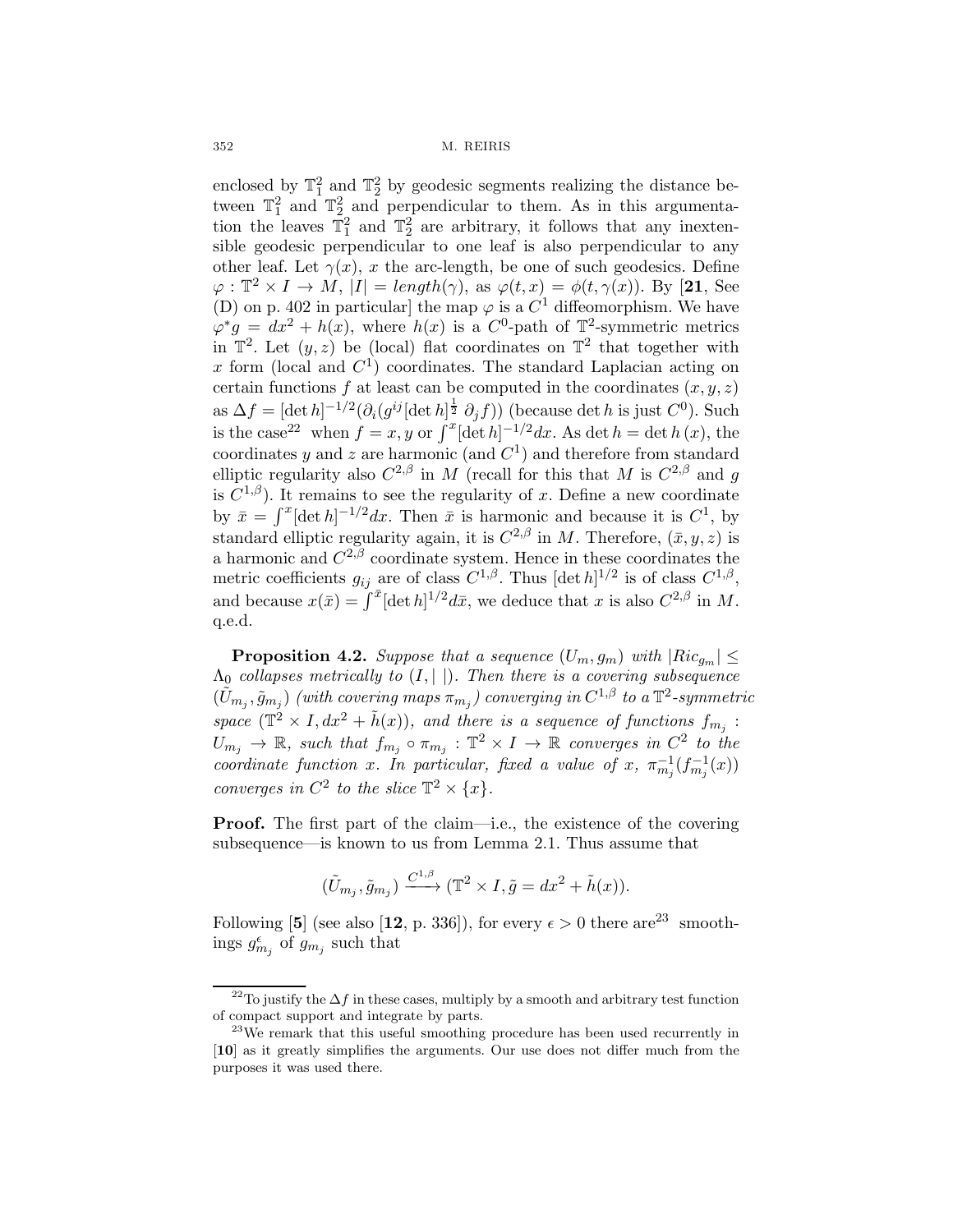enclosed by  $\mathbb{T}_1^2$  and  $\mathbb{T}_2^2$  by geodesic segments realizing the distance between  $\mathbb{T}_1^2$  and  $\mathbb{T}_2^2$  and perpendicular to them. As in this argumentation the leaves  $\mathbb{T}_1^2$  and  $\mathbb{T}_2^2$  are arbitrary, it follows that any inextensible geodesic perpendicular to one leaf is also perpendicular to any other leaf. Let  $\gamma(x)$ , x the arc-length, be one of such geodesics. Define  $\varphi : \mathbb{T}^2 \times I \to M$ ,  $|I| = \text{length}(\gamma)$ , as  $\varphi(t, x) = \varphi(t, \gamma(x))$ . By [21, See (D) on p. 402 in particular] the map  $\varphi$  is a  $C^1$  diffeomorphism. We have  $\varphi^* g = dx^2 + h(x)$ , where  $h(x)$  is a  $C^0$ -path of  $\mathbb{T}^2$ -symmetric metrics in  $\mathbb{T}^2$ . Let  $(y, z)$  be (local) flat coordinates on  $\mathbb{T}^2$  that together with x form (local and  $C<sup>1</sup>$ ) coordinates. The standard Laplacian acting on certain functions f at least can be computed in the coordinates  $(x, y, z)$ as  $\Delta f = [\det h]^{-1/2} (\partial_i (g^{ij} [\det h]^{\frac{1}{2}} \partial_j f))$  (because det h is just  $C^0$ ). Such is the case<sup>22</sup> when  $f = x, y$  or  $\int^x [\det h]^{-1/2} dx$ . As det  $h = \det h(x)$ , the coordinates y and z are harmonic (and  $C<sup>1</sup>$ ) and therefore from standard elliptic regularity also  $C^{2,\beta}$  in M (recall for this that M is  $C^{2,\beta}$  and q is  $C^{1,\beta}$ ). It remains to see the regularity of x. Define a new coordinate by  $\bar{x} = \int^x [\det h]^{-1/2} dx$ . Then  $\bar{x}$  is harmonic and because it is  $C^1$ , by standard elliptic regularity again, it is  $C^{2,\beta}$  in M. Therefore,  $(\bar{x}, y, z)$  is a harmonic and  $C^{2,\beta}$  coordinate system. Hence in these coordinates the metric coefficients  $g_{ij}$  are of class  $C^{1,\beta}$ . Thus  $[\det h]^{1/2}$  is of class  $C^{1,\beta}$ , and because  $x(\bar{x}) = \int_{-\infty}^{\bar{x}} [det h]^{1/2} d\bar{x}$ , we deduce that x is also  $C^{2,\beta}$  in M. q.e.d.

**Proposition 4.2.** Suppose that a sequence  $(U_m, g_m)$  with  $|Ric_{g_m}| \leq$  $\Lambda_0$  collapses metrically to  $(I, \vert \cdot)$ . Then there is a covering subsequence  $(\tilde{U}_{m_j}, \tilde{g}_{m_j})$  (with covering maps  $\pi_{m_j}$ ) converging in  $C^{1,\beta}$  to a  $\mathbb{T}^2$ -symmetric space  $(\mathbb{T}^2 \times I, dx^2 + \tilde{h}(x))$ , and there is a sequence of functions  $f_{m_j}$ :  $U_{m_j} \to \mathbb{R}$ , such that  $f_{m_j} \circ \pi_{m_j} : \mathbb{T}^2 \times I \to \mathbb{R}$  converges in  $C^2$  to the coordinate function x. In particular, fixed a value of x,  $\pi_{m_j}^{-1}(f_{m_j}^{-1}(x))$ converges in  $C^2$  to the slice  $\mathbb{T}^2 \times \{x\}$ .

**Proof.** The first part of the claim—i.e., the existence of the covering subsequence—is known to us from Lemma 2.1. Thus assume that

$$
(\tilde{U}_{m_j}, \tilde{g}_{m_j}) \xrightarrow{C^{1,\beta}} (\mathbb{T}^2 \times I, \tilde{g}) = dx^2 + \tilde{h}(x)).
$$

Following [5] (see also [12, p. 336]), for every  $\epsilon > 0$  there are<sup>23</sup> smoothings  $g_{m_j}^{\epsilon}$  of  $g_{m_j}$  such that

<sup>&</sup>lt;sup>22</sup>To justify the  $\Delta f$  in these cases, multiply by a smooth and arbitrary test function of compact support and integrate by parts.

 $23$ We remark that this useful smoothing procedure has been used recurrently in [10] as it greatly simplifies the arguments. Our use does not differ much from the purposes it was used there.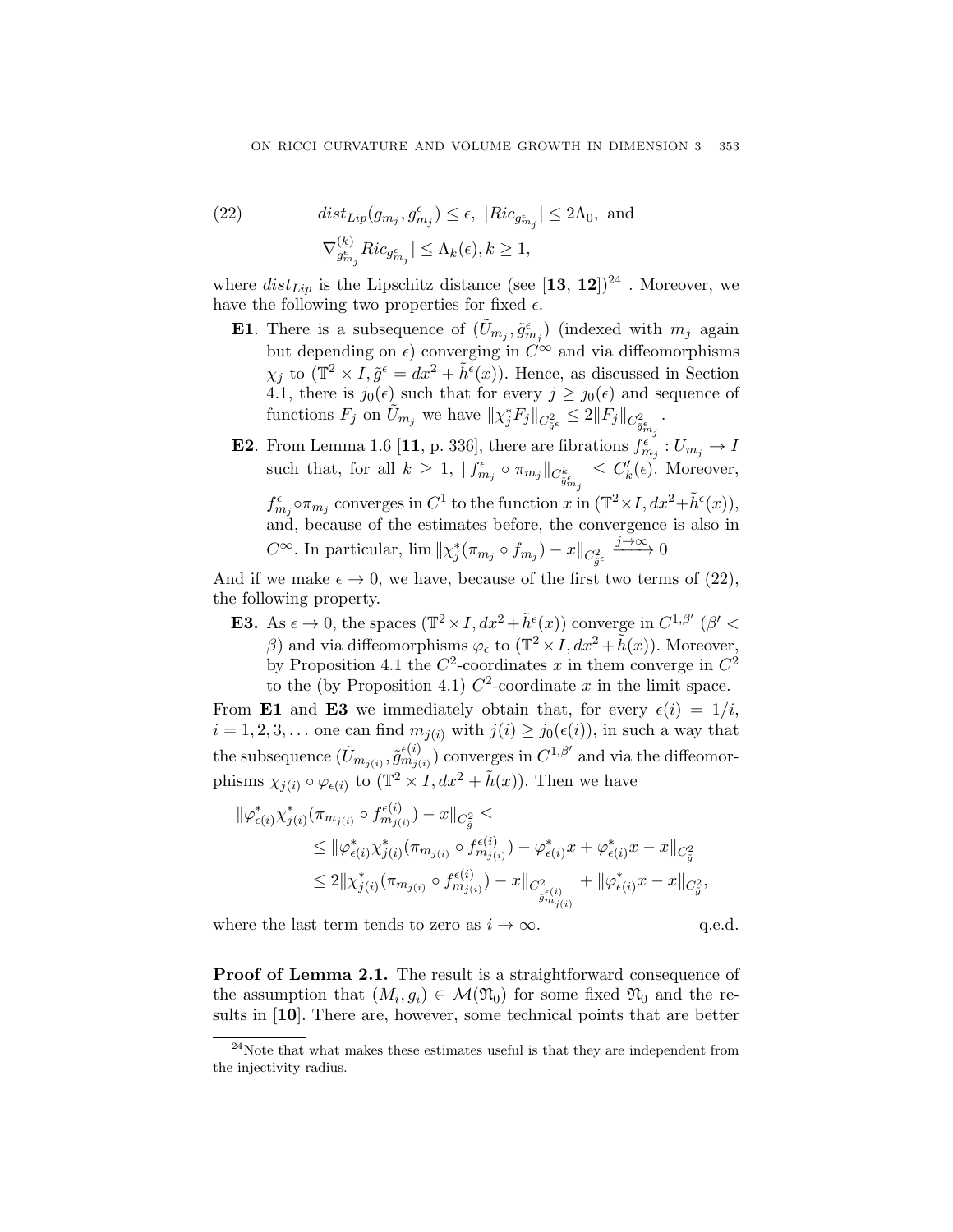(22) 
$$
dist_{Lip}(g_{m_j}, g_{m_j}^{\epsilon}) \leq \epsilon, |Ric_{g_{m_j}^{\epsilon}}| \leq 2\Lambda_0, \text{ and}
$$

$$
|\nabla_{g_{m_j}^{\epsilon}}^{(k)} Ric_{g_{m_j}^{\epsilon}}| \leq \Lambda_k(\epsilon), k \geq 1,
$$

where  $dist_{Lip}$  is the Lipschitz distance (see  $\bm{[13,\,12]})^{24}$  . Moreover, we have the following two properties for fixed  $\epsilon$ .

- **E1**. There is a subsequence of  $(\tilde{U}_{m_j}, \tilde{g}_{m_j}^{\epsilon})$  (indexed with  $m_j$  again but depending on  $\epsilon$ ) converging in  $C^{\infty}$  and via diffeomorphisms  $\chi_j$  to  $(\mathbb{T}^2 \times I, \tilde{g}^{\epsilon} = dx^2 + \tilde{h}^{\epsilon}(x))$ . Hence, as discussed in Section 4.1, there is  $j_0(\epsilon)$  such that for every  $j \ge j_0(\epsilon)$  and sequence of functions  $F_j$  on  $\tilde{U}_{m_j}$  we have  $\|\chi_j^* F_j\|_{C^2_{\tilde{g}^{\epsilon}_{\epsilon}}} \leq 2\|F_j\|_{C^2_{\tilde{g}^{\epsilon}_{m_j}}}$ .
- **E2**. From Lemma 1.6 [11, p. 336], there are fibrations  $f_{m_j}^{\epsilon}$  :  $U_{m_j} \to I$ such that, for all  $k \geq 1$ ,  $||f_{m_j}^{\epsilon} \circ \pi_{m_j}||_{C_{\tilde{g}_{m_j}^{\epsilon}}} \leq C'_{k}(\epsilon)$ . Moreover,

 $f_{m_j}^{\epsilon}$  o $\pi_{m_j}$  converges in  $C^1$  to the function x in  $(\mathbb{T}^2 \times I, dx^2 + \tilde{h}^{\epsilon}(x)),$ and, because of the estimates before, the convergence is also in  $C^{\infty}$ . In particular,  $\lim_{m \to \infty} ||\chi_j^*(\pi_{m_j} \circ f_{m_j}) - x||_{C^2_{\tilde{g}^e}}$  $\xrightarrow{j\to\infty} 0$ 

And if we make  $\epsilon \to 0$ , we have, because of the first two terms of (22), the following property.

**E3.** As  $\epsilon \to 0$ , the spaces  $(\mathbb{T}^2 \times I, dx^2 + \tilde{h}^{\epsilon}(x))$  converge in  $C^{1,\beta'}$  ( $\beta' <$ β) and via diffeomorphisms  $\varphi_\epsilon$  to  $(\mathbb{T}^2 \times I, dx^2 + \tilde{h}(x))$ . Moreover, by Proposition 4.1 the  $C^2$ -coordinates x in them converge in  $C^2$ to the (by Proposition 4.1)  $C^2$ -coordinate x in the limit space.

From E1 and E3 we immediately obtain that, for every  $\epsilon(i)=1/i$ ,  $i = 1, 2, 3, \ldots$  one can find  $m_{i(i)}$  with  $j(i) \geq j_0(\epsilon(i))$ , in such a way that the subsequence  $(\tilde{U}_{m_{j(i)}}, \tilde{g}_{m_{j(i)}}^{(i)})$  converges in  $C^{1,\beta'}$  and via the diffeomorphisms  $\chi_{j(i)} \circ \varphi_{\epsilon(i)}$  to  $(\mathbb{T}^2 \times I, dx^2 + \tilde{h}(x))$ . Then we have

$$
\begin{split} \|\varphi_{\epsilon(i)}^*\chi_{j(i)}^*(\pi_{m_{j(i)}} \circ f_{m_{j(i)}}^{\epsilon(i)}) - x\|_{C_{\tilde{g}}^2} &\leq\\ &\leq \|\varphi_{\epsilon(i)}^*\chi_{j(i)}^*(\pi_{m_{j(i)}} \circ f_{m_{j(i)}}^{\epsilon(i)}) - \varphi_{\epsilon(i)}^* x + \varphi_{\epsilon(i)}^* x - x\|_{C_{\tilde{g}}^2} \\ &\leq 2\|\chi_{j(i)}^*(\pi_{m_{j(i)}} \circ f_{m_{j(i)}}^{\epsilon(i)}) - x\|_{C_{\tilde{g}_{m_{j(i)}}^2} + \|\varphi_{\epsilon(i)}^* x - x\|_{C_{\tilde{g}}^2}, \end{split}
$$

where the last term tends to zero as  $i \to \infty$ . q.e.d.

Proof of Lemma 2.1. The result is a straightforward consequence of the assumption that  $(M_i, g_i) \in \mathcal{M}(\mathfrak{N}_0)$  for some fixed  $\mathfrak{N}_0$  and the results in [10]. There are, however, some technical points that are better

 $24$ Note that what makes these estimates useful is that they are independent from the injectivity radius.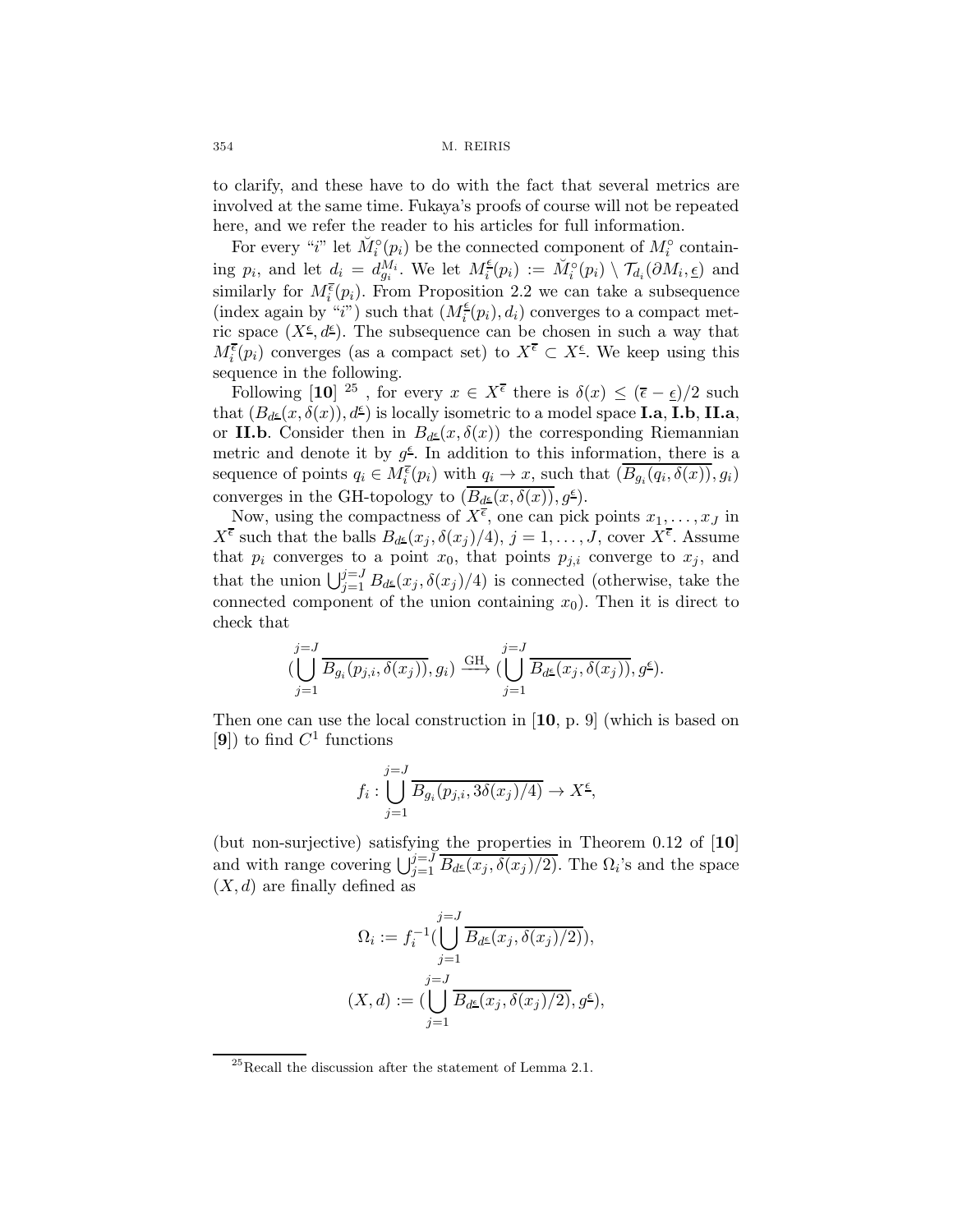to clarify, and these have to do with the fact that several metrics are involved at the same time. Fukaya's proofs of course will not be repeated here, and we refer the reader to his articles for full information.

For every "*i*" let  $\check{M}_i^{\circ}(p_i)$  be the connected component of  $M_i^{\circ}$  containing  $p_i$ , and let  $d_i = d_{g_i}^{M_i}$ . We let  $M_i^{\epsilon}(p_i) := \check{M}_i^{\circ}(p_i) \setminus \mathcal{T}_{d_i}(\partial M_i, \underline{\epsilon})$  and similarly for  $M_i^{\overline{\epsilon}}(p_i)$ . From Proposition 2.2 we can take a subsequence (index again by "i") such that  $(M_i^{\epsilon}(p_i), d_i)$  converges to a compact metric space  $(X^{\epsilon}, d^{\epsilon})$ . The subsequence can be chosen in such a way that  $M_i^{\overline{\epsilon}}(p_i)$  converges (as a compact set) to  $X^{\overline{\epsilon}} \subset X^{\epsilon}$ . We keep using this sequence in the following.

Following [10] <sup>25</sup>, for every  $x \in X^{\bar{\epsilon}}$  there is  $\delta(x) \leq (\bar{\epsilon} - \epsilon)/2$  such that  $(B_{d\epsilon}(x, \delta(x)), d^{\epsilon})$  is locally isometric to a model space **I.a, I.b, II.a**, or II.b. Consider then in  $B_{d^{\underline{\epsilon}}}(x, \delta(x))$  the corresponding Riemannian metric and denote it by  $g^{\epsilon}$ . In addition to this information, there is a sequence of points  $q_i \in M_i^{\overline{\epsilon}}(p_i)$  with  $q_i \to x$ , such that  $(\overline{B_{g_i}(q_i, \delta(x))}, g_i)$ converges in the GH-topology to  $(\overline{B_{d^{\underline{\epsilon}}}(x,\delta(x))},g^{\underline{\epsilon}})$ .

Now, using the compactness of  $X^{\overline{\epsilon}}$ , one can pick points  $x_1, \ldots, x_J$  in  $X^{\bar{\epsilon}}$  such that the balls  $B_{d^{\underline{\epsilon}}}(x_j, \delta(x_j)/4), j = 1, \ldots, J$ , cover  $X^{\bar{\epsilon}}$ . Assume that  $p_i$  converges to a point  $x_0$ , that points  $p_{j,i}$  converge to  $x_j$ , and that the union  $\bigcup_{j=1}^{j=J} B_{d^{\underline{\epsilon}}}(x_j, \delta(x_j)/4)$  is connected (otherwise, take the connected component of the union containing  $x_0$ ). Then it is direct to check that

$$
(\bigcup_{j=1}^{j=J}\overline{B_{g_i}(p_{j,i},\delta(x_j))},g_i)\stackrel{\mathrm{GH}}{\longrightarrow}(\bigcup_{j=1}^{j=J}\overline{B_{d^{\underline{\epsilon}}}(x_j,\delta(x_j))},g^{\underline{\epsilon}}).
$$

Then one can use the local construction in [10, p. 9] (which is based on [9]) to find  $C^1$  functions

$$
f_i: \bigcup_{j=1}^{j=J} \overline{B_{g_i}(p_{j,i}, 3\delta(x_j)/4)} \to X^{\underline{\epsilon}},
$$

(but non-surjective) satisfying the properties in Theorem 0.12 of [10] and with range covering  $\bigcup_{j=1}^{j=J} \overline{B_{d^{\underline{\epsilon}}}(x_j, \delta(x_j)/2)}$ . The  $\Omega_i$ 's and the space  $(X, d)$  are finally defined as

$$
\Omega_i := f_i^{-1}(\bigcup_{j=1}^{j=J} \overline{B_{d^{\underline{\epsilon}}}(x_j, \delta(x_j)/2)}),
$$
  

$$
(X, d) := (\bigcup_{j=1}^{j=J} \overline{B_{d^{\underline{\epsilon}}}(x_j, \delta(x_j)/2)}, g^{\underline{\epsilon}}),
$$

<sup>25</sup>Recall the discussion after the statement of Lemma 2.1.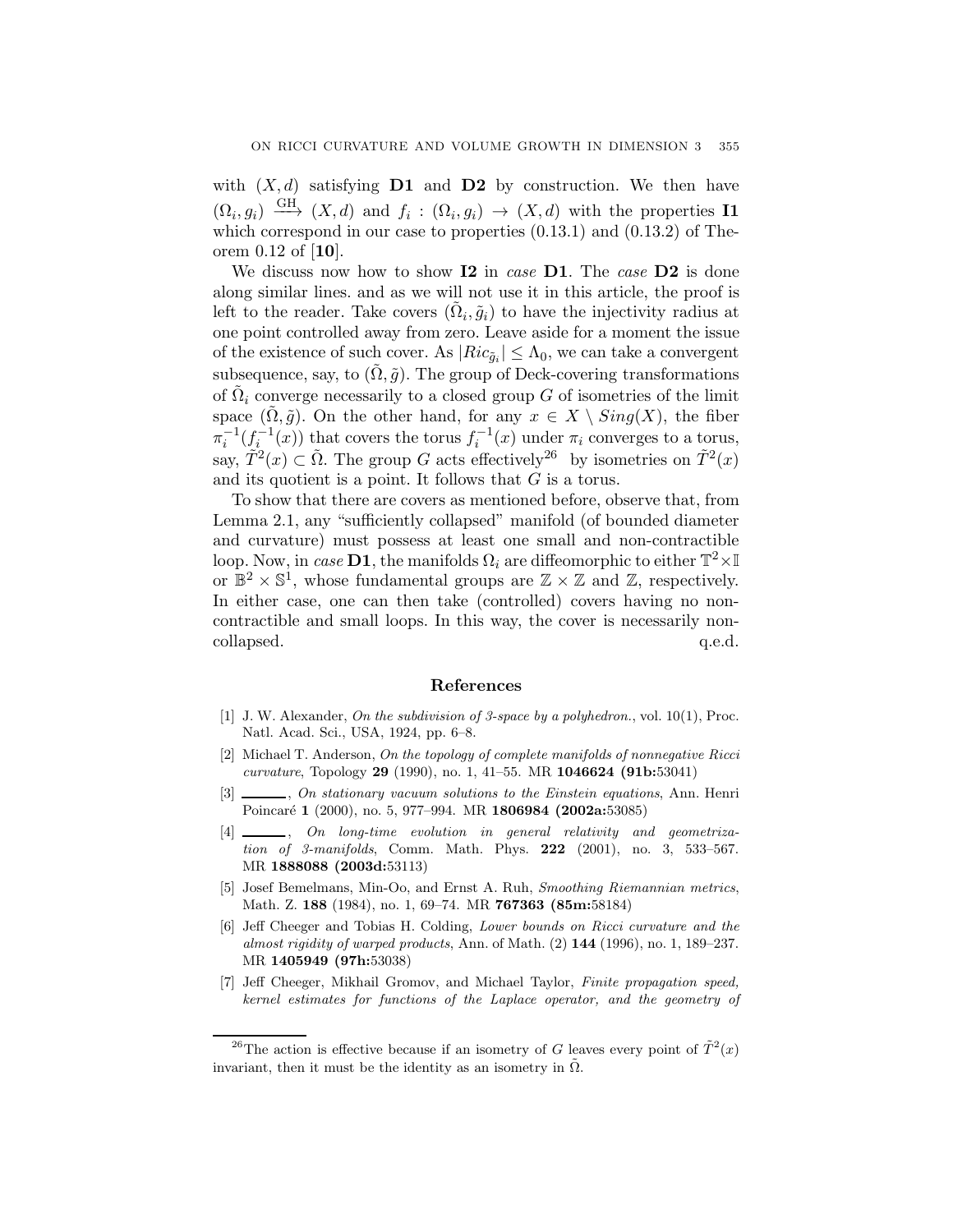with  $(X, d)$  satisfying **D1** and **D2** by construction. We then have  $(\Omega_i, g_i) \stackrel{\text{GH}}{\longrightarrow} (X, d)$  and  $f_i : (\Omega_i, g_i) \longrightarrow (X, d)$  with the properties **I1** which correspond in our case to properties (0.13.1) and (0.13.2) of Theorem 0.12 of [10].

We discuss now how to show I2 in case D1. The case D2 is done along similar lines. and as we will not use it in this article, the proof is left to the reader. Take covers  $(\Omega_i, \tilde{g}_i)$  to have the injectivity radius at one point controlled away from zero. Leave aside for a moment the issue of the existence of such cover. As  $|Ric_{\tilde{q}_i}| \leq \Lambda_0$ , we can take a convergent subsequence, say, to  $(\Omega, \tilde{g})$ . The group of Deck-covering transformations of  $\Omega_i$  converge necessarily to a closed group G of isometries of the limit space  $(\Omega, \tilde{g})$ . On the other hand, for any  $x \in X \setminus Sing(X)$ , the fiber  $\pi_i^{-1}(f_i^{-1}(x))$  that covers the torus  $f_i^{-1}(x)$  under  $\pi_i$  converges to a torus, say,  $\tilde{T}^2(x) \subset \tilde{\Omega}$ . The group G acts effectively<sup>26</sup> by isometries on  $\tilde{T}^2(x)$ and its quotient is a point. It follows that  $G$  is a torus.

To show that there are covers as mentioned before, observe that, from Lemma 2.1, any "sufficiently collapsed" manifold (of bounded diameter and curvature) must possess at least one small and non-contractible loop. Now, in case **D1**, the manifolds  $\Omega_i$  are diffeomorphic to either  $\mathbb{T}^2 \times \mathbb{I}$ or  $\mathbb{B}^2 \times \mathbb{S}^1$ , whose fundamental groups are  $\mathbb{Z} \times \mathbb{Z}$  and  $\mathbb{Z}$ , respectively. In either case, one can then take (controlled) covers having no noncontractible and small loops. In this way, the cover is necessarily noncollapsed.  $q.e.d.$ 

#### References

- [1] J. W. Alexander, On the subdivision of 3-space by a polyhedron., vol.  $10(1)$ , Proc. Natl. Acad. Sci., USA, 1924, pp. 6–8.
- [2] Michael T. Anderson, On the topology of complete manifolds of nonnegative Ricci curvature, Topology 29 (1990), no. 1, 41–55. MR 1046624 (91b:53041)
- $\frac{1}{2}$ , On stationary vacuum solutions to the Einstein equations, Ann. Henri Poincaré 1 (2000), no. 5, 977-994. MR 1806984 (2002a:53085)
- [4] \_\_\_\_\_\_, On long-time evolution in general relativity and geometrization of 3-manifolds, Comm. Math. Phys.  $222$  (2001), no. 3, 533-567. MR 1888088 (2003d:53113)
- [5] Josef Bemelmans, Min-Oo, and Ernst A. Ruh, Smoothing Riemannian metrics, Math. Z. 188 (1984), no. 1, 69–74. MR 767363 (85m:58184)
- [6] Jeff Cheeger and Tobias H. Colding, Lower bounds on Ricci curvature and the almost rigidity of warped products, Ann. of Math.  $(2)$  144 (1996), no. 1, 189–237. MR 1405949 (97h:53038)
- [7] Jeff Cheeger, Mikhail Gromov, and Michael Taylor, Finite propagation speed, kernel estimates for functions of the Laplace operator, and the geometry of

<sup>&</sup>lt;sup>26</sup>The action is effective because if an isometry of G leaves every point of  $\tilde{T}^2(x)$ invariant, then it must be the identity as an isometry in  $\tilde{\Omega}$ .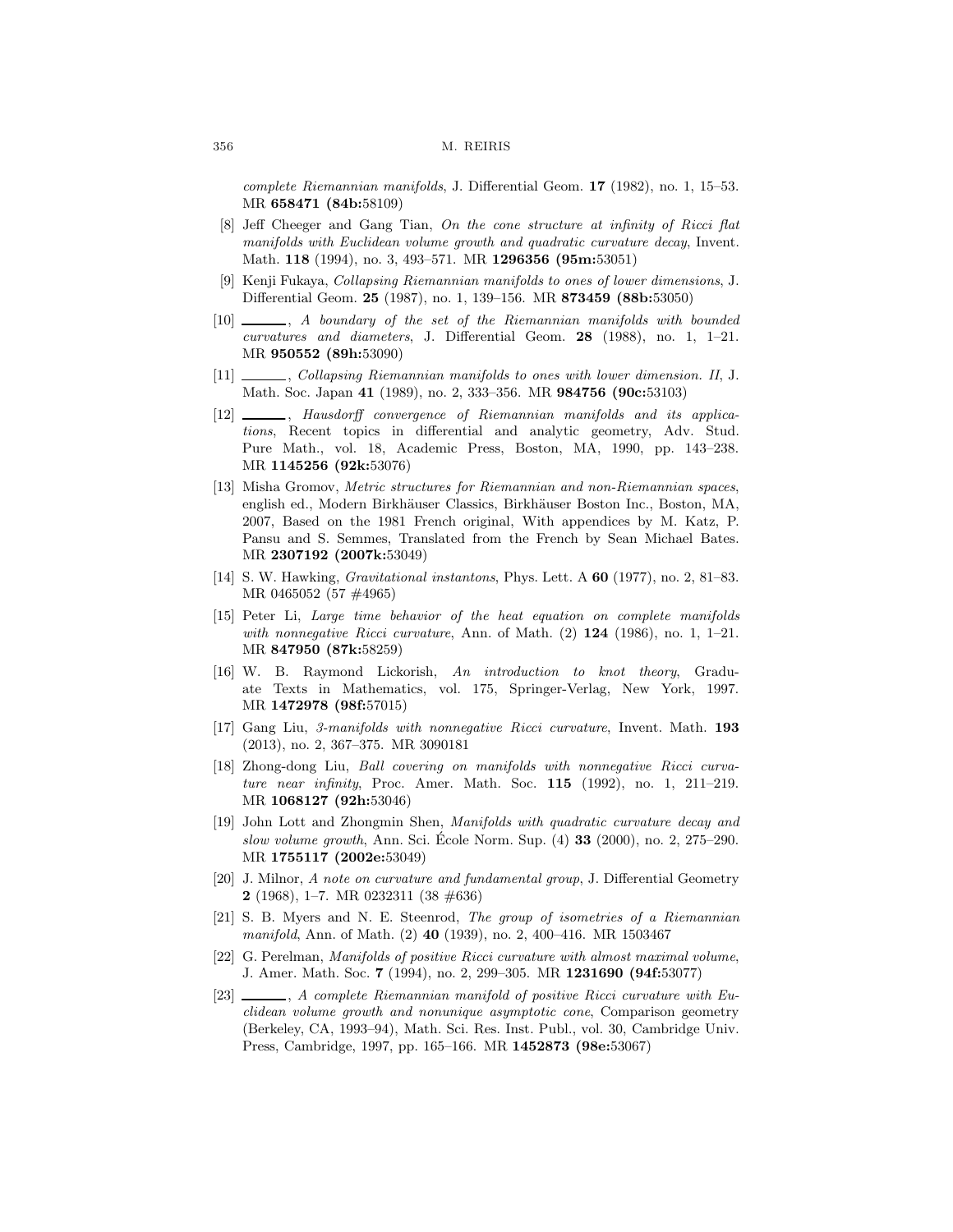complete Riemannian manifolds, J. Differential Geom. 17 (1982), no. 1, 15–53. MR 658471 (84b:58109)

- [8] Jeff Cheeger and Gang Tian, On the cone structure at infinity of Ricci flat manifolds with Euclidean volume growth and quadratic curvature decay, Invent. Math. 118 (1994), no. 3, 493-571. MR 1296356 (95m:53051)
- [9] Kenji Fukaya, Collapsing Riemannian manifolds to ones of lower dimensions, J. Differential Geom. 25 (1987), no. 1, 139–156. MR 873459 (88b:53050)
- [10] , A boundary of the set of the Riemannian manifolds with bounded curvatures and diameters, J. Differential Geom. 28 (1988), no. 1, 1–21. MR 950552 (89h:53090)
- [11] , Collapsing Riemannian manifolds to ones with lower dimension. II, J. Math. Soc. Japan 41 (1989), no. 2, 333–356. MR 984756 (90c:53103)
- [12] , Hausdorff convergence of Riemannian manifolds and its applications, Recent topics in differential and analytic geometry, Adv. Stud. Pure Math., vol. 18, Academic Press, Boston, MA, 1990, pp. 143–238. MR 1145256 (92k:53076)
- [13] Misha Gromov, Metric structures for Riemannian and non-Riemannian spaces, english ed., Modern Birkhäuser Classics, Birkhäuser Boston Inc., Boston, MA, 2007, Based on the 1981 French original, With appendices by M. Katz, P. Pansu and S. Semmes, Translated from the French by Sean Michael Bates. MR 2307192 (2007k:53049)
- [14] S. W. Hawking, Gravitational instantons, Phys. Lett. A 60 (1977), no. 2, 81–83. MR 0465052 (57 #4965)
- [15] Peter Li, Large time behavior of the heat equation on complete manifolds with nonnegative Ricci curvature, Ann. of Math.  $(2)$  124 (1986), no. 1, 1–21. MR 847950 (87k:58259)
- [16] W. B. Raymond Lickorish, An introduction to knot theory, Graduate Texts in Mathematics, vol. 175, Springer-Verlag, New York, 1997. MR 1472978 (98f:57015)
- [17] Gang Liu, 3-manifolds with nonnegative Ricci curvature, Invent. Math. 193 (2013), no. 2, 367–375. MR 3090181
- [18] Zhong-dong Liu, Ball covering on manifolds with nonnegative Ricci curvature near infinity, Proc. Amer. Math. Soc. 115 (1992), no. 1, 211–219. MR 1068127 (92h:53046)
- [19] John Lott and Zhongmin Shen, Manifolds with quadratic curvature decay and slow volume growth, Ann. Sci. Ecole Norm. Sup.  $(4)$  33  $(2000)$ , no. 2, 275–290. MR 1755117 (2002e:53049)
- [20] J. Milnor, A note on curvature and fundamental group, J. Differential Geometry **2** (1968), 1–7. MR 0232311 (38  $\#636$ )
- [21] S. B. Myers and N. E. Steenrod, The group of isometries of a Riemannian manifold, Ann. of Math. (2) 40 (1939), no. 2, 400–416. MR 1503467
- [22] G. Perelman, Manifolds of positive Ricci curvature with almost maximal volume, J. Amer. Math. Soc. 7 (1994), no. 2, 299–305. MR 1231690 (94f:53077)
- [23]  $\_\_\_\_\$ , A complete Riemannian manifold of positive Ricci curvature with Euclidean volume growth and nonunique asymptotic cone, Comparison geometry (Berkeley, CA, 1993–94), Math. Sci. Res. Inst. Publ., vol. 30, Cambridge Univ. Press, Cambridge, 1997, pp. 165–166. MR 1452873 (98e:53067)